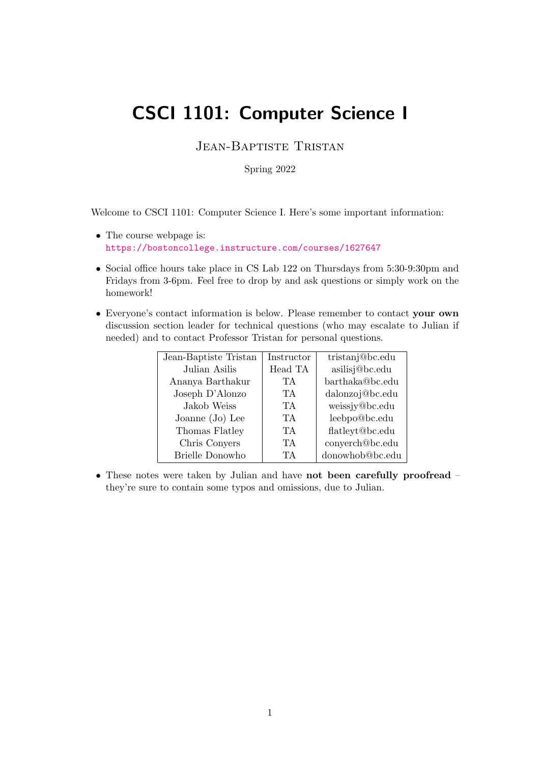# CSCI 1101: Computer Science I

Jean-Baptiste Tristan

Spring 2022

Welcome to CSCI 1101: Computer Science I. Here's some important information:

- The course webpage is: <https://bostoncollege.instructure.com/courses/1627647>
- Social office hours take place in CS Lab 122 on Thursdays from 5:30-9:30pm and Fridays from 3-6pm. Feel free to drop by and ask questions or simply work on the homework!
- Everyone's contact information is below. Please remember to contact your own discussion section leader for technical questions (who may escalate to Julian if needed) and to contact Professor Tristan for personal questions.

| Jean-Baptiste Tristan | Instructor | tristanj@bc.edu |
|-----------------------|------------|-----------------|
| Julian Asilis         | Head TA    | asilisj@bc.edu  |
| Ananya Barthakur      | TA         | barthaka@bc.edu |
| Joseph D'Alonzo       | TА         | dalonzoj@bc.edu |
| Jakob Weiss           | TА         | weissjy@bc.edu  |
| Joanne $(Jo)$ Lee     | TA.        | leebpo@bc.edu   |
| Thomas Flatley        | TA.        | flatleyt@bc.edu |
| Chris Conyers         | TA.        | conyerch@bc.edu |
| Brielle Donowho       | TA.        | donowhob@bc.edu |

• These notes were taken by Julian and have not been carefully proofread – they're sure to contain some typos and omissions, due to Julian.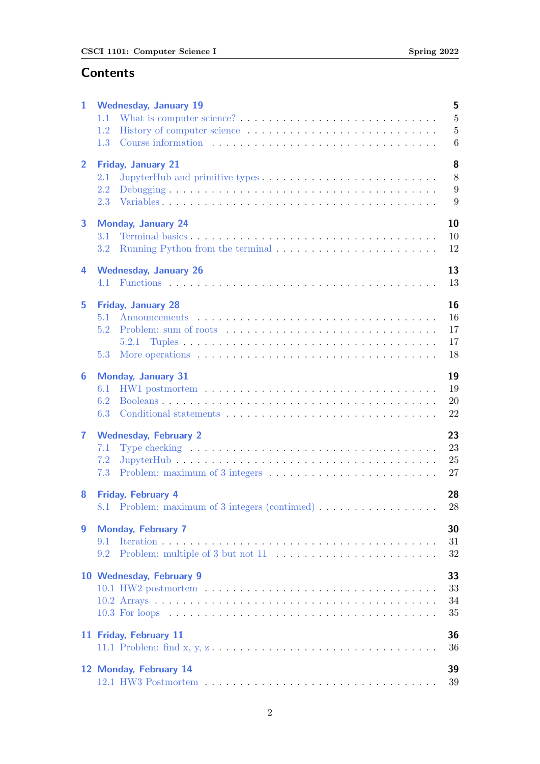# **Contents**

| 1              | 5<br><b>Wednesday, January 19</b>                                                                          |
|----------------|------------------------------------------------------------------------------------------------------------|
|                | $\overline{5}$<br>1.1                                                                                      |
|                | $\bf 5$<br>1.2                                                                                             |
|                | 6<br>1.3                                                                                                   |
| $\overline{2}$ | 8                                                                                                          |
|                | <b>Friday, January 21</b><br>8<br>2.1                                                                      |
|                | 9<br>2.2                                                                                                   |
|                | 2.3<br>9                                                                                                   |
|                |                                                                                                            |
| 3              | 10<br><b>Monday, January 24</b>                                                                            |
|                | 10<br>3.1                                                                                                  |
|                | Running Python from the terminal $\dots \dots \dots \dots \dots \dots \dots \dots$<br>12<br>3.2            |
| 4              | 13<br><b>Wednesday, January 26</b>                                                                         |
|                | 13<br>4.1                                                                                                  |
|                |                                                                                                            |
| 5              | 16<br>Friday, January 28                                                                                   |
|                | 16<br>5.1                                                                                                  |
|                | 17<br>5.2                                                                                                  |
|                | 17                                                                                                         |
|                | 5.3<br>18                                                                                                  |
| 6              | 19<br><b>Monday, January 31</b>                                                                            |
|                | 19<br>6.1                                                                                                  |
|                | 20<br>6.2                                                                                                  |
|                | 22<br>6.3                                                                                                  |
| 7              | 23<br><b>Wednesday, February 2</b>                                                                         |
|                | 23<br>Type checking $\dots \dots \dots \dots \dots \dots \dots \dots \dots \dots \dots \dots \dots$<br>7.1 |
|                | 25<br>7.2                                                                                                  |
|                | 27<br>7.3                                                                                                  |
| 8              | <b>Friday, February 4</b><br>28                                                                            |
|                | 8.1 Problem: maximum of 3 integers (continued)<br>$28\,$                                                   |
|                |                                                                                                            |
| 9              | 30<br><b>Monday, February 7</b>                                                                            |
|                | 31<br>9.1                                                                                                  |
|                | 32<br>9.2                                                                                                  |
|                | 33<br>10 Wednesday, February 9                                                                             |
|                | 33                                                                                                         |
|                | 34                                                                                                         |
|                | 35                                                                                                         |
|                | 11 Friday, February 11<br>36                                                                               |
|                | 36                                                                                                         |
|                |                                                                                                            |
|                | 12 Monday, February 14<br>39                                                                               |
|                | 39                                                                                                         |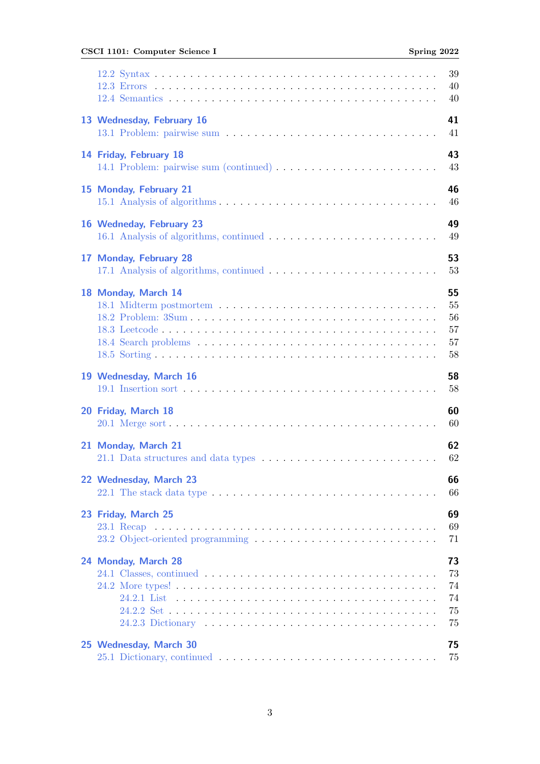# CSCI 1101: Computer Science I Spring 2022

|                                                                                                                                         | 39<br>40                                           |
|-----------------------------------------------------------------------------------------------------------------------------------------|----------------------------------------------------|
|                                                                                                                                         | 40                                                 |
| 13 Wednesday, February 16                                                                                                               | 41<br>41                                           |
| 14 Friday, February 18<br>14.1 Problem: pairwise sum (continued)                                                                        | 43<br>43                                           |
| 15 Monday, February 21                                                                                                                  | 46<br>46                                           |
| 16 Wedneday, February 23                                                                                                                | 49<br>49                                           |
| 17 Monday, February 28                                                                                                                  | 53<br>53                                           |
| 18 Monday, March 14                                                                                                                     | 55<br>55<br>56<br>57<br>57<br>58                   |
|                                                                                                                                         |                                                    |
| 19 Wednesday, March 16                                                                                                                  |                                                    |
| 20 Friday, March 18                                                                                                                     |                                                    |
| 21 Monday, March 21                                                                                                                     |                                                    |
| 66<br>22 Wednesday, March 23<br>22.1 The stack data type $\ldots \ldots \ldots \ldots \ldots \ldots \ldots \ldots \ldots \ldots \ldots$ | 66                                                 |
| 23 Friday, March 25                                                                                                                     | 58<br>58<br>60<br>60<br>62<br>62<br>69<br>69<br>71 |
| 24 Monday, March 28                                                                                                                     | 73<br>73<br>74<br>74<br>75<br>75                   |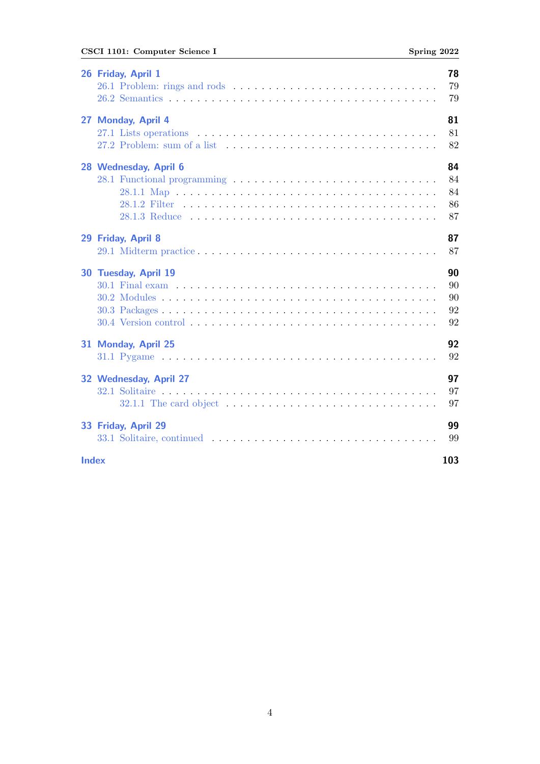# CSCI 1101: Computer Science I Spring 2022

|              | 26 Friday, April 1     | 78<br>79<br>79             |
|--------------|------------------------|----------------------------|
|              | 27 Monday, April 4     | 81<br>81<br>82             |
|              | 28 Wednesday, April 6  | 84<br>84<br>84<br>86<br>87 |
|              | 29 Friday, April 8     | 87<br>87                   |
|              | 30 Tuesday, April 19   | 90<br>90<br>90<br>92<br>92 |
|              | 31 Monday, April 25    | 92<br>92                   |
|              | 32 Wednesday, April 27 | 97<br>97<br>97             |
|              | 33 Friday, April 29    | 99<br>99                   |
| <b>Index</b> |                        | 103                        |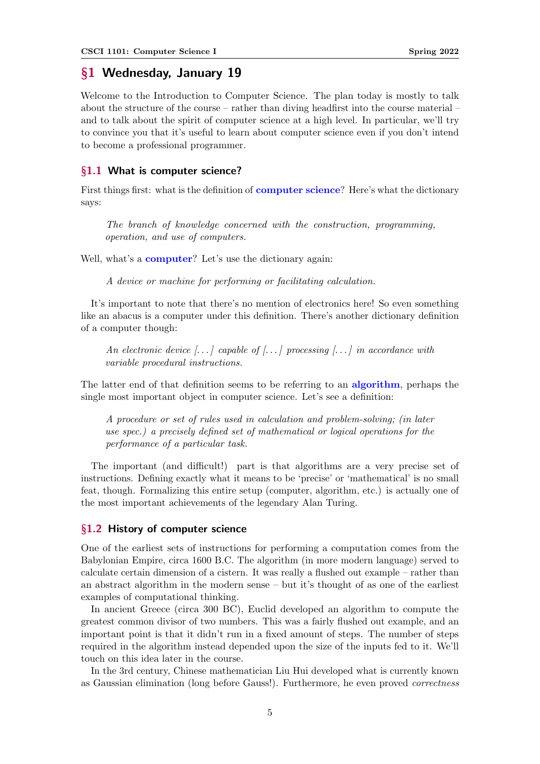# <span id="page-4-0"></span>§1 Wednesday, January 19

Welcome to the Introduction to Computer Science. The plan today is mostly to talk about the structure of the course – rather than diving headfirst into the course material – and to talk about the spirit of computer science at a high level. In particular, we'll try to convince you that it's useful to learn about computer science even if you don't intend to become a professional programmer.

### <span id="page-4-1"></span>§1.1 What is computer science?

First things first: what is the definition of **computer science**? Here's what the dictionary says:

The branch of knowledge concerned with the construction, programming, operation, and use of computers.

Well, what's a **computer**? Let's use the dictionary again:

A device or machine for performing or facilitating calculation.

It's important to note that there's no mention of electronics here! So even something like an abacus is a computer under this definition. There's another dictionary definition of a computer though:

An electronic device  $[\ldots]$  capable of  $[\ldots]$  processing  $[\ldots]$  in accordance with variable procedural instructions.

The latter end of that definition seems to be referring to an **algorithm**, perhaps the single most important object in computer science. Let's see a definition:

A procedure or set of rules used in calculation and problem-solving; (in later use spec.) a precisely defined set of mathematical or logical operations for the performance of a particular task.

The important (and difficult!) part is that algorithms are a very precise set of instructions. Defining exactly what it means to be 'precise' or 'mathematical' is no small feat, though. Formalizing this entire setup (computer, algorithm, etc.) is actually one of the most important achievements of the legendary Alan Turing.

### <span id="page-4-2"></span>§1.2 History of computer science

One of the earliest sets of instructions for performing a computation comes from the Babylonian Empire, circa 1600 B.C. The algorithm (in more modern language) served to calculate certain dimension of a cistern. It was really a flushed out example – rather than an abstract algorithm in the modern sense – but it's thought of as one of the earliest examples of computational thinking.

In ancient Greece (circa 300 BC), Euclid developed an algorithm to compute the greatest common divisor of two numbers. This was a fairly flushed out example, and an important point is that it didn't run in a fixed amount of steps. The number of steps required in the algorithm instead depended upon the size of the inputs fed to it. We'll touch on this idea later in the course.

In the 3rd century, Chinese mathematician Liu Hui developed what is currently known as Gaussian elimination (long before Gauss!). Furthermore, he even proved correctness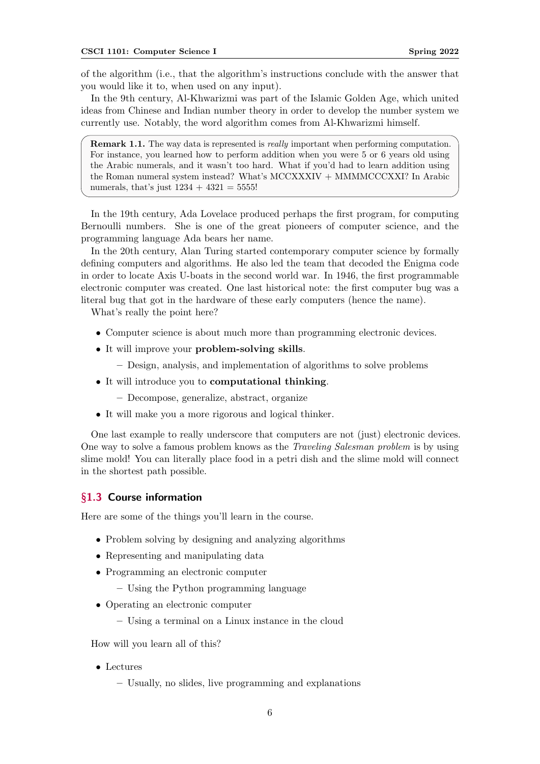of the algorithm (i.e., that the algorithm's instructions conclude with the answer that you would like it to, when used on any input).

In the 9th century, Al-Khwarizmi was part of the Islamic Golden Age, which united ideas from Chinese and Indian number theory in order to develop the number system we currently use. Notably, the word algorithm comes from Al-Khwarizmi himself.

Remark 1.1. The way data is represented is *really* important when performing computation. For instance, you learned how to perform addition when you were 5 or 6 years old using the Arabic numerals, and it wasn't too hard. What if you'd had to learn addition using the Roman numeral system instead? What's MCCXXXIV + MMMMCCCXXI? In Arabic numerals, that's just  $1234 + 4321 = 5555!$ 

In the 19th century, Ada Lovelace produced perhaps the first program, for computing Bernoulli numbers. She is one of the great pioneers of computer science, and the programming language Ada bears her name.

In the 20th century, Alan Turing started contemporary computer science by formally defining computers and algorithms. He also led the team that decoded the Enigma code in order to locate Axis U-boats in the second world war. In 1946, the first programmable electronic computer was created. One last historical note: the first computer bug was a literal bug that got in the hardware of these early computers (hence the name).

What's really the point here?

- Computer science is about much more than programming electronic devices.
- It will improve your problem-solving skills.
	- Design, analysis, and implementation of algorithms to solve problems
- It will introduce you to computational thinking.
	- Decompose, generalize, abstract, organize
- It will make you a more rigorous and logical thinker.

One last example to really underscore that computers are not (just) electronic devices. One way to solve a famous problem knows as the Traveling Salesman problem is by using slime mold! You can literally place food in a petri dish and the slime mold will connect in the shortest path possible.

#### <span id="page-5-0"></span>§1.3 Course information

Here are some of the things you'll learn in the course.

- Problem solving by designing and analyzing algorithms
- Representing and manipulating data
- Programming an electronic computer
	- Using the Python programming language
- Operating an electronic computer
	- Using a terminal on a Linux instance in the cloud

How will you learn all of this?

- Lectures
	- Usually, no slides, live programming and explanations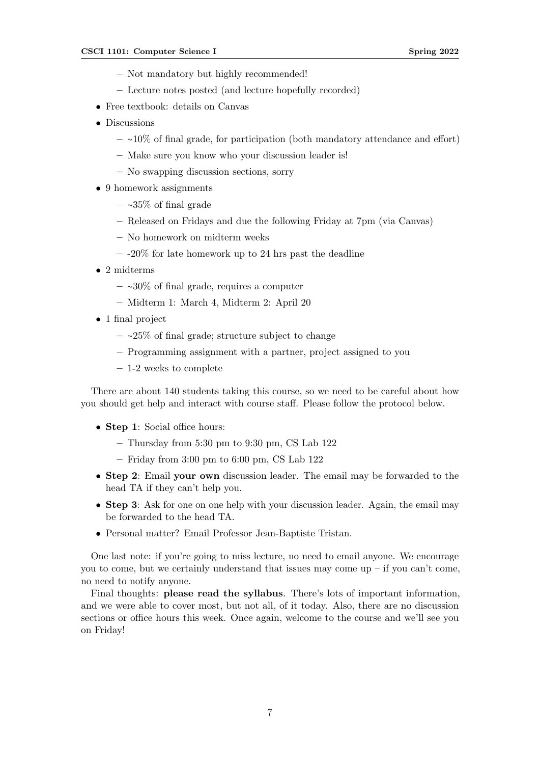- Not mandatory but highly recommended!
- Lecture notes posted (and lecture hopefully recorded)
- Free textbook: details on Canvas
- Discussions
	- ∼10% of final grade, for participation (both mandatory attendance and effort)
	- Make sure you know who your discussion leader is!
	- No swapping discussion sections, sorry
- 9 homework assignments
	- ∼35% of final grade
	- Released on Fridays and due the following Friday at 7pm (via Canvas)
	- No homework on midterm weeks
	- $-$  -20% for late homework up to 24 hrs past the deadline
- 2 midterms
	- ∼30% of final grade, requires a computer
	- Midterm 1: March 4, Midterm 2: April 20
- 1 final project
	- ∼25% of final grade; structure subject to change
	- Programming assignment with a partner, project assigned to you
	- 1-2 weeks to complete

There are about 140 students taking this course, so we need to be careful about how you should get help and interact with course staff. Please follow the protocol below.

- Step 1: Social office hours:
	- $-$  Thursday from 5:30 pm to 9:30 pm, CS Lab 122
	- $-$  Friday from 3:00 pm to 6:00 pm, CS Lab 122
- Step 2: Email your own discussion leader. The email may be forwarded to the head TA if they can't help you.
- Step 3: Ask for one on one help with your discussion leader. Again, the email may be forwarded to the head TA.
- Personal matter? Email Professor Jean-Baptiste Tristan.

One last note: if you're going to miss lecture, no need to email anyone. We encourage you to come, but we certainly understand that issues may come up  $-$  if you can't come, no need to notify anyone.

Final thoughts: please read the syllabus. There's lots of important information, and we were able to cover most, but not all, of it today. Also, there are no discussion sections or office hours this week. Once again, welcome to the course and we'll see you on Friday!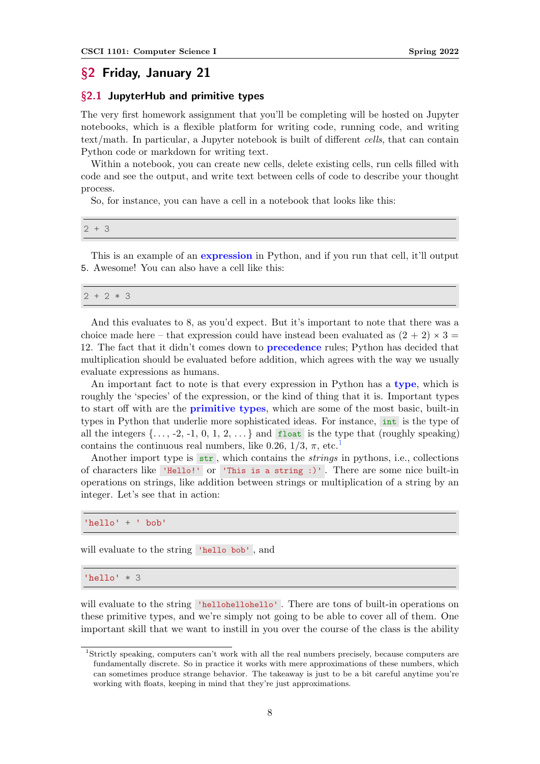# <span id="page-7-0"></span>§2 Friday, January 21

### <span id="page-7-1"></span>§2.1 JupyterHub and primitive types

The very first homework assignment that you'll be completing will be hosted on Jupyter notebooks, which is a flexible platform for writing code, running code, and writing text/math. In particular, a Jupyter notebook is built of different cells, that can contain Python code or markdown for writing text.

Within a notebook, you can create new cells, delete existing cells, run cells filled with code and see the output, and write text between cells of code to describe your thought process.

So, for instance, you can have a cell in a notebook that looks like this:

2 + 3

This is an example of an **expression** in Python, and if you run that cell, it'll output 5. Awesome! You can also have a cell like this:

|--|

And this evaluates to 8, as you'd expect. But it's important to note that there was a choice made here – that expression could have instead been evaluated as  $(2 + 2) \times 3 =$ 12. The fact that it didn't comes down to precedence rules; Python has decided that multiplication should be evaluated before addition, which agrees with the way we usually evaluate expressions as humans.

An important fact to note is that every expression in Python has a type, which is roughly the 'species' of the expression, or the kind of thing that it is. Important types to start off with are the primitive types, which are some of the most basic, built-in types in Python that underlie more sophisticated ideas. For instance, int is the type of all the integers  $\{\ldots, -2, -1, 0, 1, 2, \ldots\}$  and float is the type that (roughly speaking) contains the continuous real numbers, like 0.26,  $1/3$  $1/3$ ,  $\pi$ , etc.<sup>1</sup>

Another import type is  $str$ , which contains the *strings* in pythons, i.e., collections of characters like 'Hello!' or 'This is a string :)' . There are some nice built-in operations on strings, like addition between strings or multiplication of a string by an integer. Let's see that in action:

'hello' + ' bob'

will evaluate to the string 'hello bob' , and

'hello' \* 3

will evaluate to the string 'hellohellohello'. There are tons of built-in operations on these primitive types, and we're simply not going to be able to cover all of them. One important skill that we want to instill in you over the course of the class is the ability

<span id="page-7-2"></span><sup>1</sup> Strictly speaking, computers can't work with all the real numbers precisely, because computers are fundamentally discrete. So in practice it works with mere approximations of these numbers, which can sometimes produce strange behavior. The takeaway is just to be a bit careful anytime you're working with floats, keeping in mind that they're just approximations.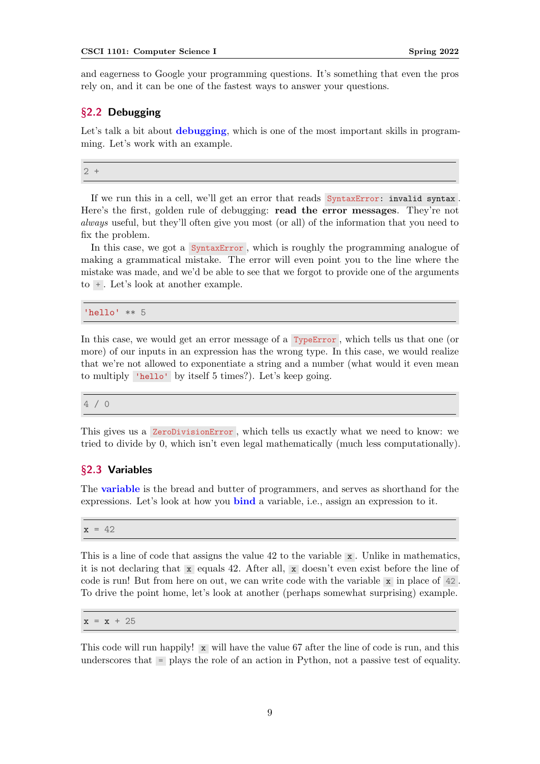and eagerness to Google your programming questions. It's something that even the pros rely on, and it can be one of the fastest ways to answer your questions.

## <span id="page-8-0"></span>§2.2 Debugging

Let's talk a bit about **debugging**, which is one of the most important skills in programming. Let's work with an example.

2 +

If we run this in a cell, we'll get an error that reads SyntaxError: invalid syntax . Here's the first, golden rule of debugging: read the error messages. They're not always useful, but they'll often give you most (or all) of the information that you need to fix the problem.

In this case, we got a SyntaxError , which is roughly the programming analogue of making a grammatical mistake. The error will even point you to the line where the mistake was made, and we'd be able to see that we forgot to provide one of the arguments to + . Let's look at another example.

'hello' \*\* 5

In this case, we would get an error message of a TypeError, which tells us that one (or more) of our inputs in an expression has the wrong type. In this case, we would realize that we're not allowed to exponentiate a string and a number (what would it even mean to multiply 'hello' by itself 5 times?). Let's keep going.

4 / 0

This gives us a ZeroDivisionError , which tells us exactly what we need to know: we tried to divide by 0, which isn't even legal mathematically (much less computationally).

### <span id="page-8-1"></span>§2.3 Variables

The **variable** is the bread and butter of programmers, and serves as shorthand for the expressions. Let's look at how you bind a variable, i.e., assign an expression to it.

 $x = 42$ 

This is a line of code that assigns the value 42 to the variable x . Unlike in mathematics, it is not declaring that x equals 42. After all, x doesn't even exist before the line of code is run! But from here on out, we can write code with the variable  $x$  in place of 42. To drive the point home, let's look at another (perhaps somewhat surprising) example.

 $x = x + 25$ 

This code will run happily! x will have the value 67 after the line of code is run, and this underscores that = plays the role of an action in Python, not a passive test of equality.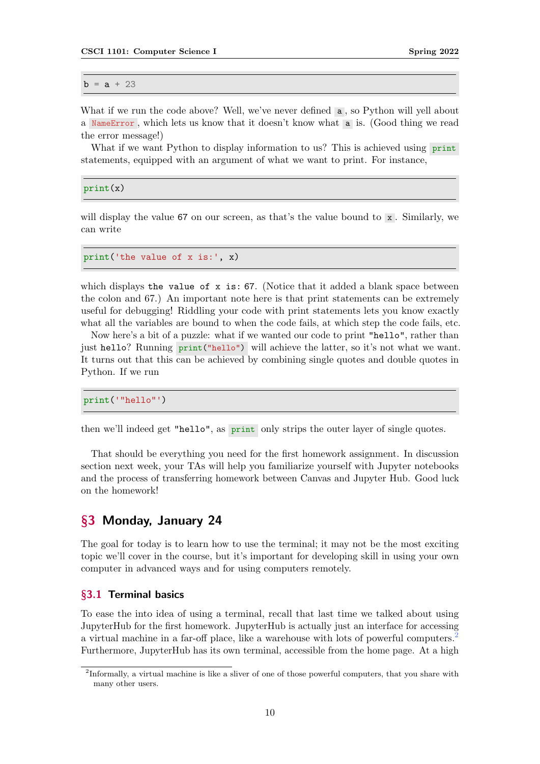$b = a + 23$ 

What if we run the code above? Well, we've never defined **a**, so Python will yell about a NameError , which lets us know that it doesn't know what a is. (Good thing we read the error message!)

What if we want Python to display information to us? This is achieved using print statements, equipped with an argument of what we want to print. For instance,

print(x)

will display the value 67 on our screen, as that's the value bound to  $x$ . Similarly, we can write

print('the value of x is:', x)

which displays the value of  $x$  is: 67. (Notice that it added a blank space between the colon and 67.) An important note here is that print statements can be extremely useful for debugging! Riddling your code with print statements lets you know exactly what all the variables are bound to when the code fails, at which step the code fails, etc.

Now here's a bit of a puzzle: what if we wanted our code to print "hello", rather than just hello? Running print ("hello") will achieve the latter, so it's not what we want. It turns out that this can be achieved by combining single quotes and double quotes in Python. If we run

```
print('"hello"')
```
then we'll indeed get "hello", as print only strips the outer layer of single quotes.

That should be everything you need for the first homework assignment. In discussion section next week, your TAs will help you familiarize yourself with Jupyter notebooks and the process of transferring homework between Canvas and Jupyter Hub. Good luck on the homework!

# <span id="page-9-0"></span>§3 Monday, January 24

The goal for today is to learn how to use the terminal; it may not be the most exciting topic we'll cover in the course, but it's important for developing skill in using your own computer in advanced ways and for using computers remotely.

#### <span id="page-9-1"></span>§3.1 Terminal basics

To ease the into idea of using a terminal, recall that last time we talked about using JupyterHub for the first homework. JupyterHub is actually just an interface for accessing a virtual machine in a far-off place, like a warehouse with lots of powerful computers.[2](#page-9-2) Furthermore, JupyterHub has its own terminal, accessible from the home page. At a high

<span id="page-9-2"></span><sup>&</sup>lt;sup>2</sup>Informally, a virtual machine is like a sliver of one of those powerful computers, that you share with many other users.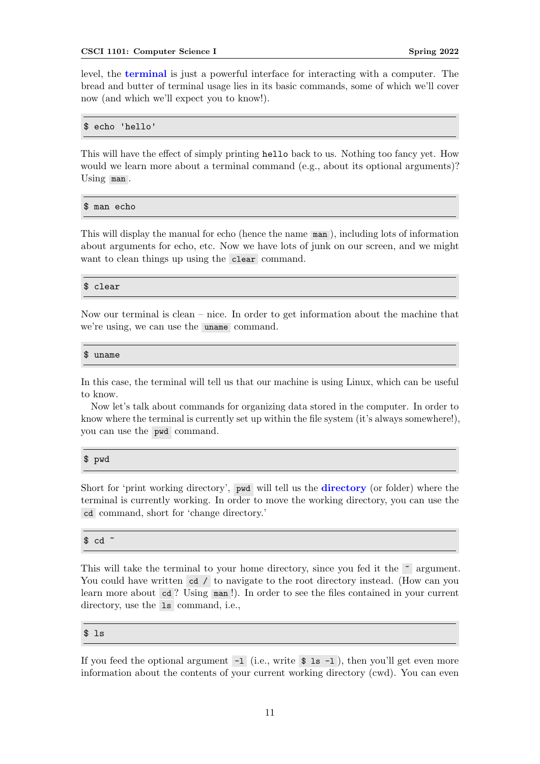level, the terminal is just a powerful interface for interacting with a computer. The bread and butter of terminal usage lies in its basic commands, some of which we'll cover now (and which we'll expect you to know!).

### \$ echo 'hello'

This will have the effect of simply printing hello back to us. Nothing too fancy yet. How would we learn more about a terminal command (e.g., about its optional arguments)? Using man .

\$ man echo

This will display the manual for echo (hence the name man ), including lots of information about arguments for echo, etc. Now we have lots of junk on our screen, and we might want to clean things up using the clear command.

#### \$ clear

Now our terminal is clean – nice. In order to get information about the machine that we're using, we can use the uname command.

#### \$ uname

In this case, the terminal will tell us that our machine is using Linux, which can be useful to know.

Now let's talk about commands for organizing data stored in the computer. In order to know where the terminal is currently set up within the file system (it's always somewhere!), you can use the pwd command.

#### \$ pwd

Short for 'print working directory', pwd will tell us the directory (or folder) where the terminal is currently working. In order to move the working directory, you can use the cd command, short for 'change directory.'

```
$ cd \degree
```
This will take the terminal to your home directory, since you fed it the  $\sim$  argument. You could have written cd / to navigate to the root directory instead. (How can you learn more about cd? Using man!). In order to see the files contained in your current directory, use the 1s command, i.e.,

#### \$ ls

If you feed the optional argument  $-1$  (i.e., write  $\frac{1}{2}$  is  $-1$ ), then you'll get even more information about the contents of your current working directory (cwd). You can even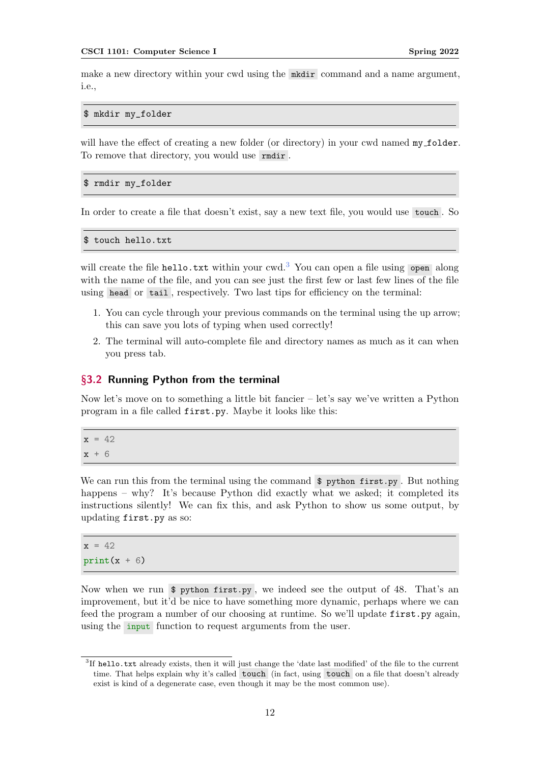make a new directory within your cwd using the model a name argument, i.e.,

\$ mkdir my\_folder

will have the effect of creating a new folder (or directory) in your cwd named  $my\_folder$ . To remove that directory, you would use rmdir .

```
$ rmdir my_folder
```
In order to create a file that doesn't exist, say a new text file, you would use touch . So

\$ touch hello.txt

will create the file hello.txt within your cwd.<sup>[3](#page-11-1)</sup> You can open a file using open along with the name of the file, and you can see just the first few or last few lines of the file using head or tail , respectively. Two last tips for efficiency on the terminal:

- 1. You can cycle through your previous commands on the terminal using the up arrow; this can save you lots of typing when used correctly!
- 2. The terminal will auto-complete file and directory names as much as it can when you press tab.

#### <span id="page-11-0"></span>§3.2 Running Python from the terminal

Now let's move on to something a little bit fancier – let's say we've written a Python program in a file called first.py. Maybe it looks like this:

 $x = 42$  $x + 6$ 

We can run this from the terminal using the command  $\hat{\mathbf{v}}$  python first.py. But nothing happens – why? It's because Python did exactly what we asked; it completed its instructions silently! We can fix this, and ask Python to show us some output, by updating first.py as so:

 $x = 42$  $print(x + 6)$ 

Now when we run \$ python first.py , we indeed see the output of 48. That's an improvement, but it'd be nice to have something more dynamic, perhaps where we can feed the program a number of our choosing at runtime. So we'll update first.py again, using the **input** function to request arguments from the user.

<span id="page-11-1"></span><sup>&</sup>lt;sup>3</sup>If hello.txt already exists, then it will just change the 'date last modified' of the file to the current time. That helps explain why it's called touch (in fact, using touch on a file that doesn't already exist is kind of a degenerate case, even though it may be the most common use).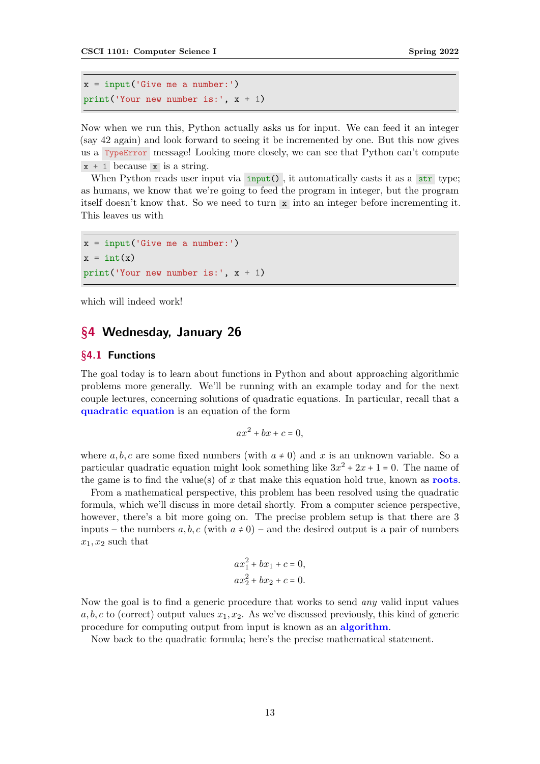```
x = input('Give me a number:')print('Your new number is:', x + 1)
```
Now when we run this, Python actually asks us for input. We can feed it an integer (say 42 again) and look forward to seeing it be incremented by one. But this now gives us a TypeError message! Looking more closely, we can see that Python can't compute  $x + 1$  because x is a string.

When Python reads user input via  $\text{input}()$ , it automatically casts it as a str type; as humans, we know that we're going to feed the program in integer, but the program itself doesn't know that. So we need to turn x into an integer before incrementing it. This leaves us with

```
x = input('Give me a number:')x = int(x)print('Your new number is:', x + 1)
```
which will indeed work!

# <span id="page-12-0"></span>§4 Wednesday, January 26

# <span id="page-12-1"></span>§4.1 Functions

The goal today is to learn about functions in Python and about approaching algorithmic problems more generally. We'll be running with an example today and for the next couple lectures, concerning solutions of quadratic equations. In particular, recall that a quadratic equation is an equation of the form

$$
ax^2 + bx + c = 0,
$$

where a, b, c are some fixed numbers (with  $a \neq 0$ ) and x is an unknown variable. So a particular quadratic equation might look something like  $3x^2 + 2x + 1 = 0$ . The name of the game is to find the value(s) of x that make this equation hold true, known as **roots**.

From a mathematical perspective, this problem has been resolved using the quadratic formula, which we'll discuss in more detail shortly. From a computer science perspective, however, there's a bit more going on. The precise problem setup is that there are 3 inputs – the numbers  $a, b, c$  (with  $a \neq 0$ ) – and the desired output is a pair of numbers  $x_1, x_2$  such that

$$
ax_1^2 + bx_1 + c = 0,
$$
  

$$
ax_2^2 + bx_2 + c = 0.
$$

Now the goal is to find a generic procedure that works to send any valid input values a, b, c to (correct) output values  $x_1, x_2$ . As we've discussed previously, this kind of generic procedure for computing output from input is known as an **algorithm**.

Now back to the quadratic formula; here's the precise mathematical statement.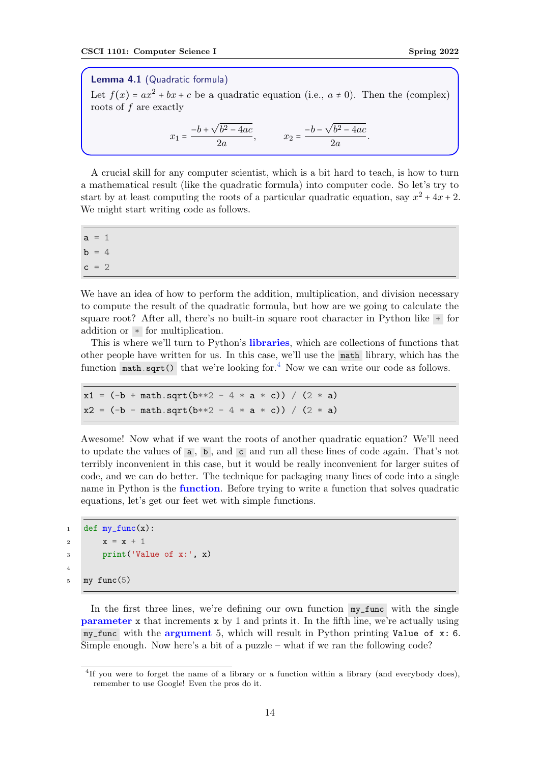Lemma 4.1 (Quadratic formula)

Let  $f(x) = ax^2 + bx + c$  be a quadratic equation (i.e.,  $a \neq 0$ ). Then the (complex) roots of f are exactly

$$
x_1 = \frac{-b + \sqrt{b^2 - 4ac}}{2a}, \qquad x_2 = \frac{-b - \sqrt{b^2 - 4ac}}{2a}.
$$

A crucial skill for any computer scientist, which is a bit hard to teach, is how to turn a mathematical result (like the quadratic formula) into computer code. So let's try to start by at least computing the roots of a particular quadratic equation, say  $x^2 + 4x + 2$ . We might start writing code as follows.

 $a = 1$  $b = 4$  $c = 2$ 

We have an idea of how to perform the addition, multiplication, and division necessary to compute the result of the quadratic formula, but how are we going to calculate the square root? After all, there's no built-in square root character in Python like + for addition or \* for multiplication.

This is where we'll turn to Python's libraries, which are collections of functions that other people have written for us. In this case, we'll use the math library, which has the function math.sqrt() that we're looking for.<sup>[4](#page-13-0)</sup> Now we can write our code as follows.

```
x1 = (-b + math.sqrt(b**2 - 4 * a * c)) / (2 * a)x2 = (-b - math.sqrt(b**2 - 4 * a * c)) / (2 * a)
```
Awesome! Now what if we want the roots of another quadratic equation? We'll need to update the values of a , b , and c and run all these lines of code again. That's not terribly inconvenient in this case, but it would be really inconvenient for larger suites of code, and we can do better. The technique for packaging many lines of code into a single name in Python is the **function**. Before trying to write a function that solves quadratic equations, let's get our feet wet with simple functions.

```
1 def my\_func(x):
2 x = x + 13 print('Value of x:', x)
4
5 my func(5)
```
In the first three lines, we're defining our own function my\_func with the single parameter x that increments x by 1 and prints it. In the fifth line, we're actually using  $my\_func$  with the argument 5, which will result in Python printing Value of  $x: 6$ . Simple enough. Now here's a bit of a puzzle – what if we ran the following code?

<span id="page-13-0"></span><sup>&</sup>lt;sup>4</sup>If you were to forget the name of a library or a function within a library (and everybody does), remember to use Google! Even the pros do it.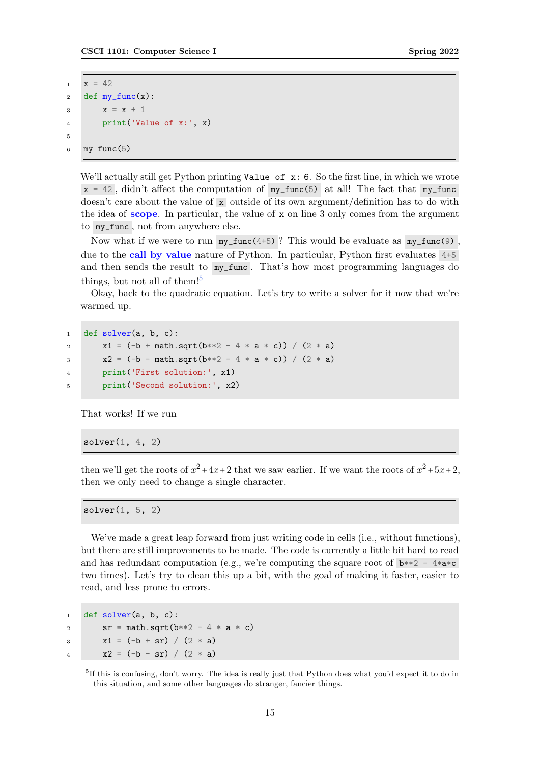```
1 \times = 422 def my\_func(x):
3 x = x + 14 print('Value of x:', x)
5
6 my func(5)
```
We'll actually still get Python printing Value of  $x: 6$ . So the first line, in which we wrote  $x = 42$ , didn't affect the computation of  $my\_func(5)$  at all! The fact that  $my\_func$ doesn't care about the value of x outside of its own argument/definition has to do with the idea of scope. In particular, the value of  $x$  on line 3 only comes from the argument to my\_func , not from anywhere else.

Now what if we were to run  $my\_func(4+5)$ ? This would be evaluate as  $my\_func(9)$ , due to the call by value nature of Python. In particular, Python first evaluates 4+5 and then sends the result to  $my\_func$ . That's how most programming languages do things, but not all of them!<sup>[5](#page-14-0)</sup>

Okay, back to the quadratic equation. Let's try to write a solver for it now that we're warmed up.

```
1 def solver(a, b, c):
x1 = (-b + \text{math.sqrt}(b**2 - 4 * a * c)) / (2 * a)x^2 = (-b - \text{math}.\text{sqrt}(b**2 - 4 * a * c)) / (2 * a)
```

```
4 print('First solution:', x1)
5 print('Second solution:', x2)
```
That works! If we run

 $solver(1, 4, 2)$ 

then we'll get the roots of  $x^2 + 4x + 2$  that we saw earlier. If we want the roots of  $x^2 + 5x + 2$ , then we only need to change a single character.

solver(1, 5, 2)

We've made a great leap forward from just writing code in cells (i.e., without functions), but there are still improvements to be made. The code is currently a little bit hard to read and has redundant computation (e.g., we're computing the square root of  $\mathbf{b}^{**2}$  -  $4^*\mathbf{a}^*\mathbf{c}$ two times). Let's try to clean this up a bit, with the goal of making it faster, easier to read, and less prone to errors.

```
1 def solver(a, b, c):
2 \text{ sr} = \text{math}.\text{sqrt}(b**2 - 4 * a * c)3 x1 = (-b + sr) / (2 * a)x2 = (-b - sr) / (2 * a)
```
<span id="page-14-0"></span><sup>&</sup>lt;sup>5</sup>If this is confusing, don't worry. The idea is really just that Python does what you'd expect it to do in this situation, and some other languages do stranger, fancier things.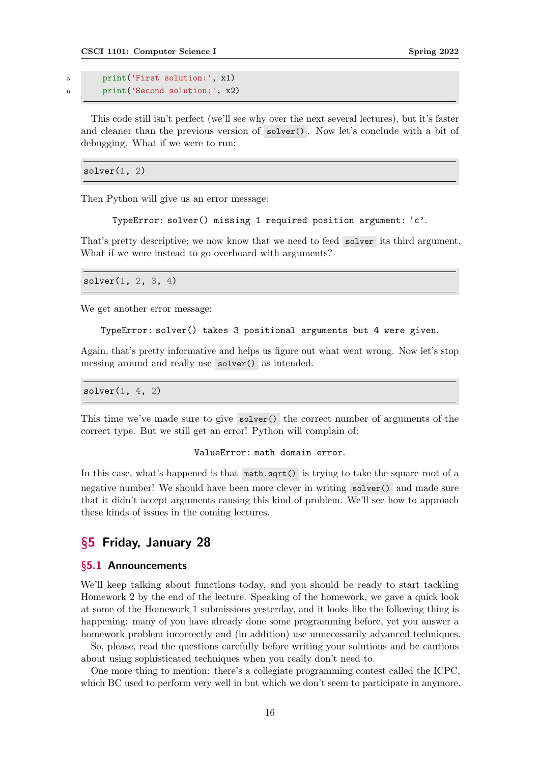<sup>5</sup> print('First solution:', x1) <sup>6</sup> print('Second solution:', x2)

This code still isn't perfect (we'll see why over the next several lectures), but it's faster and cleaner than the previous version of solver() . Now let's conclude with a bit of debugging. What if we were to run:

 $solver(1, 2)$ 

Then Python will give us an error message:

TypeError: solver() missing 1 required position argument: 'c'.

That's pretty descriptive; we now know that we need to feed solver its third argument. What if we were instead to go overboard with arguments?

 $solver(1, 2, 3, 4)$ 

We get another error message:

```
TypeError: solver() takes 3 positional arguments but 4 were given.
```
Again, that's pretty informative and helps us figure out what went wrong. Now let's stop messing around and really use solver() as intended.

 $solver(1, 4, 2)$ 

This time we've made sure to give solver() the correct number of arguments of the correct type. But we still get an error! Python will complain of:

#### ValueError: math domain error.

In this case, what's happened is that math.sqrt() is trying to take the square root of a negative number! We should have been more clever in writing solver() and made sure that it didn't accept arguments causing this kind of problem. We'll see how to approach these kinds of issues in the coming lectures.

# <span id="page-15-0"></span>§5 Friday, January 28

#### <span id="page-15-1"></span>§5.1 Announcements

We'll keep talking about functions today, and you should be ready to start tackling Homework 2 by the end of the lecture. Speaking of the homework, we gave a quick look at some of the Homework 1 submissions yesterday, and it looks like the following thing is happening: many of you have already done some programming before, yet you answer a homework problem incorrectly and (in addition) use unnecessarily advanced techniques.

So, please, read the questions carefully before writing your solutions and be cautious about using sophisticated techniques when you really don't need to.

One more thing to mention: there's a collegiate programming contest called the ICPC, which BC used to perform very well in but which we don't seem to participate in anymore.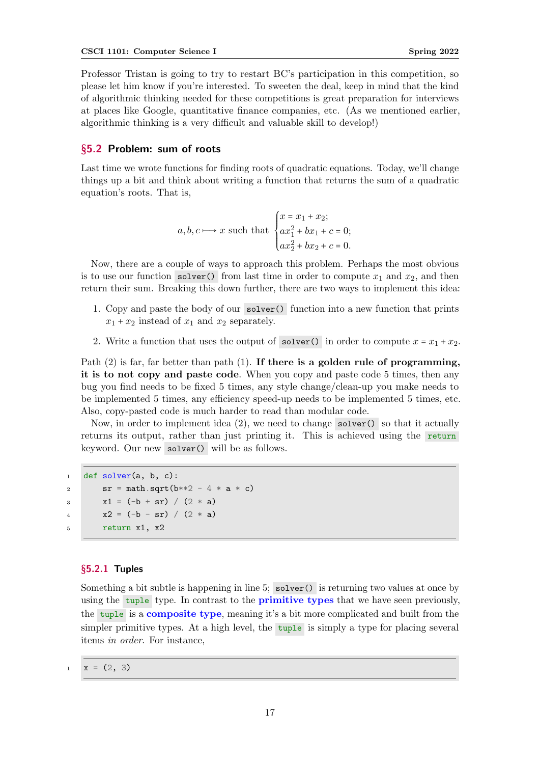Professor Tristan is going to try to restart BC's participation in this competition, so please let him know if you're interested. To sweeten the deal, keep in mind that the kind of algorithmic thinking needed for these competitions is great preparation for interviews at places like Google, quantitative finance companies, etc. (As we mentioned earlier, algorithmic thinking is a very difficult and valuable skill to develop!)

# <span id="page-16-0"></span>§5.2 Problem: sum of roots

Last time we wrote functions for finding roots of quadratic equations. Today, we'll change things up a bit and think about writing a function that returns the sum of a quadratic equation's roots. That is,

$$
a, b, c \longrightarrow x
$$
 such that 
$$
\begin{cases} x = x_1 + x_2; \\ ax_1^2 + bx_1 + c = 0; \\ ax_2^2 + bx_2 + c = 0. \end{cases}
$$

Now, there are a couple of ways to approach this problem. Perhaps the most obvious is to use our function solver() from last time in order to compute  $x_1$  and  $x_2$ , and then return their sum. Breaking this down further, there are two ways to implement this idea:

- 1. Copy and paste the body of our solver() function into a new function that prints  $x_1 + x_2$  instead of  $x_1$  and  $x_2$  separately.
- 2. Write a function that uses the output of solver() in order to compute  $x = x_1 + x_2$ .

Path (2) is far, far better than path (1). If there is a golden rule of programming, it is to not copy and paste code. When you copy and paste code 5 times, then any bug you find needs to be fixed 5 times, any style change/clean-up you make needs to be implemented 5 times, any efficiency speed-up needs to be implemented 5 times, etc. Also, copy-pasted code is much harder to read than modular code.

Now, in order to implement idea (2), we need to change solver() so that it actually returns its output, rather than just printing it. This is achieved using the return keyword. Our new solver() will be as follows.

```
1 def solver(a, b, c):
2 \text{ sr} = \text{math}.\text{sqrt}(b**2 - 4 * a * c)3 x1 = (-b + sr) / (2 * a)x^2 = (-b - sr) / (2 * a)5 return x1, x2
```
### <span id="page-16-1"></span>§5.2.1 Tuples

Something a bit subtle is happening in line 5; solver() is returning two values at once by using the tuple type. In contrast to the **primitive types** that we have seen previously, the tuple is a composite type, meaning it's a bit more complicated and built from the simpler primitive types. At a high level, the tuple is simply a type for placing several items in order. For instance,

 $x = (2, 3)$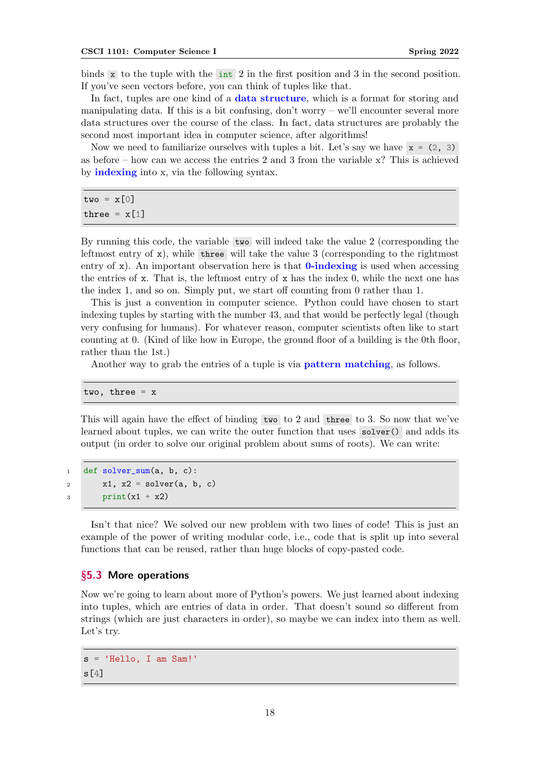binds x to the tuple with the int 2 in the first position and 3 in the second position. If you've seen vectors before, you can think of tuples like that.

In fact, tuples are one kind of a **data structure**, which is a format for storing and manipulating data. If this is a bit confusing, don't worry – we'll encounter several more data structures over the course of the class. In fact, data structures are probably the second most important idea in computer science, after algorithms!

Now we need to familiarize ourselves with tuples a bit. Let's say we have  $x = (2, 3)$ as before – how can we access the entries 2 and 3 from the variable x? This is achieved by indexing into x, via the following syntax.

 $two = x[0]$ three =  $x[1]$ 

By running this code, the variable two will indeed take the value 2 (corresponding the leftmost entry of  $x$ ), while three will take the value 3 (corresponding to the rightmost entry of  $x$ ). An important observation here is that **0-indexing** is used when accessing the entries of  $x$ . That is, the leftmost entry of  $x$  has the index 0, while the next one has the index 1, and so on. Simply put, we start off counting from 0 rather than 1.

This is just a convention in computer science. Python could have chosen to start indexing tuples by starting with the number 43, and that would be perfectly legal (though very confusing for humans). For whatever reason, computer scientists often like to start counting at 0. (Kind of like how in Europe, the ground floor of a building is the 0th floor, rather than the 1st.)

Another way to grab the entries of a tuple is via pattern matching, as follows.

two, three  $= x$ 

This will again have the effect of binding two to 2 and three to 3. So now that we've learned about tuples, we can write the outer function that uses solver() and adds its output (in order to solve our original problem about sums of roots). We can write:

<sup>1</sup> def solver\_sum(a, b, c):  $x_1, x_2 = \text{solve}(a, b, c)$  $\sinh(x1 + x2)$ 

Isn't that nice? We solved our new problem with two lines of code! This is just an example of the power of writing modular code, i.e., code that is split up into several functions that can be reused, rather than huge blocks of copy-pasted code.

#### <span id="page-17-0"></span>§5.3 More operations

Now we're going to learn about more of Python's powers. We just learned about indexing into tuples, which are entries of data in order. That doesn't sound so different from strings (which are just characters in order), so maybe we can index into them as well. Let's try.

s = 'Hello, I am Sam!'  $s[4]$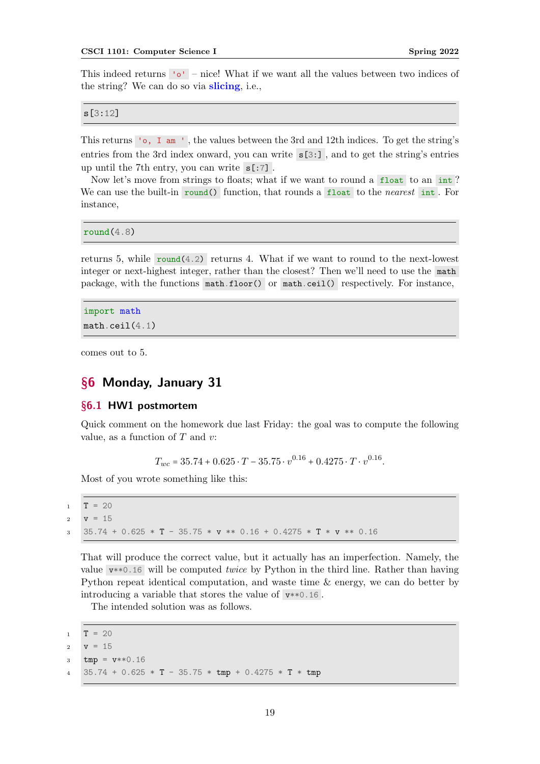This indeed returns 'o' – nice! What if we want all the values between two indices of the string? We can do so via **slicing**, i.e.,

s[3:12]

This returns 'o, I am ' , the values between the 3rd and 12th indices. To get the string's entries from the 3rd index onward, you can write  $s[3:]$ , and to get the string's entries up until the 7th entry, you can write s[:7] .

Now let's move from strings to floats; what if we want to round a float to an int? We can use the built-in round() function, that rounds a float to the nearest int. For instance,

 $round(4.8)$ 

returns 5, while  $round(4.2)$  returns 4. What if we want to round to the next-lowest integer or next-highest integer, rather than the closest? Then we'll need to use the math package, with the functions math.floor() or math.ceil() respectively. For instance,

```
import math
math.ceil(4.1)
```
comes out to 5.

# <span id="page-18-0"></span>§6 Monday, January 31

### <span id="page-18-1"></span>§6.1 HW1 postmortem

Quick comment on the homework due last Friday: the goal was to compute the following value, as a function of  $T$  and  $v$ :

 $T_{wc} = 35.74 + 0.625 \cdot T - 35.75 \cdot v^{0.16} + 0.4275 \cdot T \cdot v^{0.16}.$ 

Most of you wrote something like this:

 $1$  T = 20

```
2 v = 15
```
<sup>3</sup> 35.74 + 0.625 \* T - 35.75 \* v \*\* 0.16 + 0.4275 \* T \* v \*\* 0.16

That will produce the correct value, but it actually has an imperfection. Namely, the value  $v^{**0.16}$  will be computed *twice* by Python in the third line. Rather than having Python repeat identical computation, and waste time & energy, we can do better by introducing a variable that stores the value of  $v**0.16$ .

The intended solution was as follows.

 $1$  T = 20 2  $v = 15$ 

- $3$  tmp =  $v**0.16$
- <sup>4</sup> 35.74 + 0.625 \* T 35.75 \* tmp + 0.4275 \* T \* tmp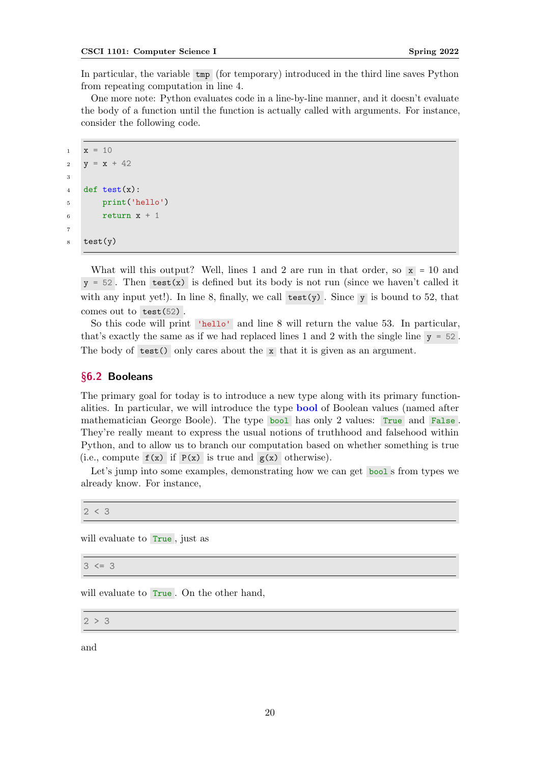In particular, the variable tmp (for temporary) introduced in the third line saves Python from repeating computation in line 4.

One more note: Python evaluates code in a line-by-line manner, and it doesn't evaluate the body of a function until the function is actually called with arguments. For instance, consider the following code.

```
_1 x = 102 y = x + 42\overline{3}4 def test(x):
5 print('hello')
6 return x + 17
8 test(y)
```
What will this output? Well, lines 1 and 2 are run in that order, so  $x = 10$  and  $y = 52$ . Then test(x) is defined but its body is not run (since we haven't called it with any input yet!). In line 8, finally, we call test(y). Since y is bound to 52, that comes out to test(52).

So this code will print 'hello' and line 8 will return the value 53. In particular, that's exactly the same as if we had replaced lines 1 and 2 with the single line y = 52 . The body of test() only cares about the x that it is given as an argument.

### <span id="page-19-0"></span>§6.2 Booleans

The primary goal for today is to introduce a new type along with its primary functionalities. In particular, we will introduce the type bool of Boolean values (named after mathematician George Boole). The type bool has only 2 values: True and False . They're really meant to express the usual notions of truthhood and falsehood within Python, and to allow us to branch our computation based on whether something is true (i.e., compute  $f(x)$  if  $P(x)$  is true and  $g(x)$  otherwise).

Let's jump into some examples, demonstrating how we can get bool s from types we already know. For instance,

 $2 < 3$ 

will evaluate to True, just as

 $3 \leq 3$ 

will evaluate to **True**. On the other hand,

 $2 > 3$ 

and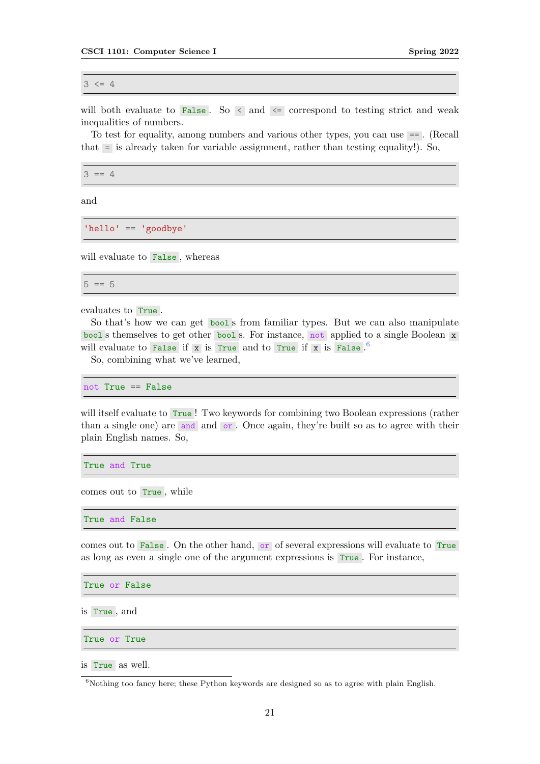$3 \leq 4$ 

will both evaluate to False. So  $\leq$  and  $\leq$  correspond to testing strict and weak inequalities of numbers.

To test for equality, among numbers and various other types, you can use == . (Recall that = is already taken for variable assignment, rather than testing equality!). So,

 $3 == 4$ 

and

'hello' == 'goodbye'

will evaluate to False , whereas

 $5 == 5$ 

evaluates to True .

So that's how we can get bool s from familiar types. But we can also manipulate bool s themselves to get other bool s. For instance, not applied to a single Boolean x will evaluate to False if x is True and to True if x is False.<sup>[6](#page-20-0)</sup>

So, combining what we've learned,

not True == False

will itself evaluate to True ! Two keywords for combining two Boolean expressions (rather than a single one) are and and or . Once again, they're built so as to agree with their plain English names. So,

True and True

comes out to True , while

True and False

comes out to False . On the other hand, or of several expressions will evaluate to True as long as even a single one of the argument expressions is True . For instance,

True or False

is True , and

True or True

is True as well.

<span id="page-20-0"></span> $6$ Nothing too fancy here; these Python keywords are designed so as to agree with plain English.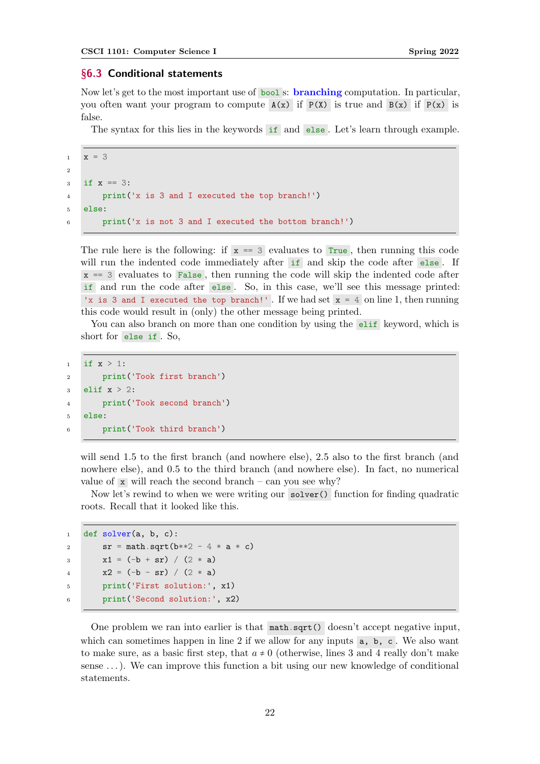#### <span id="page-21-0"></span>§6.3 Conditional statements

Now let's get to the most important use of **bool** s: **branching** computation. In particular, you often want your program to compute  $A(x)$  if  $P(X)$  is true and  $B(x)$  if  $P(x)$  is false.

The syntax for this lies in the keywords if and else. Let's learn through example.

```
x = 32
3 if x == 3:
4 print('x is 3 and I executed the top branch!')
5 else:
6 print('x is not 3 and I executed the bottom branch!')
```
The rule here is the following: if  $x == 3$  evaluates to True, then running this code will run the indented code immediately after if and skip the code after else. If  $x = 3$  evaluates to False, then running the code will skip the indented code after if and run the code after else . So, in this case, we'll see this message printed: 'x is 3 and I executed the top branch!' . If we had set  $x = 4$  on line 1, then running this code would result in (only) the other message being printed.

You can also branch on more than one condition by using the elif keyword, which is short for else if . So,

```
1 if x > 1:
2 print('Took first branch')
3 elif x > 2:
4 print('Took second branch')
5 else:
6 print('Took third branch')
```
will send 1.5 to the first branch (and nowhere else), 2.5 also to the first branch (and nowhere else), and 0.5 to the third branch (and nowhere else). In fact, no numerical value of  $\bar{x}$  will reach the second branch – can you see why?

Now let's rewind to when we were writing our solver() function for finding quadratic roots. Recall that it looked like this.

```
1 def solver(a, b, c):
2 sr = math.sqrt(b**2 - 4 * a * c)3 x1 = (-b + sr) / (2 * a)4 x2 = (-b - sr) / (2 * a)5 print('First solution:', x1)
6 print('Second solution:', x2)
```
One problem we ran into earlier is that math.sqrt() doesn't accept negative input, which can sometimes happen in line 2 if we allow for any inputs  $a, b, c$ . We also want to make sure, as a basic first step, that  $a \neq 0$  (otherwise, lines 3 and 4 really don't make sense . . .). We can improve this function a bit using our new knowledge of conditional statements.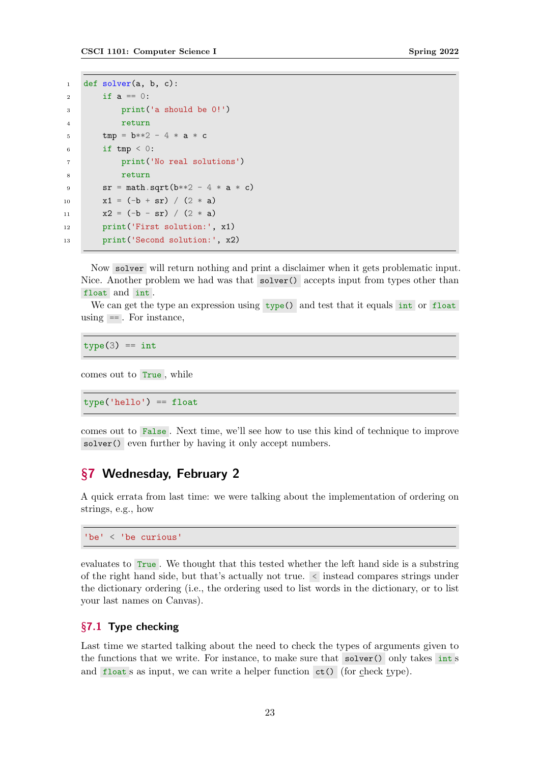```
1 def solver(a, b, c):
2 if a == 0:
3 print('a should be 0!')
4 return
5 \text{tmp} = \text{b}**2 - 4 * a * c6 if tmp < 0:
          print('No real solutions')
          return
9 sr = math.sqrt(b**2 - 4 * a * c)10 x1 = (-b + sr) / (2 * a)11 x2 = (-b - sr) / (2 * a)12 print('First solution:', x1)
13 print('Second solution:', x2)
```
Now solver will return nothing and print a disclaimer when it gets problematic input. Nice. Another problem we had was that solver() accepts input from types other than float and int .

We can get the type an expression using  $type()$  and test that it equals int or float using  $=$  . For instance,

 $type(3) == int$ 

comes out to True , while

 $type('hello') == float$ 

comes out to False . Next time, we'll see how to use this kind of technique to improve solver() even further by having it only accept numbers.

# <span id="page-22-0"></span>§7 Wednesday, February 2

A quick errata from last time: we were talking about the implementation of ordering on strings, e.g., how

'be' < 'be curious'

evaluates to True . We thought that this tested whether the left hand side is a substring of the right hand side, but that's actually not true. < instead compares strings under the dictionary ordering (i.e., the ordering used to list words in the dictionary, or to list your last names on Canvas).

# <span id="page-22-1"></span>§7.1 Type checking

Last time we started talking about the need to check the types of arguments given to the functions that we write. For instance, to make sure that solver() only takes int s and float s as input, we can write a helper function  $ct()$  (for check type).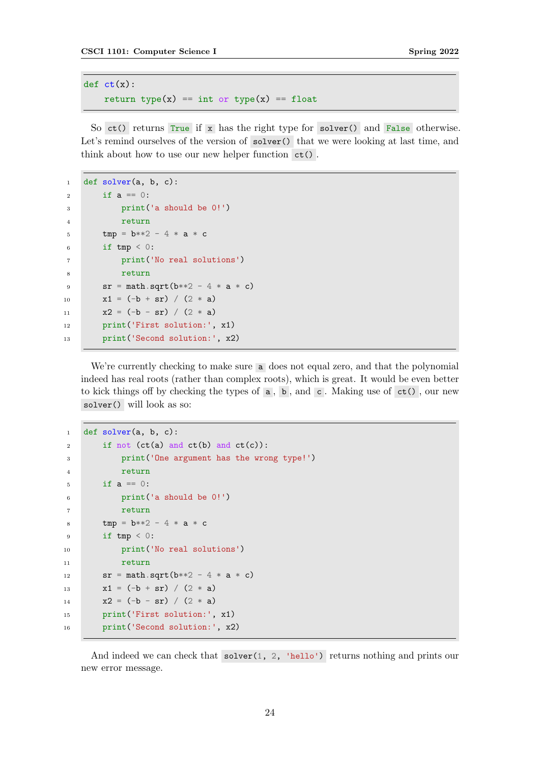```
def ct(x):
    return type(x) == int or type(x) == float
```
So ct() returns True if x has the right type for solver() and False otherwise. Let's remind ourselves of the version of  $solver()$  that we were looking at last time, and think about how to use our new helper function ct() .

```
1 def solver(a, b, c):
2 if a = 0:
3 print('a should be 0!')
4 return
5 tmp = b**2 - 4 * a * c)6 if tmp < 0:
7 print('No real solutions')
8 return
9 sr = math.sqrt(b**2 - 4 * a * c)10 x1 = (-b + sr) / (2 * a)11 x2 = (-b - sr) / (2 * a)12 print('First solution:', x1)
13 print('Second solution:', x2)
```
We're currently checking to make sure a does not equal zero, and that the polynomial indeed has real roots (rather than complex roots), which is great. It would be even better to kick things off by checking the types of  $\mathsf{a}$ ,  $\mathsf{b}$ , and  $\mathsf{c}$ . Making use of  $\mathsf{ct}(\mathsf{)}$ , our new solver() will look as so:

```
1 def solver(a, b, c):
2 if not (ct(a) and ct(b) and ct(c):
3 print('One argument has the wrong type!')
4 return
5 if a == 0:
6 print('a should be 0!')
7 return
8 tmp = b**2 - 4 * a * c)9 if tmp < 0:
10 print('No real solutions')
11 return
12 sr = math.sqrt(b**2 - 4 * a * c)13 x1 = (-b + sr) / (2 * a)14 x2 = (-b - sr) / (2 * a)15 print('First solution:', x1)
16 print('Second solution:', x2)
```
And indeed we can check that solver(1, 2, 'hello') returns nothing and prints our new error message.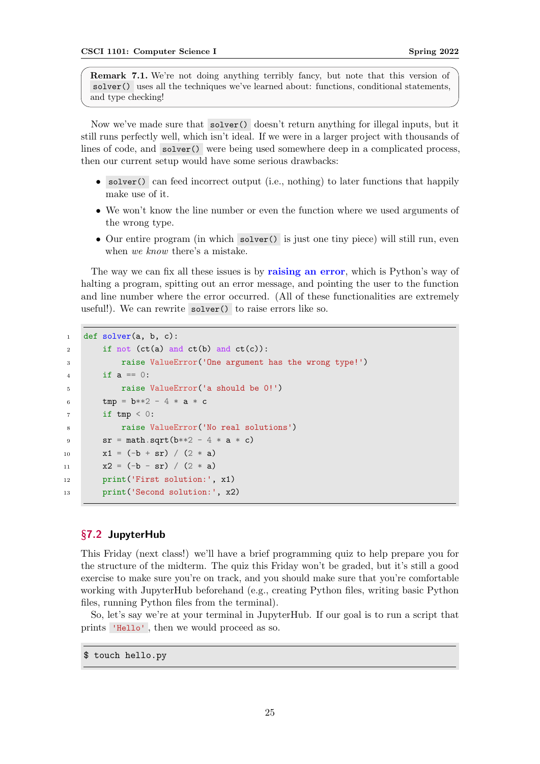Remark 7.1. We're not doing anything terribly fancy, but note that this version of solver() uses all the techniques we've learned about: functions, conditional statements, and type checking!

Now we've made sure that solver() doesn't return anything for illegal inputs, but it still runs perfectly well, which isn't ideal. If we were in a larger project with thousands of lines of code, and solver() were being used somewhere deep in a complicated process, then our current setup would have some serious drawbacks:

- solver() can feed incorrect output (i.e., nothing) to later functions that happily make use of it.
- We won't know the line number or even the function where we used arguments of the wrong type.
- Our entire program (in which solver() is just one tiny piece) will still run, even when we know there's a mistake.

The way we can fix all these issues is by raising an error, which is Python's way of halting a program, spitting out an error message, and pointing the user to the function and line number where the error occurred. (All of these functionalities are extremely useful!). We can rewrite solver() to raise errors like so.

```
1 def solver(a, b, c):
2 if not (ct(a) and ct(b) and ct(c):
3 raise ValueError('One argument has the wrong type!')
4 if a == 0:
5 raise ValueError('a should be 0!')
6 tmp = b**2 - 4 * a * c)if tmp < 0:
8 raise ValueError('No real solutions')
9 sr = math.sqrt(b**2 - 4 * a * c)10 x1 = (-b + sr) / (2 * a)11 x2 = (-b - sr) / (2 * a)12 print('First solution:', x1)
13 print('Second solution:', x2)
```
#### <span id="page-24-0"></span>§7.2 JupyterHub

This Friday (next class!) we'll have a brief programming quiz to help prepare you for the structure of the midterm. The quiz this Friday won't be graded, but it's still a good exercise to make sure you're on track, and you should make sure that you're comfortable working with JupyterHub beforehand (e.g., creating Python files, writing basic Python files, running Python files from the terminal).

So, let's say we're at your terminal in JupyterHub. If our goal is to run a script that prints 'Hello' , then we would proceed as so.

\$ touch hello.py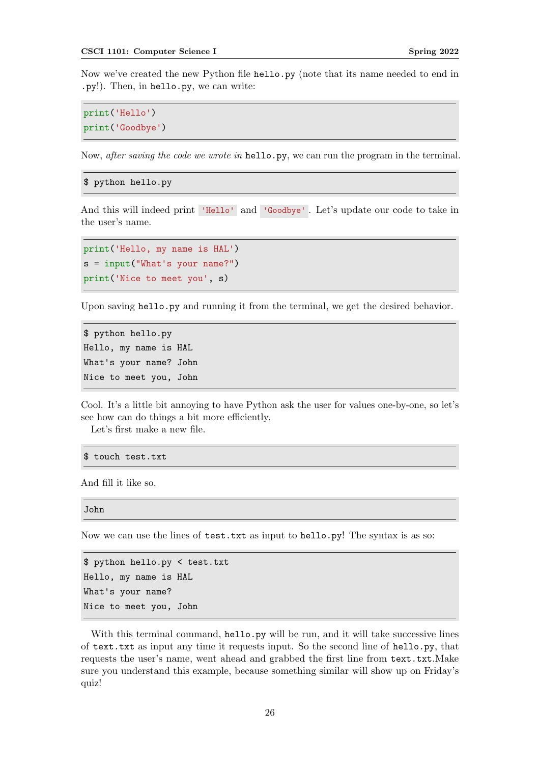Now we've created the new Python file hello.py (note that its name needed to end in .py!). Then, in hello.py, we can write:

```
print('Hello')
print('Goodbye')
```
Now, *after saving the code we wrote in* hello.py, we can run the program in the terminal.

\$ python hello.py

And this will indeed print 'Hello' and 'Goodbye' . Let's update our code to take in the user's name.

```
print('Hello, my name is HAL')
s = input("What's your name?")
print('Nice to meet you', s)
```
Upon saving hello.py and running it from the terminal, we get the desired behavior.

```
$ python hello.py
Hello, my name is HAL
What's your name? John
Nice to meet you, John
```
Cool. It's a little bit annoying to have Python ask the user for values one-by-one, so let's see how can do things a bit more efficiently.

Let's first make a new file.

```
$ touch test.txt
```
And fill it like so.

John

Now we can use the lines of test.txt as input to hello.py! The syntax is as so:

```
$ python hello.py < test.txt
Hello, my name is HAL
What's your name?
Nice to meet you, John
```
With this terminal command, hello.py will be run, and it will take successive lines of text.txt as input any time it requests input. So the second line of hello.py, that requests the user's name, went ahead and grabbed the first line from text.txt.Make sure you understand this example, because something similar will show up on Friday's quiz!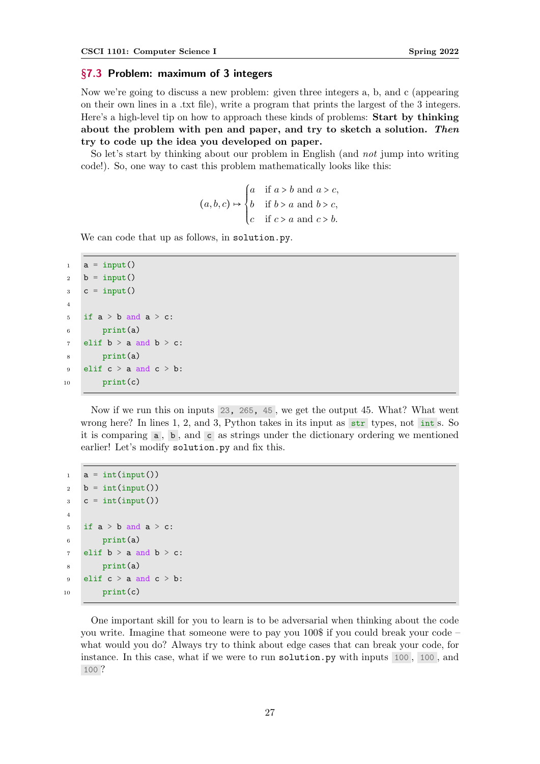#### <span id="page-26-0"></span>§7.3 Problem: maximum of 3 integers

Now we're going to discuss a new problem: given three integers a, b, and c (appearing on their own lines in a .txt file), write a program that prints the largest of the 3 integers. Here's a high-level tip on how to approach these kinds of problems: Start by thinking about the problem with pen and paper, and try to sketch a solution. Then try to code up the idea you developed on paper.

So let's start by thinking about our problem in English (and not jump into writing code!). So, one way to cast this problem mathematically looks like this:

$$
(a, b, c) \mapsto \begin{cases} a & \text{if } a > b \text{ and } a > c, \\ b & \text{if } b > a \text{ and } b > c, \\ c & \text{if } c > a \text{ and } c > b. \end{cases}
$$

We can code that up as follows, in solution.py.

```
1 a = input()
2 b = input()
3 \quad c = input()4
5 if a > b and a > c:
6 print(a)
7 elif b > a and b > c:
8 print(a)
9 elif c > a and c > b:
_{10} print(c)
```
Now if we run this on inputs 23, 265, 45 , we get the output 45. What? What went wrong here? In lines 1, 2, and 3, Python takes in its input as str types, not int s. So it is comparing a , b , and c as strings under the dictionary ordering we mentioned earlier! Let's modify solution.py and fix this.

```
_1 a = int(input())
2 \quad b = \text{int}(\text{input}())3 \quad c = \text{int}(\text{input}())4
5 if a > b and a > c:
6 print(a)
7 elif b > a and b > c:
8 print(a)
9 elif c > a and c > b:
_{10} print(c)
```
One important skill for you to learn is to be adversarial when thinking about the code you write. Imagine that someone were to pay you 100\$ if you could break your code – what would you do? Always try to think about edge cases that can break your code, for instance. In this case, what if we were to run solution.py with inputs 100 , 100 , and 100 ?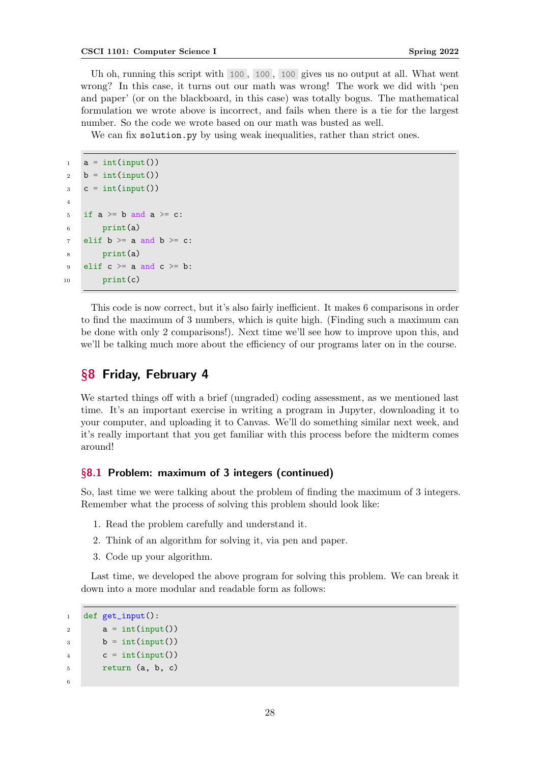Uh oh, running this script with 100 , 100 , 100 gives us no output at all. What went wrong? In this case, it turns out our math was wrong! The work we did with 'pen and paper' (or on the blackboard, in this case) was totally bogus. The mathematical formulation we wrote above is incorrect, and fails when there is a tie for the largest number. So the code we wrote based on our math was busted as well.

We can fix solution.py by using weak inequalities, rather than strict ones.

```
_1 a = int(input())
2 b = int(input())3 \quad c = \text{int}(\text{input}())4
5 if a \ge b and a \ge c:
6 print(a)
7 elif b \ge a and b \ge c:
8 print(a)
9 elif c \ge a and c \ge b:
_{10} print(c)
```
This code is now correct, but it's also fairly inefficient. It makes 6 comparisons in order to find the maximum of 3 numbers, which is quite high. (Finding such a maximum can be done with only 2 comparisons!). Next time we'll see how to improve upon this, and we'll be talking much more about the efficiency of our programs later on in the course.

# <span id="page-27-0"></span>§8 Friday, February 4

We started things off with a brief (ungraded) coding assessment, as we mentioned last time. It's an important exercise in writing a program in Jupyter, downloading it to your computer, and uploading it to Canvas. We'll do something similar next week, and it's really important that you get familiar with this process before the midterm comes around!

# <span id="page-27-1"></span>§8.1 Problem: maximum of 3 integers (continued)

So, last time we were talking about the problem of finding the maximum of 3 integers. Remember what the process of solving this problem should look like:

- 1. Read the problem carefully and understand it.
- 2. Think of an algorithm for solving it, via pen and paper.
- 3. Code up your algorithm.

Last time, we developed the above program for solving this problem. We can break it down into a more modular and readable form as follows:

```
1 def get_input():
2 a = int(input())\lambda b = int(input())
4 c = int(input())5 return (a, b, c)
6
```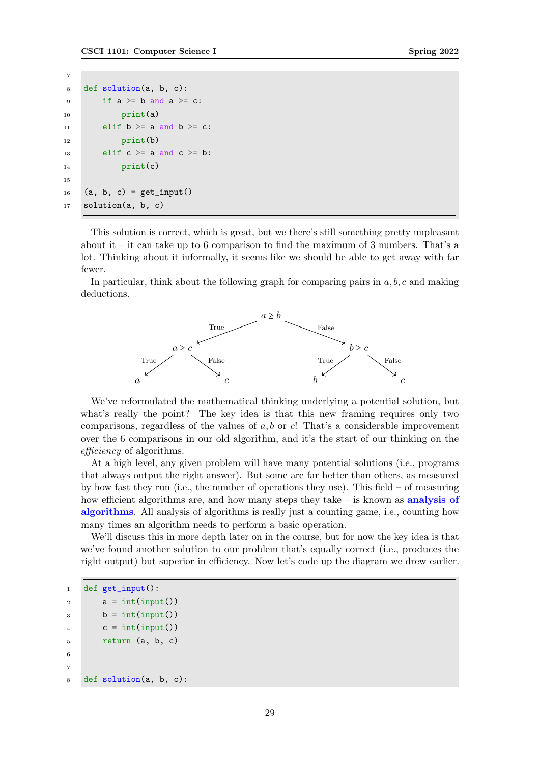```
7
8 def solution(a, b, c):
9 if a \ge b and a \ge c:
10 print(a)
11 elif b \ge a and b \ge c:
12 print(b)
13 elif c \ge a and c \ge b:
_{14} print(c)
15
16 (a, b, c) = get_input()
17 solution(a, b, c)
```
This solution is correct, which is great, but we there's still something pretty unpleasant about it – it can take up to 6 comparison to find the maximum of 3 numbers. That's a lot. Thinking about it informally, it seems like we should be able to get away with far fewer.

In particular, think about the following graph for comparing pairs in  $a, b, c$  and making deductions.



We've reformulated the mathematical thinking underlying a potential solution, but what's really the point? The key idea is that this new framing requires only two comparisons, regardless of the values of  $a, b$  or  $c!$ . That's a considerable improvement over the 6 comparisons in our old algorithm, and it's the start of our thinking on the efficiency of algorithms.

At a high level, any given problem will have many potential solutions (i.e., programs that always output the right answer). But some are far better than others, as measured by how fast they run (i.e., the number of operations they use). This field – of measuring how efficient algorithms are, and how many steps they take – is known as **analysis of** algorithms. All analysis of algorithms is really just a counting game, i.e., counting how many times an algorithm needs to perform a basic operation.

We'll discuss this in more depth later on in the course, but for now the key idea is that we've found another solution to our problem that's equally correct (i.e., produces the right output) but superior in efficiency. Now let's code up the diagram we drew earlier.

```
1 def get_input():
2 a = int(input())
3 \qquad b = \text{int}(\text{input}())4 c = int(input())5 return (a, b, c)
6
7
8 def solution(a, b, c):
```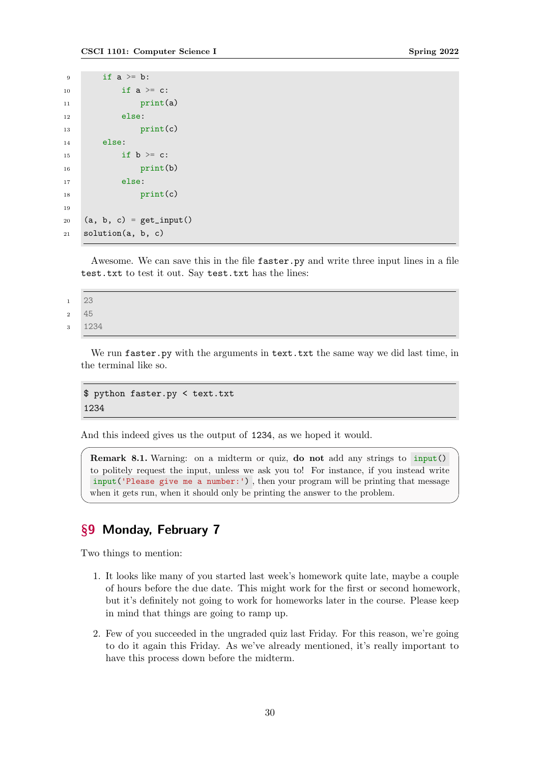```
9 if a \geq b:
10 if a \geq c:
11 print(a)
12 else:
13 print(c)
14 else:
15 if b > = c:
16 print(b)
17 else:
18 print(c)
19
20 (a, b, c) = get_input()
21 solution(a, b, c)
```
Awesome. We can save this in the file faster.py and write three input lines in a file test.txt to test it out. Say test.txt has the lines:

<sup>1</sup> 23 <sup>2</sup> 45

<sup>3</sup> 1234

We run faster.py with the arguments in text.txt the same way we did last time, in the terminal like so.

\$ python faster.py < text.txt 1234

And this indeed gives us the output of 1234, as we hoped it would.

Remark 8.1. Warning: on a midterm or quiz, do not add any strings to input() to politely request the input, unless we ask you to! For instance, if you instead write input('Please give me a number:') , then your program will be printing that message when it gets run, when it should only be printing the answer to the problem.

# <span id="page-29-0"></span>§9 Monday, February 7

Two things to mention:

- 1. It looks like many of you started last week's homework quite late, maybe a couple of hours before the due date. This might work for the first or second homework, but it's definitely not going to work for homeworks later in the course. Please keep in mind that things are going to ramp up.
- 2. Few of you succeeded in the ungraded quiz last Friday. For this reason, we're going to do it again this Friday. As we've already mentioned, it's really important to have this process down before the midterm.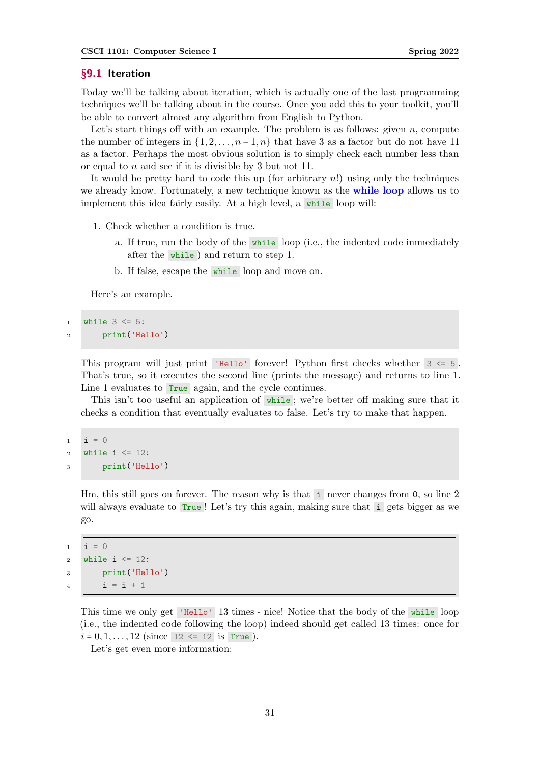#### <span id="page-30-0"></span>§9.1 Iteration

Today we'll be talking about iteration, which is actually one of the last programming techniques we'll be talking about in the course. Once you add this to your toolkit, you'll be able to convert almost any algorithm from English to Python.

Let's start things off with an example. The problem is as follows: given  $n$ , compute the number of integers in  $\{1, 2, \ldots, n-1, n\}$  that have 3 as a factor but do not have 11 as a factor. Perhaps the most obvious solution is to simply check each number less than or equal to n and see if it is divisible by 3 but not 11.

It would be pretty hard to code this up (for arbitrary  $n!$ ) using only the techniques we already know. Fortunately, a new technique known as the **while loop** allows us to implement this idea fairly easily. At a high level, a while loop will:

- 1. Check whether a condition is true.
	- a. If true, run the body of the while loop (i.e., the indented code immediately after the while ) and return to step 1.
	- b. If false, escape the while loop and move on.

Here's an example.

```
1 while 3 \leq 5:
2 print('Hello')
```
This program will just print 'Hello' forever! Python first checks whether  $3 \leq 5$ . That's true, so it executes the second line (prints the message) and returns to line 1. Line 1 evaluates to True again, and the cycle continues.

This isn't too useful an application of while; we're better off making sure that it checks a condition that eventually evaluates to false. Let's try to make that happen.

```
1 i = 02 while i \leq 12:
3 print('Hello')
```
Hm, this still goes on forever. The reason why is that i never changes from 0, so line 2 will always evaluate to  $Tru$ e! Let's try this again, making sure that i gets bigger as we go.

```
i = 02 while i \leq 12:
3 print('Hello')
4 i = i + 1
```
This time we only get 'Hello' 13 times - nice! Notice that the body of the while loop (i.e., the indented code following the loop) indeed should get called 13 times: once for  $i = 0, 1, \ldots, 12$  (since 12 <= 12 is True).

Let's get even more information: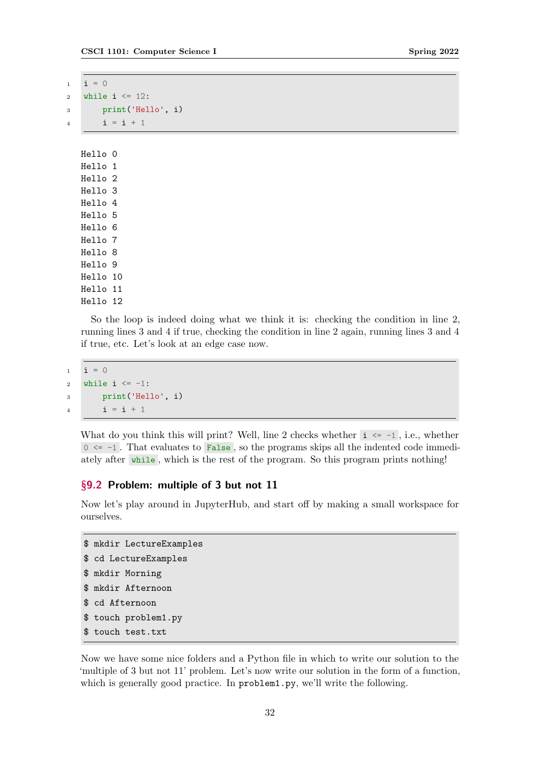| 1              | $i = 0$            |                    |
|----------------|--------------------|--------------------|
| $\overline{2}$ |                    | while i $\le$ 12:  |
| 3              |                    | print ('Hello', i) |
| 4              |                    | $i = i + 1$        |
|                |                    |                    |
|                | Hello O            |                    |
|                | Hello 1            |                    |
|                | Hello <sub>2</sub> |                    |
|                | Hello 3            |                    |
|                | Hello 4            |                    |
|                | Hello 5            |                    |
|                | Hello 6            |                    |
|                | Hello 7            |                    |
|                | Hello 8            |                    |
|                | Hello 9            |                    |
|                | Hello 10           |                    |
|                | Hello 11           |                    |
|                | Hello 12           |                    |

So the loop is indeed doing what we think it is: checking the condition in line 2, running lines 3 and 4 if true, checking the condition in line 2 again, running lines 3 and 4 if true, etc. Let's look at an edge case now.

```
1 i = 02 while i \le -1:
3 print('Hello', i)
4 i = i + 1
```
What do you think this will print? Well, line 2 checks whether  $i \leq -1$ , i.e., whether  $0 \le -1$ . That evaluates to False, so the programs skips all the indented code immediately after while , which is the rest of the program. So this program prints nothing!

# <span id="page-31-0"></span>§9.2 Problem: multiple of 3 but not 11

Now let's play around in JupyterHub, and start off by making a small workspace for ourselves.

```
$ mkdir LectureExamples
$ cd LectureExamples
$ mkdir Morning
$ mkdir Afternoon
$ cd Afternoon
$ touch problem1.py
$ touch test.txt
```
Now we have some nice folders and a Python file in which to write our solution to the 'multiple of 3 but not 11' problem. Let's now write our solution in the form of a function, which is generally good practice. In problem1.py, we'll write the following.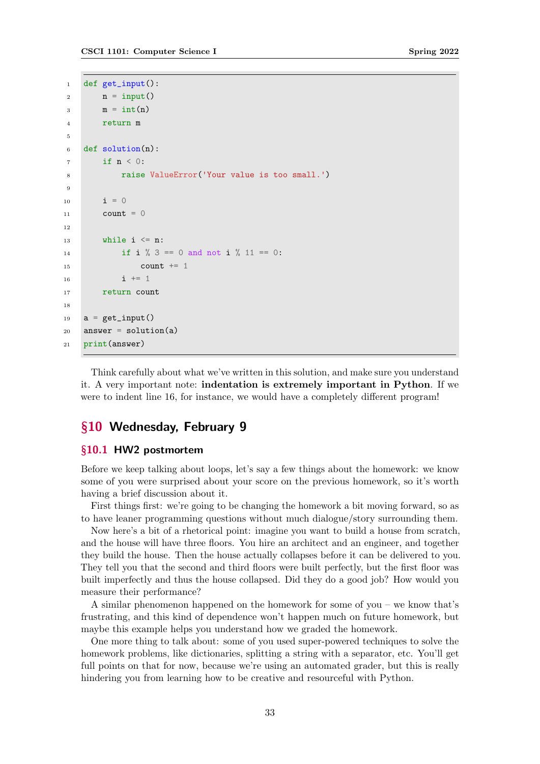```
1 def get_input():
2 n = input()\sin m = \text{int}(n)4 return m
5
6 def solution(n):
       if n < 0:
8 raise ValueError('Your value is too small.')
\ddot{\rm g}10 i = 011 count = 0
12
13 while i \le n:
14 if i \% 3 == 0 and not i \% 11 == 0:
15 count += 1
16 i + = 117 return count
18
19 a = get_input()
20 answer = solution(a)
21 print(answer)
```
Think carefully about what we've written in this solution, and make sure you understand it. A very important note: indentation is extremely important in Python. If we were to indent line 16, for instance, we would have a completely different program!

# <span id="page-32-0"></span>§10 Wednesday, February 9

#### <span id="page-32-1"></span>§10.1 HW2 postmortem

Before we keep talking about loops, let's say a few things about the homework: we know some of you were surprised about your score on the previous homework, so it's worth having a brief discussion about it.

First things first: we're going to be changing the homework a bit moving forward, so as to have leaner programming questions without much dialogue/story surrounding them.

Now here's a bit of a rhetorical point: imagine you want to build a house from scratch, and the house will have three floors. You hire an architect and an engineer, and together they build the house. Then the house actually collapses before it can be delivered to you. They tell you that the second and third floors were built perfectly, but the first floor was built imperfectly and thus the house collapsed. Did they do a good job? How would you measure their performance?

A similar phenomenon happened on the homework for some of you – we know that's frustrating, and this kind of dependence won't happen much on future homework, but maybe this example helps you understand how we graded the homework.

One more thing to talk about: some of you used super-powered techniques to solve the homework problems, like dictionaries, splitting a string with a separator, etc. You'll get full points on that for now, because we're using an automated grader, but this is really hindering you from learning how to be creative and resourceful with Python.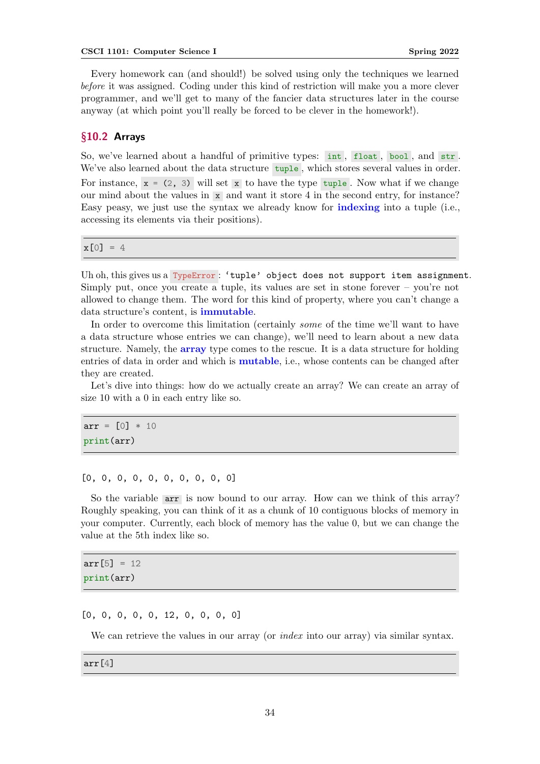Every homework can (and should!) be solved using only the techniques we learned before it was assigned. Coding under this kind of restriction will make you a more clever programmer, and we'll get to many of the fancier data structures later in the course anyway (at which point you'll really be forced to be clever in the homework!).

### <span id="page-33-0"></span>§10.2 Arrays

So, we've learned about a handful of primitive types: int, float, bool, and str. We've also learned about the data structure tuple, which stores several values in order. For instance,  $x = (2, 3)$  will set x to have the type tuple. Now what if we change our mind about the values in  $x \in \mathbb{R}$  and want it store 4 in the second entry, for instance? Easy peasy, we just use the syntax we already know for indexing into a tuple (i.e., accessing its elements via their positions).

 $x[0] = 4$ 

Uh oh, this gives us a TypeError: 'tuple' object does not support item assignment. Simply put, once you create a tuple, its values are set in stone forever – you're not allowed to change them. The word for this kind of property, where you can't change a data structure's content, is immutable.

In order to overcome this limitation (certainly some of the time we'll want to have a data structure whose entries we can change), we'll need to learn about a new data structure. Namely, the array type comes to the rescue. It is a data structure for holding entries of data in order and which is mutable, i.e., whose contents can be changed after they are created.

Let's dive into things: how do we actually create an array? We can create an array of size 10 with a 0 in each entry like so.

 $arr = [0] * 10$ print(arr)

[0, 0, 0, 0, 0, 0, 0, 0, 0, 0]

So the variable arr is now bound to our array. How can we think of this array? Roughly speaking, you can think of it as a chunk of 10 contiguous blocks of memory in your computer. Currently, each block of memory has the value 0, but we can change the value at the 5th index like so.

 $arr[5] = 12$ print(arr)

[0, 0, 0, 0, 0, 12, 0, 0, 0, 0]

We can retrieve the values in our array (or *index* into our array) via similar syntax.

arr[4]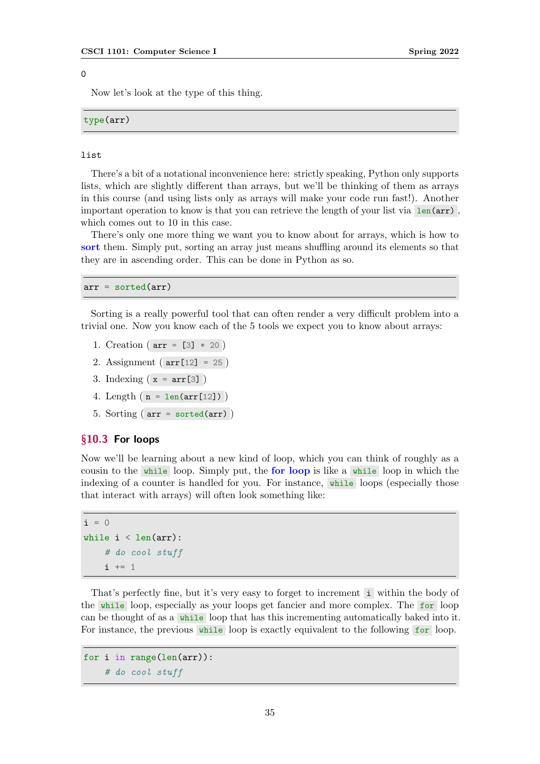#### $\overline{O}$

Now let's look at the type of this thing.

type(arr)

#### list

There's a bit of a notational inconvenience here: strictly speaking, Python only supports lists, which are slightly different than arrays, but we'll be thinking of them as arrays in this course (and using lists only as arrays will make your code run fast!). Another important operation to know is that you can retrieve the length of your list via  $\text{len}(\text{arr})$ , which comes out to 10 in this case.

There's only one more thing we want you to know about for arrays, which is how to sort them. Simply put, sorting an array just means shuffling around its elements so that they are in ascending order. This can be done in Python as so.

 $arr = sorted(arr)$ 

Sorting is a really powerful tool that can often render a very difficult problem into a trivial one. Now you know each of the 5 tools we expect you to know about arrays:

- 1. Creation ( $arr = [3] * 20$ )
- 2. Assignment ( arr[12] = 25 )
- 3. Indexing  $(x = arr[3])$
- 4. Length  $(n = len(arr[12]))$
- 5. Sorting ( arr = sorted(arr) )

#### <span id="page-34-0"></span>§10.3 For loops

Now we'll be learning about a new kind of loop, which you can think of roughly as a cousin to the while loop. Simply put, the for loop is like a while loop in which the indexing of a counter is handled for you. For instance, while loops (especially those that interact with arrays) will often look something like:

```
i = 0while i < len(arr):
    # do cool stuff
    i + = 1
```
That's perfectly fine, but it's very easy to forget to increment i within the body of the while loop, especially as your loops get fancier and more complex. The for loop can be thought of as a while loop that has this incrementing automatically baked into it. For instance, the previous while loop is exactly equivalent to the following for loop.

```
for i in range(len(arr)):
    # do cool stuff
```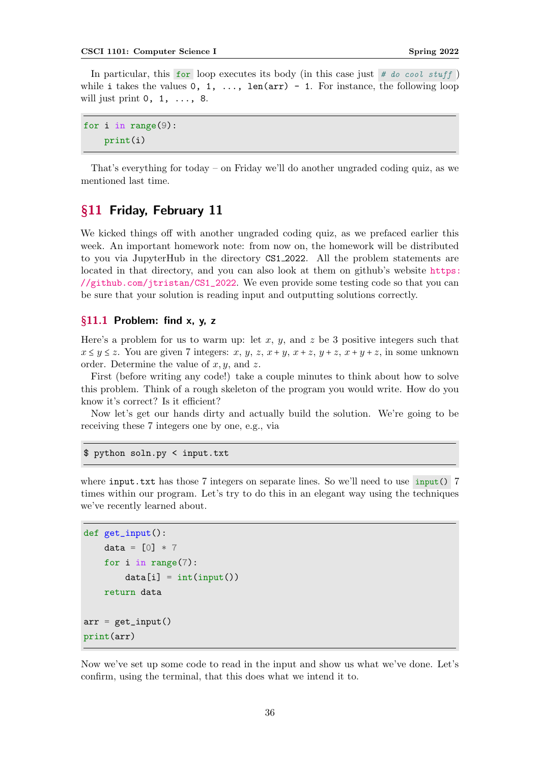In particular, this for loop executes its body (in this case just  $\#$  do cool stuff) while i takes the values  $0, 1, \ldots$ , len(arr) - 1. For instance, the following loop will just print  $0, 1, \ldots, 8$ .

for i in range(9): print(i)

That's everything for today – on Friday we'll do another ungraded coding quiz, as we mentioned last time.

# <span id="page-35-0"></span>§11 Friday, February 11

We kicked things off with another ungraded coding quiz, as we prefaced earlier this week. An important homework note: from now on, the homework will be distributed to you via JupyterHub in the directory CS1 2022. All the problem statements are located in that directory, and you can also look at them on github's website [https:](https://github.com/jtristan/CS1_2022) [//github.com/jtristan/CS1\\_2022](https://github.com/jtristan/CS1_2022). We even provide some testing code so that you can be sure that your solution is reading input and outputting solutions correctly.

## <span id="page-35-1"></span>§11.1 Problem: find x, y, z

Here's a problem for us to warm up: let x, y, and z be 3 positive integers such that  $x \leq y \leq z$ . You are given 7 integers: x, y, z, x + y, x + z, y + z, x + y + z, in some unknown order. Determine the value of  $x, y$ , and  $z$ .

First (before writing any code!) take a couple minutes to think about how to solve this problem. Think of a rough skeleton of the program you would write. How do you know it's correct? Is it efficient?

Now let's get our hands dirty and actually build the solution. We're going to be receiving these 7 integers one by one, e.g., via

#### \$ python soln.py < input.txt

where  $input.txt$  has those 7 integers on separate lines. So we'll need to use  $input()$  7 times within our program. Let's try to do this in an elegant way using the techniques we've recently learned about.

```
def get_input():
    data = [0] * 7for i in range(7):
        data[i] = int(input())return data
arr = get\_input()print(arr)
```
Now we've set up some code to read in the input and show us what we've done. Let's confirm, using the terminal, that this does what we intend it to.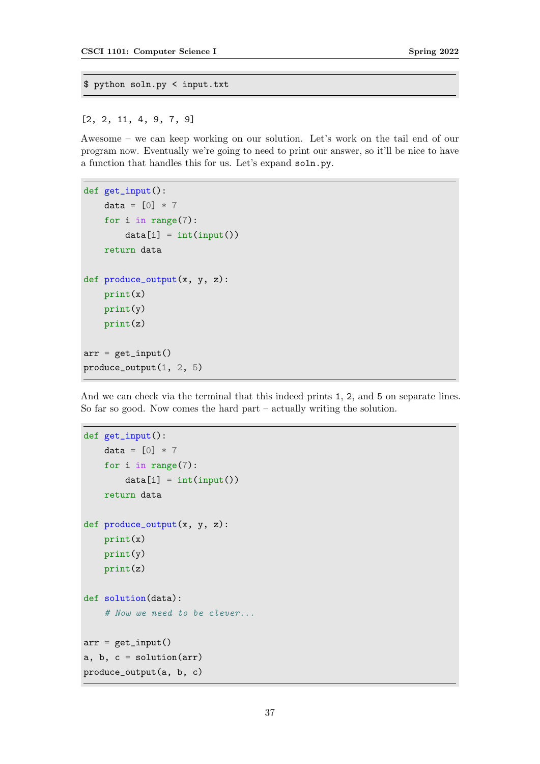```
$ python soln.py < input.txt
```
[2, 2, 11, 4, 9, 7, 9]

Awesome – we can keep working on our solution. Let's work on the tail end of our program now. Eventually we're going to need to print our answer, so it'll be nice to have a function that handles this for us. Let's expand soln.py.

```
def get_input():
   data = [0] * 7for i in range(7):
        data[i] = int(input())return data
def produce_output(x, y, z):
   print(x)
   print(y)
   print(z)
arr = get\_input()produce_output(1, 2, 5)
```
And we can check via the terminal that this indeed prints 1, 2, and 5 on separate lines. So far so good. Now comes the hard part – actually writing the solution.

```
def get_input():
   data = [0] * 7for i in range(7):
        data[i] = int(input())return data
def produce_output(x, y, z):
   print(x)
    print(y)
    print(z)
def solution(data):
    # Now we need to be clever...
arr = get\_input()a, b, c = solution(arr)
produce_output(a, b, c)
```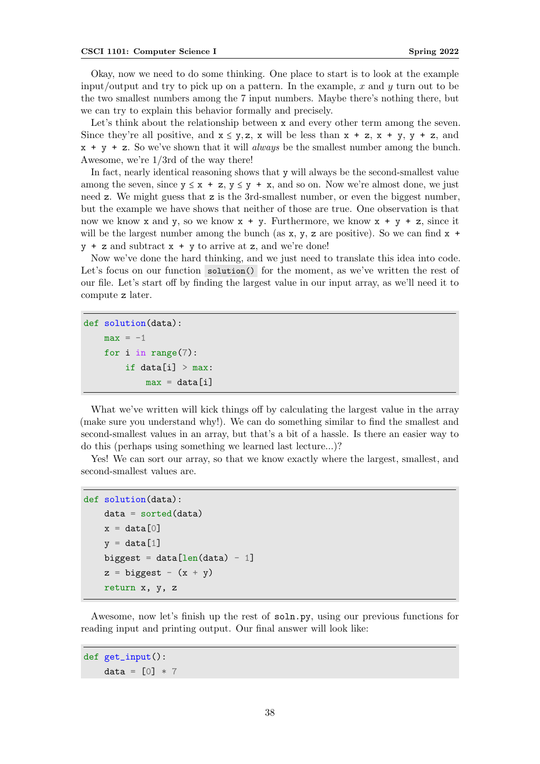Okay, now we need to do some thinking. One place to start is to look at the example input/output and try to pick up on a pattern. In the example, x and  $y$  turn out to be the two smallest numbers among the 7 input numbers. Maybe there's nothing there, but we can try to explain this behavior formally and precisely.

Let's think about the relationship between x and every other term among the seven. Since they're all positive, and  $x \le y$ , z, x will be less than  $x + z$ ,  $x + y$ ,  $y + z$ , and  $x + y + z$ . So we've shown that it will *always* be the smallest number among the bunch. Awesome, we're 1/3rd of the way there!

In fact, nearly identical reasoning shows that y will always be the second-smallest value among the seven, since  $y \le x + z$ ,  $y \le y + x$ , and so on. Now we're almost done, we just need z. We might guess that z is the 3rd-smallest number, or even the biggest number, but the example we have shows that neither of those are true. One observation is that now we know x and y, so we know  $x + y$ . Furthermore, we know  $x + y + z$ , since it will be the largest number among the bunch (as  $x, y, z$  are positive). So we can find  $x +$  $y + z$  and subtract  $x + y$  to arrive at z, and we're done!

Now we've done the hard thinking, and we just need to translate this idea into code. Let's focus on our function solution() for the moment, as we've written the rest of our file. Let's start off by finding the largest value in our input array, as we'll need it to compute z later.

```
def solution(data):
   max = -1for i in range(7):
        if data[i] > max:
            max = data[i]
```
What we've written will kick things off by calculating the largest value in the array (make sure you understand why!). We can do something similar to find the smallest and second-smallest values in an array, but that's a bit of a hassle. Is there an easier way to do this (perhaps using something we learned last lecture...)?

Yes! We can sort our array, so that we know exactly where the largest, smallest, and second-smallest values are.

```
def solution(data):
    data = sorted(data)x = data[0]v = data[1]biggest = data[len(data) - 1]z = biggest - (x + y)return x, y, z
```
Awesome, now let's finish up the rest of soln.py, using our previous functions for reading input and printing output. Our final answer will look like:

```
def get_input():
    data = [0] * 7
```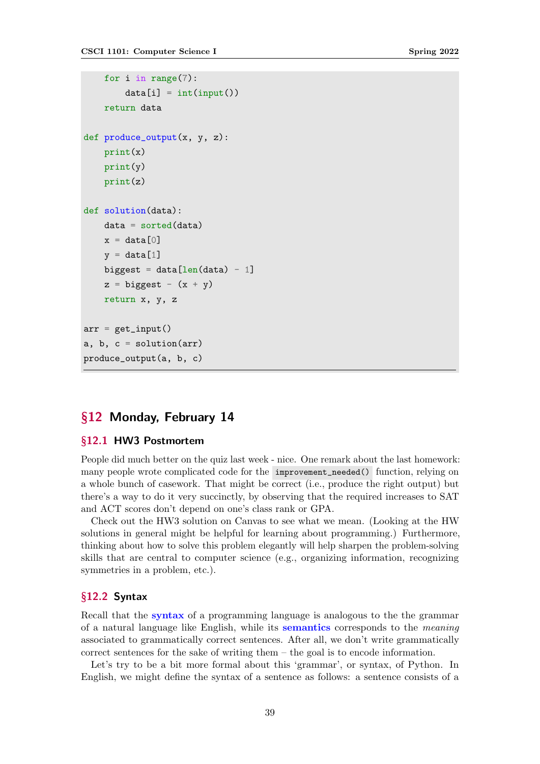```
for i in range(7):
        data[i] = int(input())return data
def produce_output(x, y, z):
    print(x)
    print(y)
    print(z)
def solution(data):
    data = sorted(data)x = data[0]v = data[1]biggest = data[len(data) - 1]z = biggest - (x + y)return x, y, z
arr = get\_input()a, b, c = solution(arr)
produce_output(a, b, c)
```
# §12 Monday, February 14

## §12.1 HW3 Postmortem

People did much better on the quiz last week - nice. One remark about the last homework: many people wrote complicated code for the improvement\_needed() function, relying on a whole bunch of casework. That might be correct (i.e., produce the right output) but there's a way to do it very succinctly, by observing that the required increases to SAT and ACT scores don't depend on one's class rank or GPA.

Check out the HW3 solution on Canvas to see what we mean. (Looking at the HW solutions in general might be helpful for learning about programming.) Furthermore, thinking about how to solve this problem elegantly will help sharpen the problem-solving skills that are central to computer science (e.g., organizing information, recognizing symmetries in a problem, etc.).

### §12.2 Syntax

Recall that the syntax of a programming language is analogous to the the grammar of a natural language like English, while its semantics corresponds to the meaning associated to grammatically correct sentences. After all, we don't write grammatically correct sentences for the sake of writing them – the goal is to encode information.

Let's try to be a bit more formal about this 'grammar', or syntax, of Python. In English, we might define the syntax of a sentence as follows: a sentence consists of a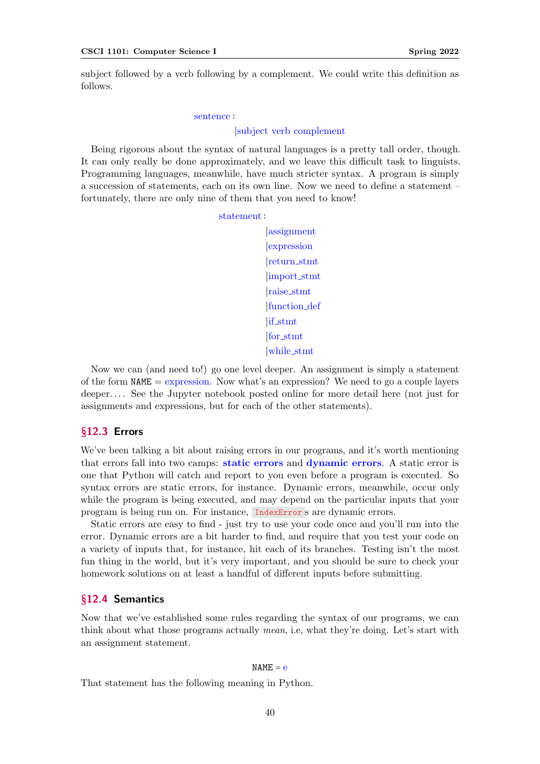subject followed by a verb following by a complement. We could write this definition as follows.

#### sentence ∶

#### ∣subject verb complement

Being rigorous about the syntax of natural languages is a pretty tall order, though. It can only really be done approximately, and we leave this difficult task to linguists. Programming languages, meanwhile, have much stricter syntax. A program is simply a succession of statements, each on its own line. Now we need to define a statement – fortunately, there are only nine of them that you need to know!

statement ∶

∣assignment ∣expression ∣return stmt ∣import stmt ∣raise stmt ∣function def ∣if stmt ∣for stmt ∣while stmt

Now we can (and need to!) go one level deeper. An assignment is simply a statement of the form  $NAME =$  expression. Now what's an expression? We need to go a couple layers deeper. . . . See the Jupyter notebook posted online for more detail here (not just for assignments and expressions, but for each of the other statements).

## §12.3 Errors

We've been talking a bit about raising errors in our programs, and it's worth mentioning that errors fall into two camps: static errors and dynamic errors. A static error is one that Python will catch and report to you even before a program is executed. So syntax errors are static errors, for instance. Dynamic errors, meanwhile, occur only while the program is being executed, and may depend on the particular inputs that your program is being run on. For instance, IndexError s are dynamic errors.

Static errors are easy to find - just try to use your code once and you'll run into the error. Dynamic errors are a bit harder to find, and require that you test your code on a variety of inputs that, for instance, hit each of its branches. Testing isn't the most fun thing in the world, but it's very important, and you should be sure to check your homework solutions on at least a handful of different inputs before submitting.

### §12.4 Semantics

Now that we've established some rules regarding the syntax of our programs, we can think about what those programs actually mean, i.e, what they're doing. Let's start with an assignment statement.

#### $NAME = e$

That statement has the following meaning in Python.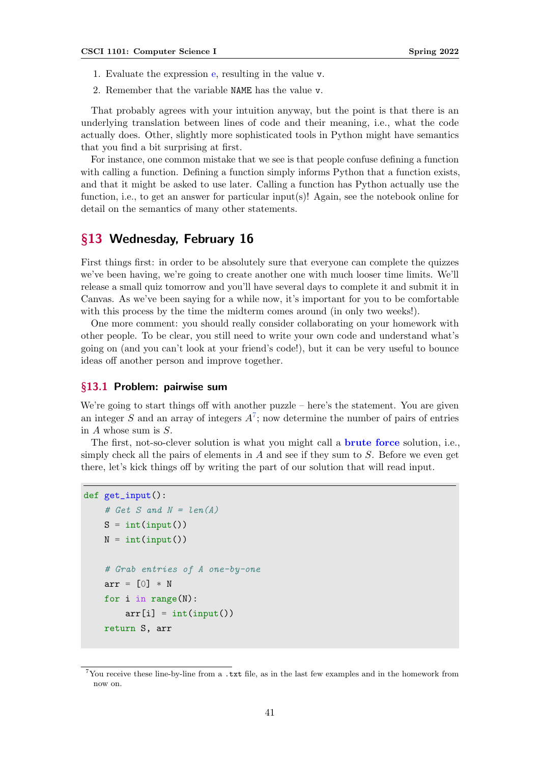- 1. Evaluate the expression e, resulting in the value v.
- 2. Remember that the variable NAME has the value v.

That probably agrees with your intuition anyway, but the point is that there is an underlying translation between lines of code and their meaning, i.e., what the code actually does. Other, slightly more sophisticated tools in Python might have semantics that you find a bit surprising at first.

For instance, one common mistake that we see is that people confuse defining a function with calling a function. Defining a function simply informs Python that a function exists, and that it might be asked to use later. Calling a function has Python actually use the function, i.e., to get an answer for particular input(s)! Again, see the notebook online for detail on the semantics of many other statements.

# §13 Wednesday, February 16

First things first: in order to be absolutely sure that everyone can complete the quizzes we've been having, we're going to create another one with much looser time limits. We'll release a small quiz tomorrow and you'll have several days to complete it and submit it in Canvas. As we've been saying for a while now, it's important for you to be comfortable with this process by the time the midterm comes around (in only two weeks!).

One more comment: you should really consider collaborating on your homework with other people. To be clear, you still need to write your own code and understand what's going on (and you can't look at your friend's code!), but it can be very useful to bounce ideas off another person and improve together.

### §13.1 Problem: pairwise sum

We're going to start things off with another puzzle – here's the statement. You are given an integer S and an array of integers  $A^7$  $A^7$ ; now determine the number of pairs of entries in A whose sum is S.

The first, not-so-clever solution is what you might call a **brute force** solution, i.e., simply check all the pairs of elements in  $A$  and see if they sum to  $S$ . Before we even get there, let's kick things off by writing the part of our solution that will read input.

```
def get_input():
    # Get S and N = len(A)S = int(input())N = int(input())# Grab entries of A one-by-one
    arr = [0] * Nfor i in range(N):
        arr[i] = int(input())return S, arr
```
<span id="page-40-0"></span><sup>&</sup>lt;sup>7</sup>You receive these line-by-line from a .txt file, as in the last few examples and in the homework from now on.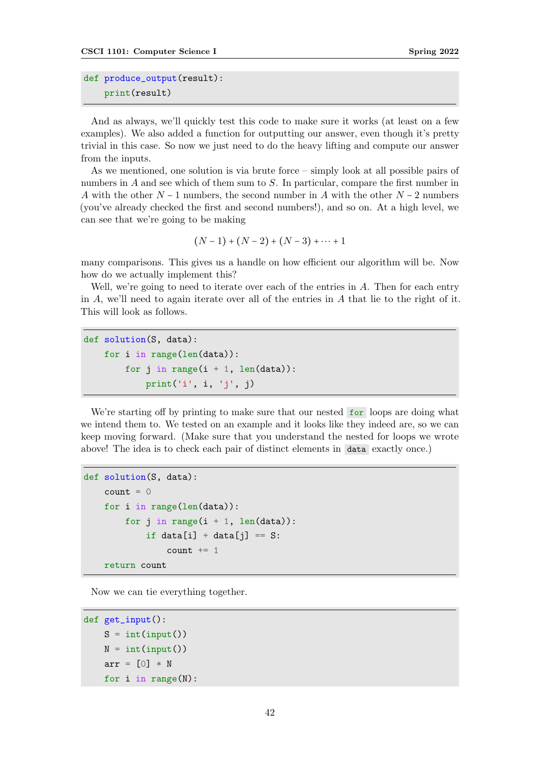```
def produce_output(result):
    print(result)
```
And as always, we'll quickly test this code to make sure it works (at least on a few examples). We also added a function for outputting our answer, even though it's pretty trivial in this case. So now we just need to do the heavy lifting and compute our answer from the inputs.

As we mentioned, one solution is via brute force – simply look at all possible pairs of numbers in A and see which of them sum to S. In particular, compare the first number in A with the other  $N-1$  numbers, the second number in A with the other  $N-2$  numbers (you've already checked the first and second numbers!), and so on. At a high level, we can see that we're going to be making

$$
(N-1)+(N-2)+(N-3)+\cdots+1
$$

many comparisons. This gives us a handle on how efficient our algorithm will be. Now how do we actually implement this?

Well, we're going to need to iterate over each of the entries in  $A$ . Then for each entry in  $A$ , we'll need to again iterate over all of the entries in  $A$  that lie to the right of it. This will look as follows.

```
def solution(S, data):
    for i in range(len(data)):
        for j in range(i + 1, len(data)):
            print('i', i, 'j', j)
```
We're starting off by printing to make sure that our nested for loops are doing what we intend them to. We tested on an example and it looks like they indeed are, so we can keep moving forward. (Make sure that you understand the nested for loops we wrote above! The idea is to check each pair of distinct elements in data exactly once.)

```
def solution(S, data):
    count = 0for i in range(len(data)):
        for j in range(i + 1, len(data)):
            if data[i] + data[j] == S:
                count += 1return count
```
Now we can tie everything together.

```
def get_input():
   S = int(input())N = int(input())arr = [0] * Nfor i in range(N):
```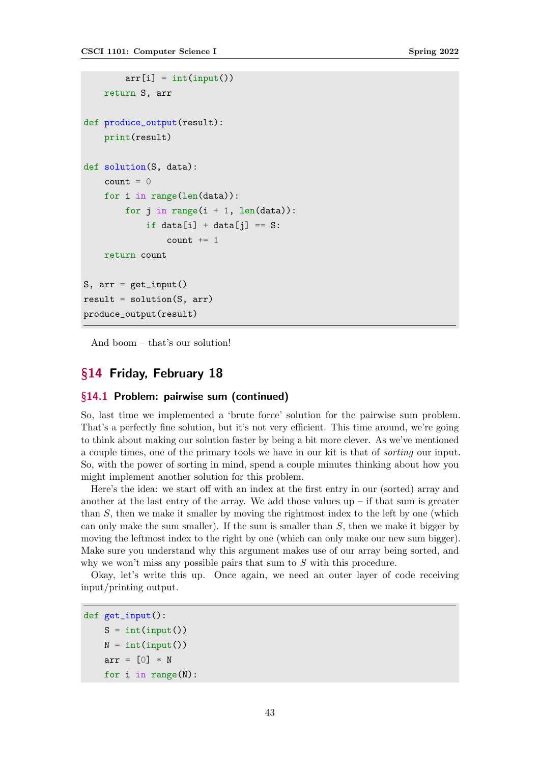```
arr[i] = int(input())return S, arr
def produce_output(result):
    print(result)
def solution(S, data):
    count = 0for i in range(len(data)):
        for j in range(i + 1, len(data)):
            if data[i] + data[i] == S:
                count += 1return count
S, arr = get\_input()result = solution(S, arr)produce_output(result)
```
And boom – that's our solution!

# §14 Friday, February 18

## §14.1 Problem: pairwise sum (continued)

So, last time we implemented a 'brute force' solution for the pairwise sum problem. That's a perfectly fine solution, but it's not very efficient. This time around, we're going to think about making our solution faster by being a bit more clever. As we've mentioned a couple times, one of the primary tools we have in our kit is that of sorting our input. So, with the power of sorting in mind, spend a couple minutes thinking about how you might implement another solution for this problem.

Here's the idea: we start off with an index at the first entry in our (sorted) array and another at the last entry of the array. We add those values  $up - if$  that sum is greater than S, then we make it smaller by moving the rightmost index to the left by one (which can only make the sum smaller). If the sum is smaller than  $S$ , then we make it bigger by moving the leftmost index to the right by one (which can only make our new sum bigger). Make sure you understand why this argument makes use of our array being sorted, and why we won't miss any possible pairs that sum to S with this procedure.

Okay, let's write this up. Once again, we need an outer layer of code receiving input/printing output.

```
def get_input():
    S = int(input())N = int(input())arr = \lceil 0 \rceil * Nfor i in range(N):
```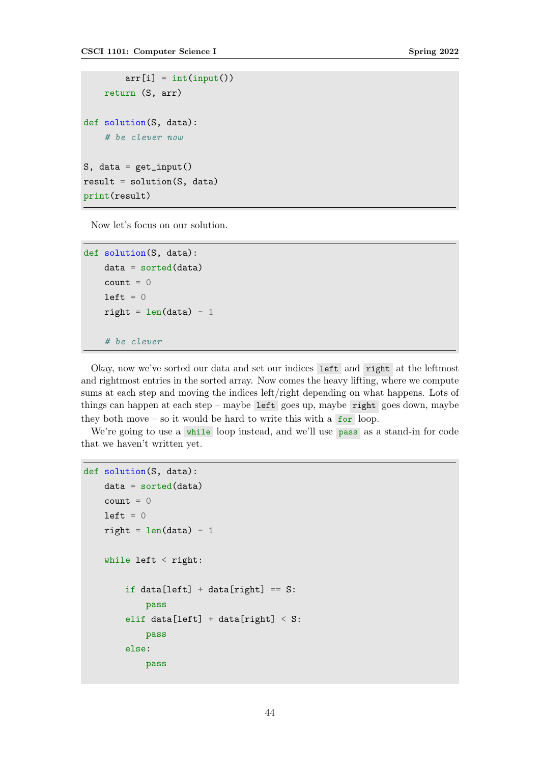```
arr[i] = int(input())return (S, arr)
def solution(S, data):
    # be clever now
S, data = get\_input()result = solution(S, data)print(result)
```
Now let's focus on our solution.

```
def solution(S, data):
   data = sorted(data)count = 0left = 0right = len(data) - 1# be clever
```
Okay, now we've sorted our data and set our indices left and right at the leftmost and rightmost entries in the sorted array. Now comes the heavy lifting, where we compute sums at each step and moving the indices left/right depending on what happens. Lots of things can happen at each step – maybe left goes up, maybe right goes down, maybe they both move – so it would be hard to write this with a  $f$  for loop.

We're going to use a while loop instead, and we'll use pass as a stand-in for code that we haven't written yet.

```
def solution(S, data):
    data = sorted(data)count = 0left = 0right = len(data) - 1while left < right:
        if data[left] + data[right] == S:
            pass
        elif data[left] + data[right] < S:
            pass
        else:
            pass
```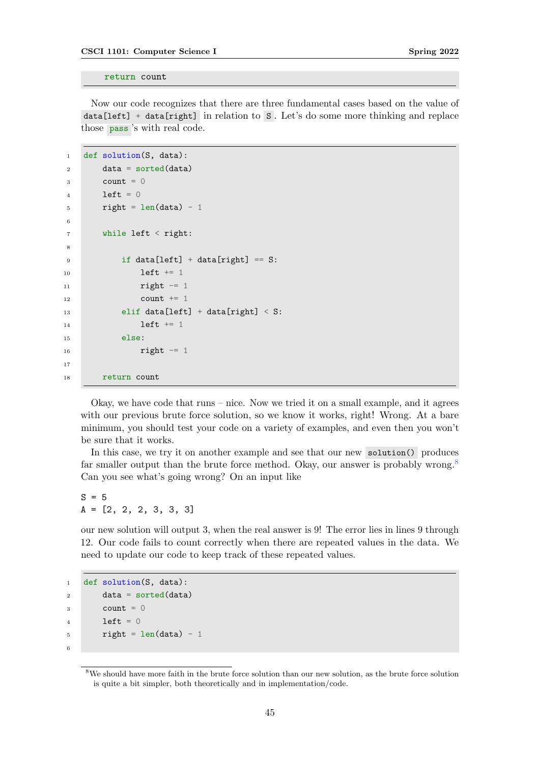return count

Now our code recognizes that there are three fundamental cases based on the value of data[left] + data[right] in relation to S . Let's do some more thinking and replace those pass 's with real code.

```
1 def solution(S, data):
2 data = sorted(data)
3 count = 04 left = 0
5 right = len(data) - 1
6
      while left \le right:
8
9 if data[left] + data[right] == S:
10 left += 1
11 right - = 112 count += 1
13 elif data[left] + data[right] < S:
14 left + = 115 else:
16 right -117
18 return count
```
Okay, we have code that runs – nice. Now we tried it on a small example, and it agrees with our previous brute force solution, so we know it works, right! Wrong. At a bare minimum, you should test your code on a variety of examples, and even then you won't be sure that it works.

In this case, we try it on another example and see that our new solution() produces far smaller output than the brute force method. Okay, our answer is probably wrong.<sup>[8](#page-44-0)</sup> Can you see what's going wrong? On an input like

 $S = 5$ A = [2, 2, 2, 3, 3, 3]

our new solution will output 3, when the real answer is 9! The error lies in lines 9 through 12. Our code fails to count correctly when there are repeated values in the data. We need to update our code to keep track of these repeated values.

```
1 def solution(S, data):
2 data = sorted(data)
3 count = 04 left = 0
5 right = len(data) - 1
6
```
<span id="page-44-0"></span><sup>&</sup>lt;sup>8</sup>We should have more faith in the brute force solution than our new solution, as the brute force solution is quite a bit simpler, both theoretically and in implementation/code.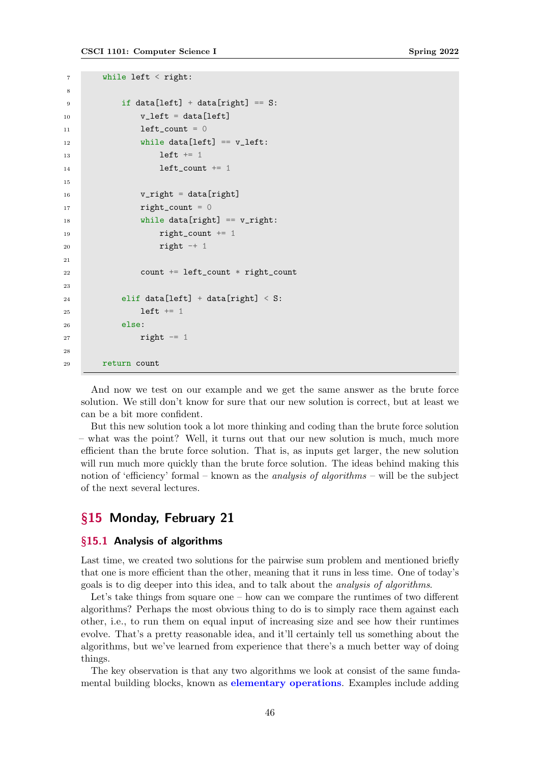```
7 while left < right:
\Omega9 if data[left] + data[right] = S:
v_{\text{left}} = \text{data}[\text{left}]11 left_count = 0
12 while data[left] == v_left:
13 left + = 114 left_count += 1
15
v_{\text{right}} = \text{data}[\text{right}]17 right_count = 0
18 while data[right] == v_right:
19 right_count += 1
20 right -+121
22 count += left_count * right_count
2<sub>2</sub>24 elif data[left] + data[right] < S:
25 left + = 126 else:
27 right -12829 return count
```
And now we test on our example and we get the same answer as the brute force solution. We still don't know for sure that our new solution is correct, but at least we can be a bit more confident.

But this new solution took a lot more thinking and coding than the brute force solution – what was the point? Well, it turns out that our new solution is much, much more efficient than the brute force solution. That is, as inputs get larger, the new solution will run much more quickly than the brute force solution. The ideas behind making this notion of 'efficiency' formal – known as the *analysis of algorithms* – will be the subject of the next several lectures.

# §15 Monday, February 21

## §15.1 Analysis of algorithms

Last time, we created two solutions for the pairwise sum problem and mentioned briefly that one is more efficient than the other, meaning that it runs in less time. One of today's goals is to dig deeper into this idea, and to talk about the analysis of algorithms.

Let's take things from square one – how can we compare the runtimes of two different algorithms? Perhaps the most obvious thing to do is to simply race them against each other, i.e., to run them on equal input of increasing size and see how their runtimes evolve. That's a pretty reasonable idea, and it'll certainly tell us something about the algorithms, but we've learned from experience that there's a much better way of doing things.

The key observation is that any two algorithms we look at consist of the same fundamental building blocks, known as elementary operations. Examples include adding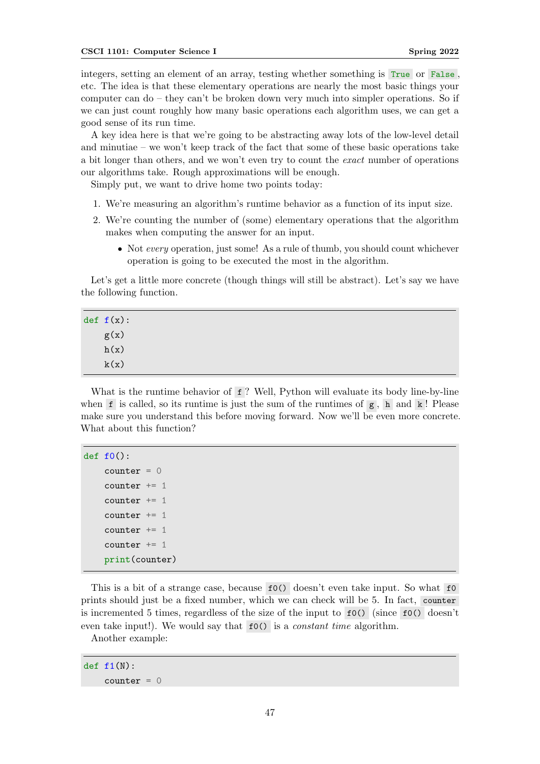integers, setting an element of an array, testing whether something is True or False , etc. The idea is that these elementary operations are nearly the most basic things your computer can do – they can't be broken down very much into simpler operations. So if we can just count roughly how many basic operations each algorithm uses, we can get a good sense of its run time.

A key idea here is that we're going to be abstracting away lots of the low-level detail and minutiae – we won't keep track of the fact that some of these basic operations take a bit longer than others, and we won't even try to count the exact number of operations our algorithms take. Rough approximations will be enough.

Simply put, we want to drive home two points today:

- 1. We're measuring an algorithm's runtime behavior as a function of its input size.
- 2. We're counting the number of (some) elementary operations that the algorithm makes when computing the answer for an input.
	- Not every operation, just some! As a rule of thumb, you should count whichever operation is going to be executed the most in the algorithm.

Let's get a little more concrete (though things will still be abstract). Let's say we have the following function.

| def f(x): |
|-----------|
| g(x)      |
| h(x)      |
| k(x)      |

What is the runtime behavior of f? Well, Python will evaluate its body line-by-line when f is called, so its runtime is just the sum of the runtimes of  $g$ , h and k! Please make sure you understand this before moving forward. Now we'll be even more concrete. What about this function?

```
def f(()):counter = 0counter += 1counter += 1counter += 1counter += 1counter += 1print(counter)
```
This is a bit of a strange case, because f0() doesn't even take input. So what f0 prints should just be a fixed number, which we can check will be 5. In fact, counter is incremented 5 times, regardless of the size of the input to f0() (since f0() doesn't even take input!). We would say that  $f(0)$  is a *constant time* algorithm.

Another example:

 $def f1(N):$  $counter = 0$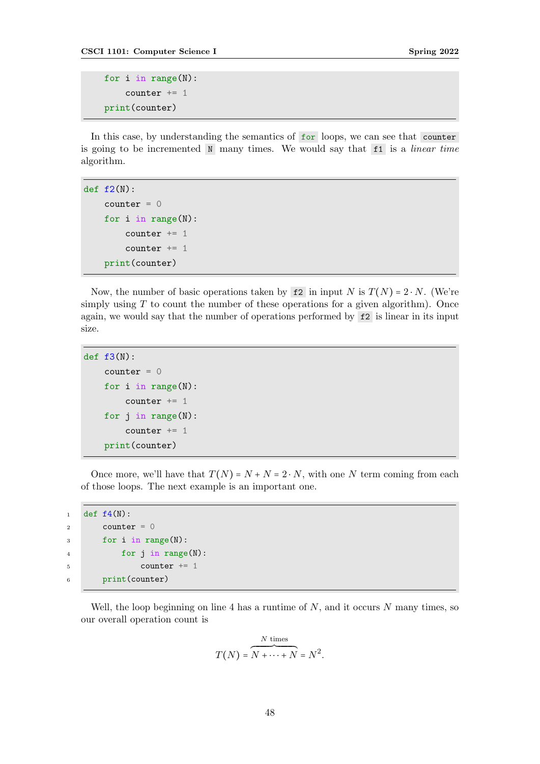```
for i in range(N):
    counter += 1
print(counter)
```
In this case, by understanding the semantics of for loops, we can see that counter is going to be incremented  $N$  many times. We would say that  $f_1$  is a *linear time* algorithm.

```
def f(2(N)):
    counter = 0for i in range(N):
        counter += 1counter += 1print(counter)
```
Now, the number of basic operations taken by  $f2$  in input N is  $T(N) = 2 \cdot N$ . (We're simply using  $T$  to count the number of these operations for a given algorithm). Once again, we would say that the number of operations performed by f2 is linear in its input size.

```
def f3(N):
    counter = 0for i in range(N):
        counter += 1for j in range(N):
        counter += 1print(counter)
```
Once more, we'll have that  $T(N) = N + N = 2 \cdot N$ , with one N term coming from each of those loops. The next example is an important one.

```
1 def f(4(N)):
2 counter = 0
3 for i in range(N):
4 for j in range(N):
5 counter += 1
6 print(counter)
```
Well, the loop beginning on line 4 has a runtime of  $N$ , and it occurs  $N$  many times, so our overall operation count is

$$
T(N) = \overbrace{N + \dots + N}^{N \text{ times}} = N^2.
$$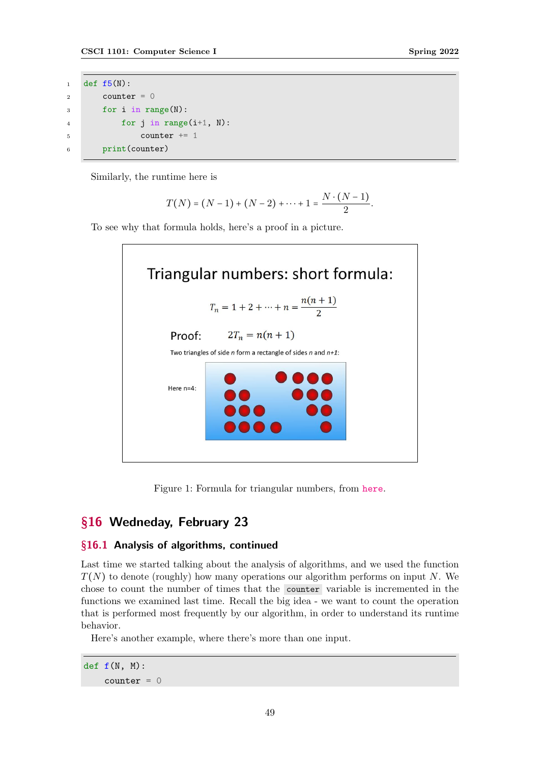```
1 def f5(N):
2 counter = 03 for i in range(N):
4 for j in range(i+1, N):
5 counter + = 16 print(counter)
```
Similarly, the runtime here is

$$
T(N) = (N-1) + (N-2) + \cdots + 1 = \frac{N \cdot (N-1)}{2}.
$$

To see why that formula holds, here's a proof in a picture.





# §16 Wedneday, February 23

# §16.1 Analysis of algorithms, continued

Last time we started talking about the analysis of algorithms, and we used the function  $T(N)$  to denote (roughly) how many operations our algorithm performs on input N. We chose to count the number of times that the counter variable is incremented in the functions we examined last time. Recall the big idea - we want to count the operation that is performed most frequently by our algorithm, in order to understand its runtime behavior.

Here's another example, where there's more than one input.

def  $f(N, M)$ :  $counter = 0$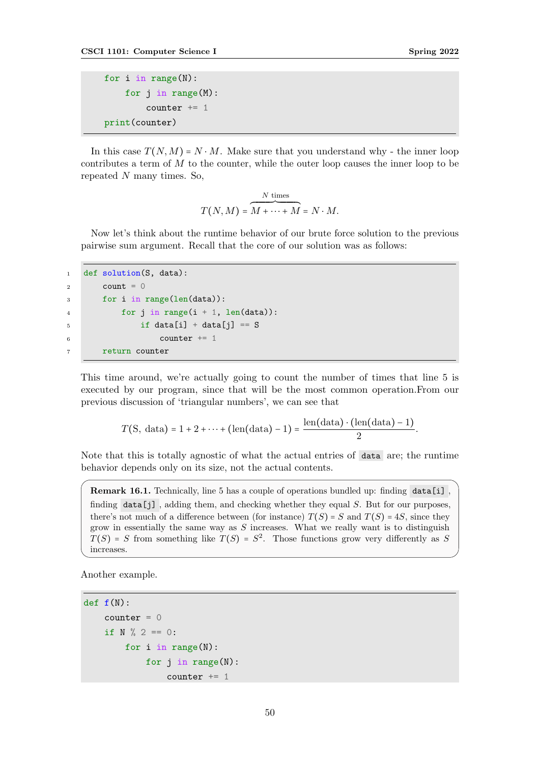```
for i in range(N):
    for j in range(M):
        counter += 1print(counter)
```
In this case  $T(N,M) = N \cdot M$ . Make sure that you understand why - the inner loop contributes a term of  $M$  to the counter, while the outer loop causes the inner loop to be repeated  $N$  many times. So,

$$
T(N, M) = \overbrace{M + \dots + M}^{N \text{ times}} = N \cdot M.
$$

Now let's think about the runtime behavior of our brute force solution to the previous pairwise sum argument. Recall that the core of our solution was as follows:

```
1 def solution(S, data):
2 count = 03 for i in range(len(data)):
4 for j in range(i + 1, len(data)):
5 if data[i] + data[j] == S
6 counter + = 17 return counter
```
This time around, we're actually going to count the number of times that line 5 is executed by our program, since that will be the most common operation.From our previous discussion of 'triangular numbers', we can see that

$$
T(S, data) = 1 + 2 + \dots + (\text{len(data)} - 1) = \frac{\text{len(data)} \cdot (\text{len(data)} - 1)}{2}.
$$

Note that this is totally agnostic of what the actual entries of data are; the runtime behavior depends only on its size, not the actual contents.

Remark 16.1. Technically, line 5 has a couple of operations bundled up: finding data[i], finding  $data[j]$ , adding them, and checking whether they equal S. But for our purposes, there's not much of a difference between (for instance)  $T(S) = S$  and  $T(S) = 4S$ , since they grow in essentially the same way as  $S$  increases. What we really want is to distinguish  $T(S)$  = S from something like  $T(S)$  =  $S^2$ . Those functions grow very differently as S increases.

Another example.

```
def f(N):
    counter = 0if N \frac{9}{2} == 0:
        for i in range(N):
             for j in range(N):
                  counter += 1
```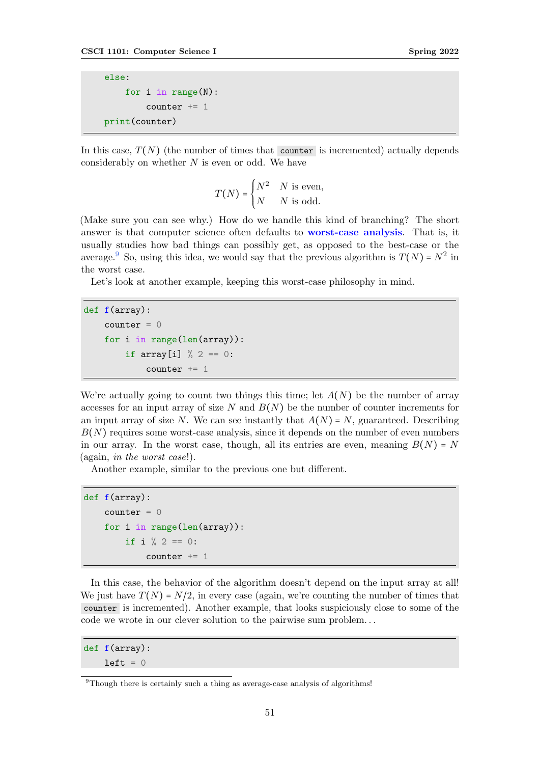else: for i in range(N): counter  $+= 1$ print(counter)

In this case,  $T(N)$  (the number of times that counter is incremented) actually depends considerably on whether  $N$  is even or odd. We have

$$
T(N) = \begin{cases} N^2 & N \text{ is even,} \\ N & N \text{ is odd.} \end{cases}
$$

(Make sure you can see why.) How do we handle this kind of branching? The short answer is that computer science often defaults to **worst-case analysis**. That is, it usually studies how bad things can possibly get, as opposed to the best-case or the average. So, using this idea, we would say that the previous algorithm is  $T(N) = N^2$  in the worst case.

Let's look at another example, keeping this worst-case philosophy in mind.

```
def f(array):
    counter = 0for i in range(len(array)):
        if array[i] % 2 == 0:
            counter += 1
```
We're actually going to count two things this time; let  $A(N)$  be the number of array accesses for an input array of size N and  $B(N)$  be the number of counter increments for an input array of size N. We can see instantly that  $A(N) = N$ , guaranteed. Describing  $B(N)$  requires some worst-case analysis, since it depends on the number of even numbers in our array. In the worst case, though, all its entries are even, meaning  $B(N) = N$ (again, in the worst case!).

Another example, similar to the previous one but different.

```
def f(array):
    counter = 0for i in range(len(array)):
         if i \frac{9}{2} == 0:
             counter += 1
```
In this case, the behavior of the algorithm doesn't depend on the input array at all! We just have  $T(N) = N/2$ , in every case (again, we're counting the number of times that counter is incremented). Another example, that looks suspiciously close to some of the code we wrote in our clever solution to the pairwise sum problem. . .

```
def f(array):
    left = 0
```
<span id="page-50-0"></span><sup>&</sup>lt;sup>9</sup>Though there is certainly such a thing as average-case analysis of algorithms!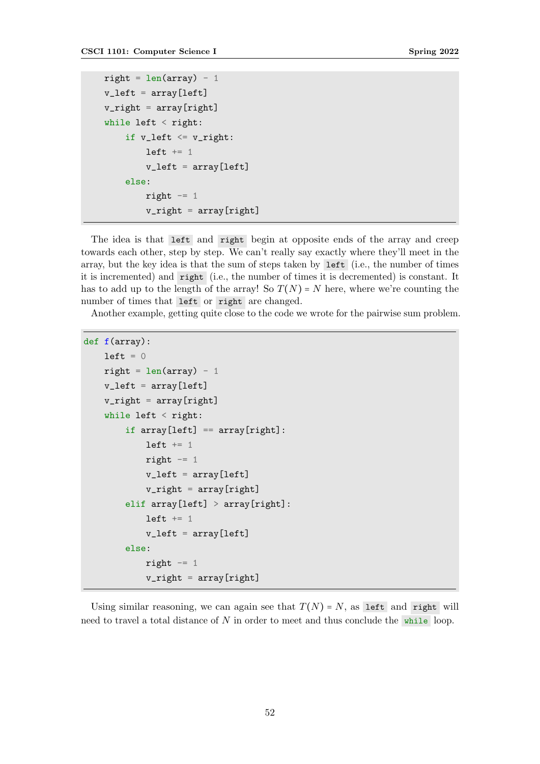```
right = len(array) - 1v_left = array[left]
v_right = array[right]
while left \langle right:
     if v_{\text{left}} \leftarrow v_{\text{right}}:
           left += 1v_{\text{left}} = \text{array}[\text{left}]else:
           right - 1
           v<sub>right</sub> = array[right]
```
The idea is that left and right begin at opposite ends of the array and creep towards each other, step by step. We can't really say exactly where they'll meet in the array, but the key idea is that the sum of steps taken by left (i.e., the number of times it is incremented) and right (i.e., the number of times it is decremented) is constant. It has to add up to the length of the array! So  $T(N) = N$  here, where we're counting the number of times that left or right are changed.

Another example, getting quite close to the code we wrote for the pairwise sum problem.

```
def f(array):
    left = 0right = lenk) - 1v_left = array[left]
    v_right = array[right]
    while left \le right:
         if array[left] == array[right]:left += 1right - 1
             v_{\text{left}} = \text{array}[\text{left}]v_right = array[right]
         elif array[left] > array[right]:
             left += 1v_{\text{left}} = \text{array}[\text{left}]else:
             right - 1
             v_right = array[right]
```
Using similar reasoning, we can again see that  $T(N) = N$ , as left and right will need to travel a total distance of N in order to meet and thus conclude the while loop.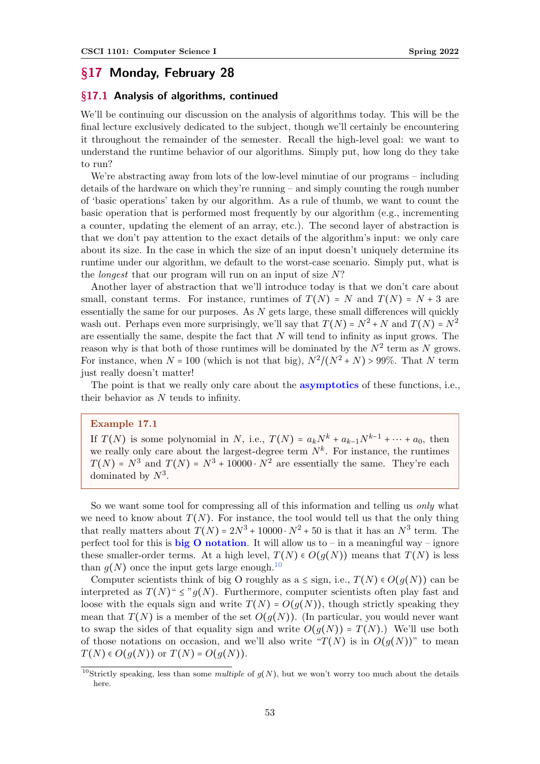# §17 Monday, February 28

### §17.1 Analysis of algorithms, continued

We'll be continuing our discussion on the analysis of algorithms today. This will be the final lecture exclusively dedicated to the subject, though we'll certainly be encountering it throughout the remainder of the semester. Recall the high-level goal: we want to understand the runtime behavior of our algorithms. Simply put, how long do they take to run?

We're abstracting away from lots of the low-level minutiae of our programs – including details of the hardware on which they're running – and simply counting the rough number of 'basic operations' taken by our algorithm. As a rule of thumb, we want to count the basic operation that is performed most frequently by our algorithm (e.g., incrementing a counter, updating the element of an array, etc.). The second layer of abstraction is that we don't pay attention to the exact details of the algorithm's input: we only care about its size. In the case in which the size of an input doesn't uniquely determine its runtime under our algorithm, we default to the worst-case scenario. Simply put, what is the longest that our program will run on an input of size N?

Another layer of abstraction that we'll introduce today is that we don't care about small, constant terms. For instance, runtimes of  $T(N) = N$  and  $T(N) = N + 3$  are essentially the same for our purposes. As  $N$  gets large, these small differences will quickly wash out. Perhaps even more surprisingly, we'll say that  $T(N) = N^2 + N$  and  $T(N) = N^2$ are essentially the same, despite the fact that  $N$  will tend to infinity as input grows. The reason why is that both of those runtimes will be dominated by the  $N^2$  term as N grows. For instance, when  $N = 100$  (which is not that big),  $N^2/(N^2 + N) > 99\%$ . That N term just really doesn't matter!

The point is that we really only care about the **asymptotics** of these functions, i.e., their behavior as N tends to infinity.

#### Example 17.1

If  $T(N)$  is some polynomial in N, i.e.,  $T(N) = a_kN^k + a_{k-1}N^{k-1} + \cdots + a_0$ , then we really only care about the largest-degree term  $N^k$ . For instance, the runtimes  $T(N) = N^3$  and  $T(N) = N^3 + 10000 \cdot N^2$  are essentially the same. They're each dominated by  $N^3$ .

So we want some tool for compressing all of this information and telling us only what we need to know about  $T(N)$ . For instance, the tool would tell us that the only thing that really matters about  $T(N) = 2N^3 + 10000 \cdot N^2 + 50$  is that it has an  $N^3$  term. The perfect tool for this is **big O notation**. It will allow us to – in a meaningful way – ignore these smaller-order terms. At a high level,  $T(N) \in O(g(N))$  means that  $T(N)$  is less than  $g(N)$  once the input gets large enough.<sup>[10](#page-52-0)</sup>

Computer scientists think of big O roughly as a  $\leq$  sign, i.e.,  $T(N) \in O(g(N))$  can be interpreted as  $T(N)$ "  $\leq$ "  $q(N)$ . Furthermore, computer scientists often play fast and loose with the equals sign and write  $T(N) = O(q(N))$ , though strictly speaking they mean that  $T(N)$  is a member of the set  $O(g(N))$ . (In particular, you would never want to swap the sides of that equality sign and write  $O(g(N)) = T(N)$ .) We'll use both of those notations on occasion, and we'll also write " $T(N)$  is in  $O(q(N))$ " to mean  $T(N) \in O(q(N))$  or  $T(N) = O(q(N)).$ 

<span id="page-52-0"></span><sup>&</sup>lt;sup>10</sup>Strictly speaking, less than some *multiple* of  $g(N)$ , but we won't worry too much about the details here.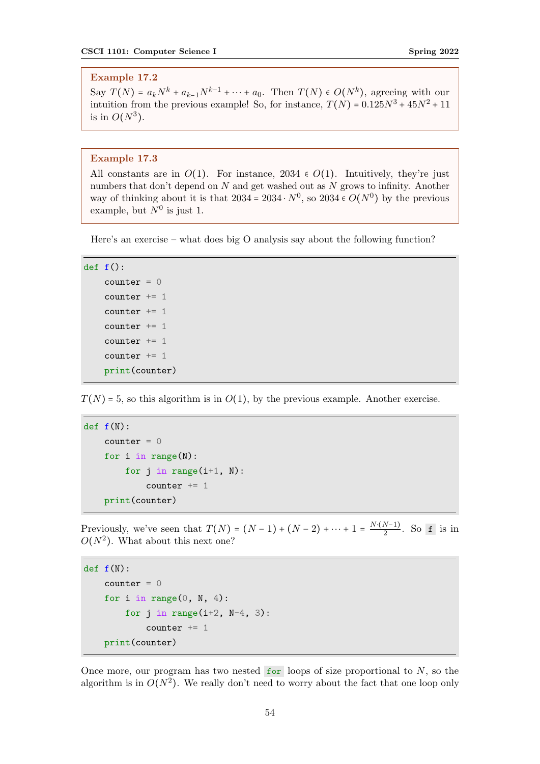# Example 17.2

Say  $T(N) = a_k N^k + a_{k-1} N^{k-1} + \cdots + a_0$ . Then  $T(N) \in O(N^k)$ , agreeing with our intuition from the previous example! So, for instance,  $T(N) = 0.125N^3 + 45N^2 + 11$ is in  $O(N^3)$ .

### Example 17.3

All constants are in  $O(1)$ . For instance, 2034  $\epsilon$   $O(1)$ . Intuitively, they're just numbers that don't depend on N and get washed out as N grows to infinity. Another way of thinking about it is that  $2034 = 2034 \cdot N^0$ , so  $2034 \in O(N^0)$  by the previous example, but  $N^0$  is just 1.

Here's an exercise – what does big O analysis say about the following function?

```
def f():
```

```
counter = 0counter += 1
counter += 1counter += 1counter += 1counter += 1print(counter)
```
 $T(N)$  = 5, so this algorithm is in  $O(1)$ , by the previous example. Another exercise.

```
def f(N):counter = 0for i in range(N):
       for j in range(i+1, N):
            counter += 1print(counter)
```
Previously, we've seen that  $T(N) = (N-1) + (N-2) + \cdots + 1 = \frac{N \cdot (N-1)}{2}$  $\frac{(N-1)}{2}$ . So f is in  $O(N^2)$ . What about this next one?

```
def f(N):counter = 0for i in range(0, N, 4):
        for j in range(i+2, N-4, 3):
            counter += 1print(counter)
```
Once more, our program has two nested  $\overline{f}$  for loops of size proportional to N, so the algorithm is in  $O(N^2)$ . We really don't need to worry about the fact that one loop only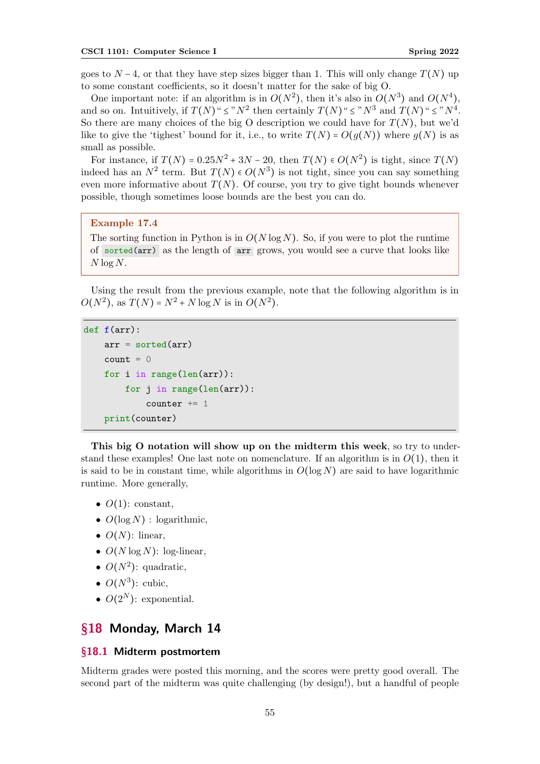goes to  $N-4$ , or that they have step sizes bigger than 1. This will only change  $T(N)$  up to some constant coefficients, so it doesn't matter for the sake of big O.

One important note: if an algorithm is in  $O(N^2)$ , then it's also in  $O(N^3)$  and  $O(N^4)$ , and so on. Intuitively, if  $T(N)^{n} \leq N^2$  then certainly  $T(N)^{n} \leq N^3$  and  $T(N)^{n} \leq N^4$ . So there are many choices of the big O description we could have for  $T(N)$ , but we'd like to give the 'tighest' bound for it, i.e., to write  $T(N) = O(q(N))$  where  $q(N)$  is as small as possible.

For instance, if  $T(N) = 0.25N^2 + 3N - 20$ , then  $T(N) \in O(N^2)$  is tight, since  $T(N)$ indeed has an  $N^2$  term. But  $T(N) \in O(N^3)$  is not tight, since you can say something even more informative about  $T(N)$ . Of course, you try to give tight bounds whenever possible, though sometimes loose bounds are the best you can do.

#### Example 17.4

The sorting function in Python is in  $O(N \log N)$ . So, if you were to plot the runtime of sorted(arr) as the length of arr grows, you would see a curve that looks like  $N \log N$ .

Using the result from the previous example, note that the following algorithm is in  $O(N^2)$ , as  $T(N) = N^2 + N \log N$  is in  $O(N^2)$ .

```
def f(arr):
    arr = sorted(arr)count = 0for i in range(len(arr)):
        for j in range(len(arr)):
            counter += 1print(counter)
```
This big O notation will show up on the midterm this week, so try to understand these examples! One last note on nomenclature. If an algorithm is in  $O(1)$ , then it is said to be in constant time, while algorithms in  $O(\log N)$  are said to have logarithmic runtime. More generally,

- $O(1)$ : constant,
- $O(\log N)$ : logarithmic,
- $O(N)$ : linear,
- $O(N \log N)$ : log-linear,
- $O(N^2)$ : quadratic,
- $\bullet$   $O(N^3)$ : cubic,
- $O(2^N)$ : exponential.

# §18 Monday, March 14

### §18.1 Midterm postmortem

Midterm grades were posted this morning, and the scores were pretty good overall. The second part of the midterm was quite challenging (by design!), but a handful of people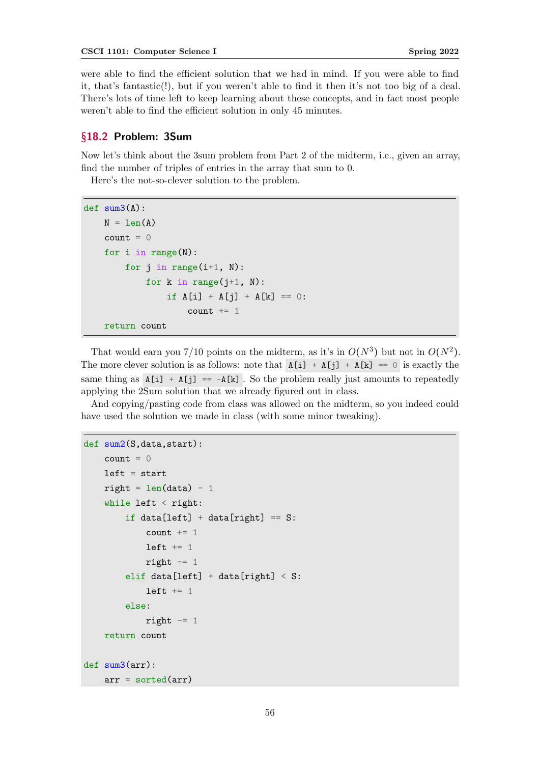were able to find the efficient solution that we had in mind. If you were able to find it, that's fantastic(!), but if you weren't able to find it then it's not too big of a deal. There's lots of time left to keep learning about these concepts, and in fact most people weren't able to find the efficient solution in only 45 minutes.

## §18.2 Problem: 3Sum

Now let's think about the 3sum problem from Part 2 of the midterm, i.e., given an array, find the number of triples of entries in the array that sum to 0.

Here's the not-so-clever solution to the problem.

```
def sum3(A):
   N = len(A)count = 0for i in range(N):
        for j in range(i+1, N):
            for k in range(j+1, N):
                if A[i] + A[j] + A[k] = 0:
                    count += 1return count
```
That would earn you 7/10 points on the midterm, as it's in  $O(N^3)$  but not in  $O(N^2)$ . The more clever solution is as follows: note that  $A[i] + A[j] + A[k] = 0$  is exactly the same thing as  $A[i] + A[i] = -A[k]$ . So the problem really just amounts to repeatedly applying the 2Sum solution that we already figured out in class.

And copying/pasting code from class was allowed on the midterm, so you indeed could have used the solution we made in class (with some minor tweaking).

```
def sum2(S,data,start):
    count = 0left = startright = len(data) - 1while left < right:
        if data[left] + data[right] == S:
            count += 1left += 1right - 1
        elif data[left] + data[right] < S:
            left += 1else:
            right -= 1
    return count
def sum3(arr):
    arr = sorted(arr)
```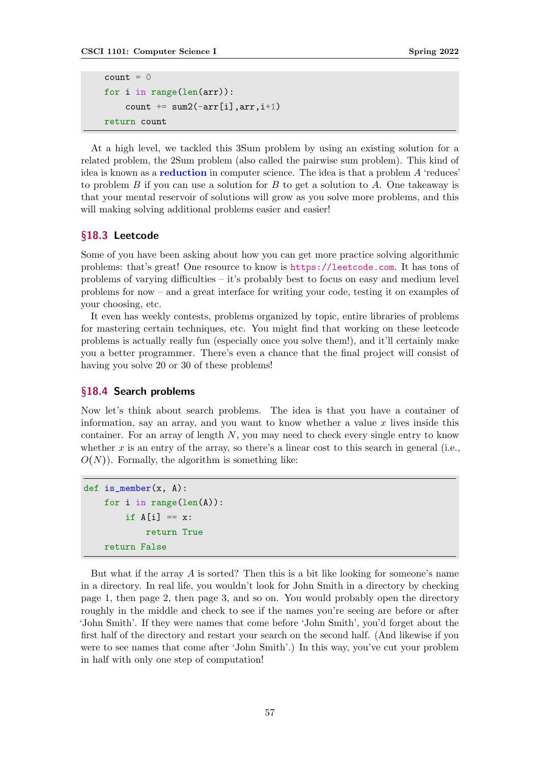```
count = 0for i in range(len(arr)):
    count += sum2(-arr[i], arr, i+1)
return count
```
At a high level, we tackled this 3Sum problem by using an existing solution for a related problem, the 2Sum problem (also called the pairwise sum problem). This kind of idea is known as a reduction in computer science. The idea is that a problem A 'reduces' to problem B if you can use a solution for B to get a solution to A. One takeaway is that your mental reservoir of solutions will grow as you solve more problems, and this will making solving additional problems easier and easier!

## §18.3 Leetcode

Some of you have been asking about how you can get more practice solving algorithmic problems: that's great! One resource to know is <https://leetcode.com>. It has tons of problems of varying difficulties – it's probably best to focus on easy and medium level problems for now – and a great interface for writing your code, testing it on examples of your choosing, etc.

It even has weekly contests, problems organized by topic, entire libraries of problems for mastering certain techniques, etc. You might find that working on these leetcode problems is actually really fun (especially once you solve them!), and it'll certainly make you a better programmer. There's even a chance that the final project will consist of having you solve 20 or 30 of these problems!

### §18.4 Search problems

Now let's think about search problems. The idea is that you have a container of information, say an array, and you want to know whether a value  $x$  lives inside this container. For an array of length  $N$ , you may need to check every single entry to know whether x is an entry of the array, so there's a linear cost to this search in general (i.e.,  $O(N)$ ). Formally, the algorithm is something like:

```
def is_member(x, A):
    for i in range(len(A)):
        if A[i] == x:
            return True
    return False
```
But what if the array  $A$  is sorted? Then this is a bit like looking for someone's name in a directory. In real life, you wouldn't look for John Smith in a directory by checking page 1, then page 2, then page 3, and so on. You would probably open the directory roughly in the middle and check to see if the names you're seeing are before or after 'John Smith'. If they were names that come before 'John Smith', you'd forget about the first half of the directory and restart your search on the second half. (And likewise if you were to see names that come after 'John Smith'.) In this way, you've cut your problem in half with only one step of computation!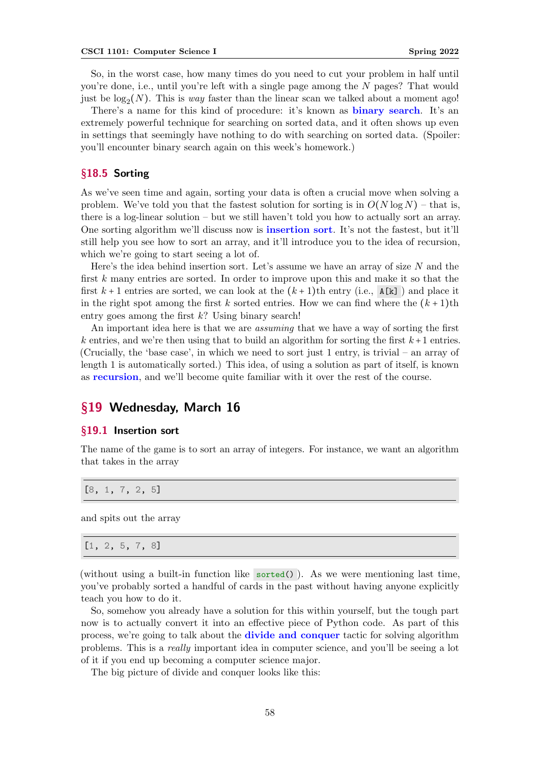So, in the worst case, how many times do you need to cut your problem in half until you're done, i.e., until you're left with a single page among the N pages? That would just be  $\log_2(N)$ . This is *way* faster than the linear scan we talked about a moment ago!

There's a name for this kind of procedure: it's known as **binary search**. It's an extremely powerful technique for searching on sorted data, and it often shows up even in settings that seemingly have nothing to do with searching on sorted data. (Spoiler: you'll encounter binary search again on this week's homework.)

# §18.5 Sorting

As we've seen time and again, sorting your data is often a crucial move when solving a problem. We've told you that the fastest solution for sorting is in  $O(N \log N)$  – that is, there is a log-linear solution – but we still haven't told you how to actually sort an array. One sorting algorithm we'll discuss now is insertion sort. It's not the fastest, but it'll still help you see how to sort an array, and it'll introduce you to the idea of recursion, which we're going to start seeing a lot of.

Here's the idea behind insertion sort. Let's assume we have an array of size  $N$  and the first k many entries are sorted. In order to improve upon this and make it so that the first  $k+1$  entries are sorted, we can look at the  $(k+1)$ th entry (i.e.,  $A[k]$ ) and place it in the right spot among the first k sorted entries. How we can find where the  $(k + 1)$ th entry goes among the first  $k$ ? Using binary search!

An important idea here is that we are *assuming* that we have a way of sorting the first k entries, and we're then using that to build an algorithm for sorting the first  $k+1$  entries. (Crucially, the 'base case', in which we need to sort just 1 entry, is trivial – an array of length 1 is automatically sorted.) This idea, of using a solution as part of itself, is known as recursion, and we'll become quite familiar with it over the rest of the course.

# §19 Wednesday, March 16

### §19.1 Insertion sort

The name of the game is to sort an array of integers. For instance, we want an algorithm that takes in the array

[8, 1, 7, 2, 5]

and spits out the array

[1, 2, 5, 7, 8]

(without using a built-in function like sorted()). As we were mentioning last time, you've probably sorted a handful of cards in the past without having anyone explicitly teach you how to do it.

So, somehow you already have a solution for this within yourself, but the tough part now is to actually convert it into an effective piece of Python code. As part of this process, we're going to talk about the divide and conquer tactic for solving algorithm problems. This is a really important idea in computer science, and you'll be seeing a lot of it if you end up becoming a computer science major.

The big picture of divide and conquer looks like this: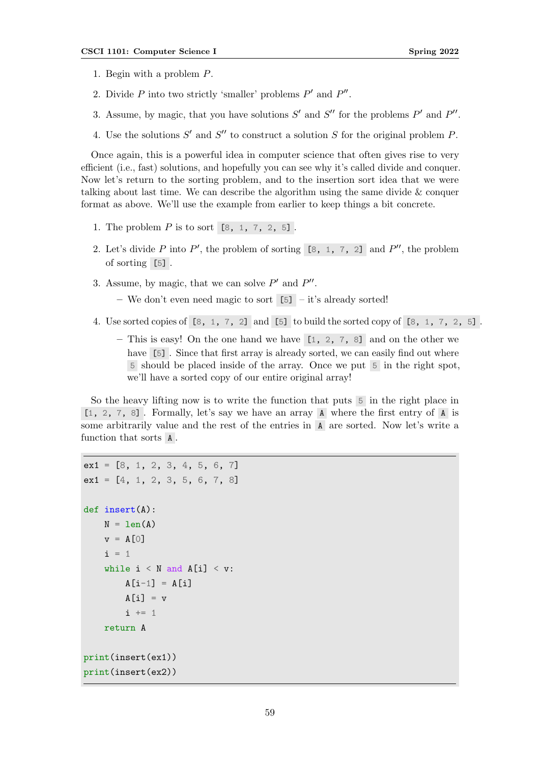- 1. Begin with a problem P.
- 2. Divide  $P$  into two strictly 'smaller' problems  $P'$  and  $P''$ .
- 3. Assume, by magic, that you have solutions  $S'$  and  $S''$  for the problems  $P'$  and  $P''$ .
- 4. Use the solutions  $S'$  and  $S''$  to construct a solution  $S$  for the original problem  $P$ .

Once again, this is a powerful idea in computer science that often gives rise to very efficient (i.e., fast) solutions, and hopefully you can see why it's called divide and conquer. Now let's return to the sorting problem, and to the insertion sort idea that we were talking about last time. We can describe the algorithm using the same divide & conquer format as above. We'll use the example from earlier to keep things a bit concrete.

- 1. The problem  $P$  is to sort  $[8, 1, 7, 2, 5]$ .
- 2. Let's divide P into P', the problem of sorting  $[8, 1, 7, 2]$  and P'', the problem of sorting [5] .
- 3. Assume, by magic, that we can solve  $P'$  and  $P''$ .
	- We don't even need magic to sort [5] it's already sorted!
- 4. Use sorted copies of [8, 1, 7, 2] and [5] to build the sorted copy of [8, 1, 7, 2, 5] .
	- This is easy! On the one hand we have  $[1, 2, 7, 8]$  and on the other we have [5]. Since that first array is already sorted, we can easily find out where 5 should be placed inside of the array. Once we put 5 in the right spot, we'll have a sorted copy of our entire original array!

So the heavy lifting now is to write the function that puts 5 in the right place in [1, 2, 7, 8] . Formally, let's say we have an array A where the first entry of A is some arbitrarily value and the rest of the entries in A are sorted. Now let's write a function that sorts A .

```
ext1 = [8, 1, 2, 3, 4, 5, 6, 7]ex1 = [4, 1, 2, 3, 5, 6, 7, 8]def insert(A):
    N = len(A)v = A[0]i = 1while i \leq N and A[i] \leq v:
        A[i-1] = A[i]A[i] = vi \neq 1return A
print(insert(ex1))
print(insert(ex2))
```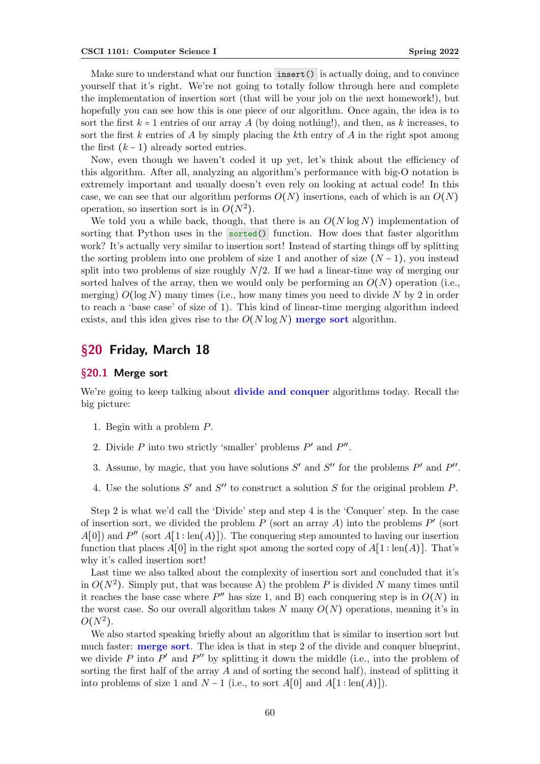Make sure to understand what our function insert () is actually doing, and to convince yourself that it's right. We're not going to totally follow through here and complete the implementation of insertion sort (that will be your job on the next homework!), but hopefully you can see how this is one piece of our algorithm. Once again, the idea is to sort the first  $k = 1$  entries of our array A (by doing nothing!), and then, as k increases, to sort the first  $k$  entries of  $A$  by simply placing the  $k$ th entry of  $A$  in the right spot among the first  $(k-1)$  already sorted entries.

Now, even though we haven't coded it up yet, let's think about the efficiency of this algorithm. After all, analyzing an algorithm's performance with big-O notation is extremely important and usually doesn't even rely on looking at actual code! In this case, we can see that our algorithm performs  $O(N)$  insertions, each of which is an  $O(N)$ operation, so insertion sort is in  $O(N^2)$ .

We told you a while back, though, that there is an  $O(N \log N)$  implementation of sorting that Python uses in the sorted() function. How does that faster algorithm work? It's actually very similar to insertion sort! Instead of starting things off by splitting the sorting problem into one problem of size 1 and another of size  $(N-1)$ , you instead split into two problems of size roughly  $N/2$ . If we had a linear-time way of merging our sorted halves of the array, then we would only be performing an  $O(N)$  operation (i.e., merging)  $O(\log N)$  many times (i.e., how many times you need to divide N by 2 in order to reach a 'base case' of size of 1). This kind of linear-time merging algorithm indeed exists, and this idea gives rise to the  $O(N \log N)$  merge sort algorithm.

# §20 Friday, March 18

#### §20.1 Merge sort

We're going to keep talking about **divide and conquer** algorithms today. Recall the big picture:

- 1. Begin with a problem P.
- 2. Divide  $P$  into two strictly 'smaller' problems  $P'$  and  $P''$ .
- 3. Assume, by magic, that you have solutions  $S'$  and  $S''$  for the problems  $P'$  and  $P''$ .
- 4. Use the solutions  $S'$  and  $S''$  to construct a solution  $S$  for the original problem  $P$ .

Step 2 is what we'd call the 'Divide' step and step 4 is the 'Conquer' step. In the case of insertion sort, we divided the problem  $P$  (sort an array  $A$ ) into the problems  $P'$  (sort  $A[0]$  and P'' (sort  $A[1:len(A)]$ ). The conquering step amounted to having our insertion function that places  $A[0]$  in the right spot among the sorted copy of  $A[1:len(A)]$ . That's why it's called insertion sort!

Last time we also talked about the complexity of insertion sort and concluded that it's in  $O(N^2)$ . Simply put, that was because A) the problem P is divided N many times until it reaches the base case where  $P''$  has size 1, and B) each conquering step is in  $O(N)$  in the worst case. So our overall algorithm takes  $N$  many  $O(N)$  operations, meaning it's in  $O(N^2)$ .

We also started speaking briefly about an algorithm that is similar to insertion sort but much faster: **merge sort**. The idea is that in step 2 of the divide and conquer blueprint, we divide  $P$  into  $P'$  and  $P''$  by splitting it down the middle (i.e., into the problem of sorting the first half of the array  $A$  and of sorting the second half), instead of splitting it into problems of size 1 and  $N-1$  (i.e., to sort  $A[0]$  and  $A[1:\text{len}(A)]$ ).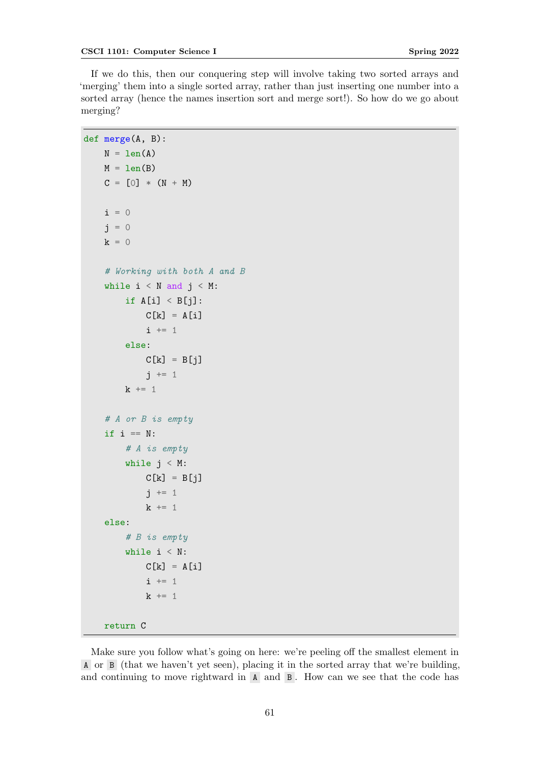If we do this, then our conquering step will involve taking two sorted arrays and 'merging' them into a single sorted array, rather than just inserting one number into a sorted array (hence the names insertion sort and merge sort!). So how do we go about merging?

```
def merge(A, B):
    N = len(A)M = len(B)C = [0] * (N + M)i = 0i = 0k = 0# Working with both A and B
    while i \leq N and j \leq M:
        if A[i] < B[j]:
            C[k] = A[i]i \neq 1else:
            C[k] = B[j]j \neq 1k += 1
    # A or B is empty
    if i == N:
        # A is empty
        while j < M:
            C[k] = B[j]j \neq 1k += 1
    else:
        # B is empty
        while i < N:
            C[k] = A[i]i \neq 1k += 1
    return C
```
Make sure you follow what's going on here: we're peeling off the smallest element in A or B (that we haven't yet seen), placing it in the sorted array that we're building, and continuing to move rightward in  $A$  and  $B$ . How can we see that the code has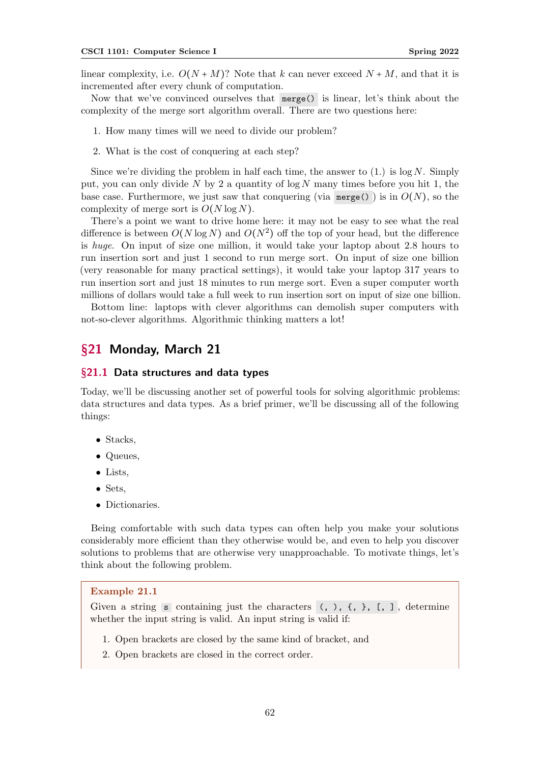linear complexity, i.e.  $O(N+M)$ ? Note that k can never exceed  $N+M$ , and that it is incremented after every chunk of computation.

Now that we've convinced ourselves that merge() is linear, let's think about the complexity of the merge sort algorithm overall. There are two questions here:

- 1. How many times will we need to divide our problem?
- 2. What is the cost of conquering at each step?

Since we're dividing the problem in half each time, the answer to  $(1)$  is log N. Simply put, you can only divide N by 2 a quantity of  $\log N$  many times before you hit 1, the base case. Furthermore, we just saw that conquering (via merge()) is in  $O(N)$ , so the complexity of merge sort is  $O(N \log N)$ .

There's a point we want to drive home here: it may not be easy to see what the real difference is between  $O(N \log N)$  and  $O(N^2)$  off the top of your head, but the difference is huge. On input of size one million, it would take your laptop about 2.8 hours to run insertion sort and just 1 second to run merge sort. On input of size one billion (very reasonable for many practical settings), it would take your laptop 317 years to run insertion sort and just 18 minutes to run merge sort. Even a super computer worth millions of dollars would take a full week to run insertion sort on input of size one billion.

Bottom line: laptops with clever algorithms can demolish super computers with not-so-clever algorithms. Algorithmic thinking matters a lot!

# §21 Monday, March 21

#### §21.1 Data structures and data types

Today, we'll be discussing another set of powerful tools for solving algorithmic problems: data structures and data types. As a brief primer, we'll be discussing all of the following things:

- Stacks,
- Queues,
- Lists,
- Sets,
- Dictionaries.

Being comfortable with such data types can often help you make your solutions considerably more efficient than they otherwise would be, and even to help you discover solutions to problems that are otherwise very unapproachable. To motivate things, let's think about the following problem.

### Example 21.1

Given a string s containing just the characters  $(, ),$   $\{, \}$ ,  $[, ]$ , determine whether the input string is valid. An input string is valid if:

- 1. Open brackets are closed by the same kind of bracket, and
- 2. Open brackets are closed in the correct order.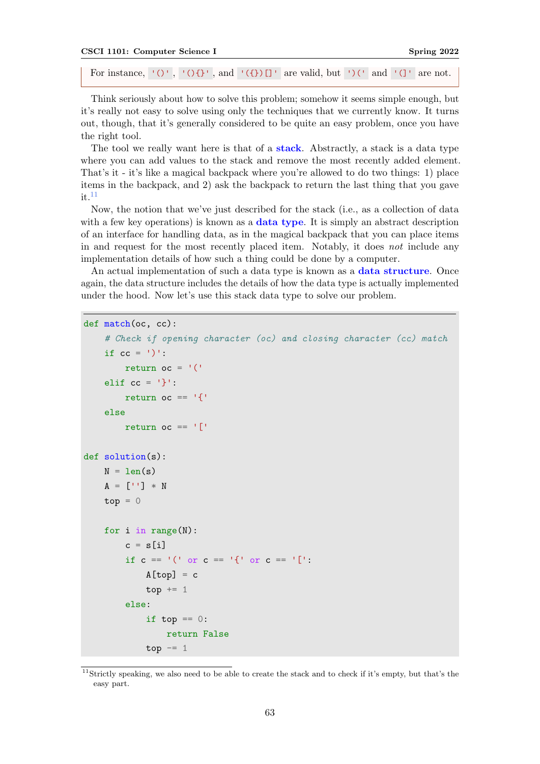```
CSCI 1101: Computer Science I Spring 2022
 For instance, '()', '(){}', and '({})[]' are valid, but ')(' and '(]' are not.
```
Think seriously about how to solve this problem; somehow it seems simple enough, but it's really not easy to solve using only the techniques that we currently know. It turns out, though, that it's generally considered to be quite an easy problem, once you have the right tool.

The tool we really want here is that of a **stack**. Abstractly, a stack is a data type where you can add values to the stack and remove the most recently added element. That's it - it's like a magical backpack where you're allowed to do two things: 1) place items in the backpack, and 2) ask the backpack to return the last thing that you gave it.  $11$ 

Now, the notion that we've just described for the stack (i.e., as a collection of data with a few key operations) is known as a **data type**. It is simply an abstract description of an interface for handling data, as in the magical backpack that you can place items in and request for the most recently placed item. Notably, it does not include any implementation details of how such a thing could be done by a computer.

An actual implementation of such a data type is known as a data structure. Once again, the data structure includes the details of how the data type is actually implemented under the hood. Now let's use this stack data type to solve our problem.

```
def match(oc, cc):
```

```
# Check if opening character (oc) and closing character (cc) match
    if cc = 1)':
        return oc = '('elif cc = '}':
        return oc == '{'
    else
        return oc == '['
def solution(s):
   N = len(s)A = [\cdot \cdot] * Ntop = 0for i in range(N):
        c = s[i]if c == '(' or c == '{''} or c == '{}'A[top] = ctop += 1else:
            if top == 0:
                return False
            top - 1
```
<span id="page-62-0"></span><sup>&</sup>lt;sup>11</sup>Strictly speaking, we also need to be able to create the stack and to check if it's empty, but that's the easy part.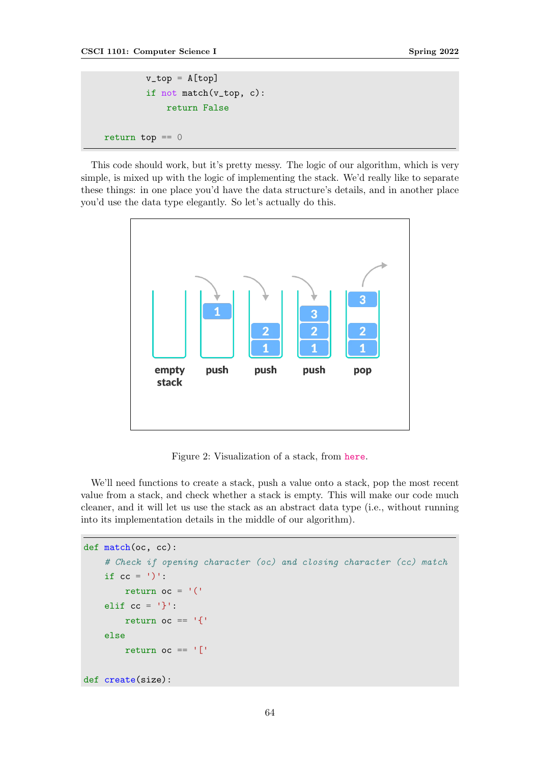```
v_t top = A[top]if not match(v_top, c):
            return False
return top == 0
```
This code should work, but it's pretty messy. The logic of our algorithm, which is very simple, is mixed up with the logic of implementing the stack. We'd really like to separate these things: in one place you'd have the data structure's details, and in another place you'd use the data type elegantly. So let's actually do this.



Figure 2: Visualization of a stack, from [here](https://www.programiz.com/dsa/stack).

We'll need functions to create a stack, push a value onto a stack, pop the most recent value from a stack, and check whether a stack is empty. This will make our code much cleaner, and it will let us use the stack as an abstract data type (i.e., without running into its implementation details in the middle of our algorithm).

```
def match(oc, cc):
    # Check if opening character (oc) and closing character (cc) match
    if cc = 1<sup>'</sup>
        return oc = '('elif cc = '}'':return oc == '{'
    else
        return oc == '['
def create(size):
```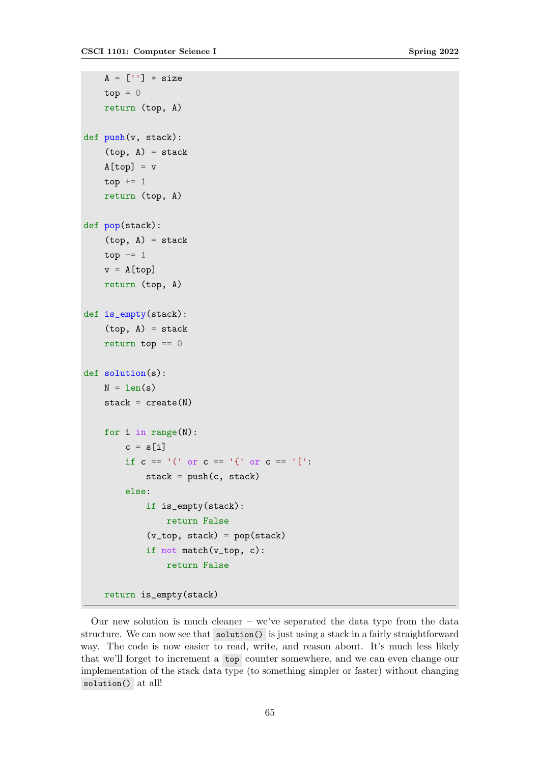```
A = [\cdot \cdot] * sizetop = 0return (top, A)
def push(v, stack):
    (top, A) = stackA[top] = vtop += 1return (top, A)
def pop(stack):
    (top, A) = stacktop - 1
    v = A[top]return (top, A)
def is_empty(stack):
    (top, A) = stackreturn top == 0def solution(s):
   N = len(s)stack = create(N)for i in range(N):
        c = s[i]if c == '(' or c == '{''} or c == '{}':
            stack = push(c, stack)else:
            if is_empty(stack):
                return False
            (v_top, stack) = pop(stack)
            if not match(v_top, c):
                return False
    return is_empty(stack)
```
Our new solution is much cleaner – we've separated the data type from the data structure. We can now see that solution() is just using a stack in a fairly straightforward way. The code is now easier to read, write, and reason about. It's much less likely that we'll forget to increment a top counter somewhere, and we can even change our implementation of the stack data type (to something simpler or faster) without changing solution() at all!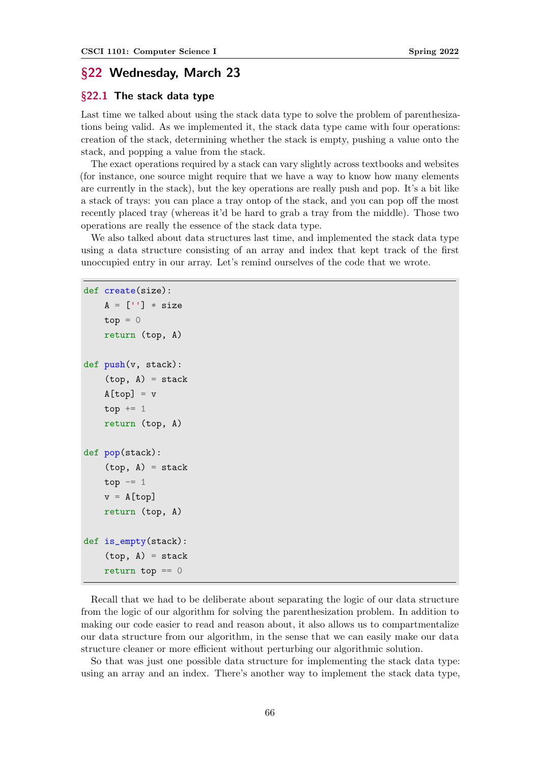# §22 Wednesday, March 23

### §22.1 The stack data type

Last time we talked about using the stack data type to solve the problem of parenthesizations being valid. As we implemented it, the stack data type came with four operations: creation of the stack, determining whether the stack is empty, pushing a value onto the stack, and popping a value from the stack.

The exact operations required by a stack can vary slightly across textbooks and websites (for instance, one source might require that we have a way to know how many elements are currently in the stack), but the key operations are really push and pop. It's a bit like a stack of trays: you can place a tray ontop of the stack, and you can pop off the most recently placed tray (whereas it'd be hard to grab a tray from the middle). Those two operations are really the essence of the stack data type.

We also talked about data structures last time, and implemented the stack data type using a data structure consisting of an array and index that kept track of the first unoccupied entry in our array. Let's remind ourselves of the code that we wrote.

```
def create(size):
    A = [\cdot \cdot] * sizetop = 0return (top, A)
def push(v, stack):
    (top, A) = stackA[top] = vtop += 1return (top, A)
def pop(stack):
    (top, A) = stacktop - = 1
    v = A[top]return (top, A)
def is_empty(stack):
    (top, A) = stackreturn top == 0
```
Recall that we had to be deliberate about separating the logic of our data structure from the logic of our algorithm for solving the parenthesization problem. In addition to making our code easier to read and reason about, it also allows us to compartmentalize our data structure from our algorithm, in the sense that we can easily make our data structure cleaner or more efficient without perturbing our algorithmic solution.

So that was just one possible data structure for implementing the stack data type: using an array and an index. There's another way to implement the stack data type,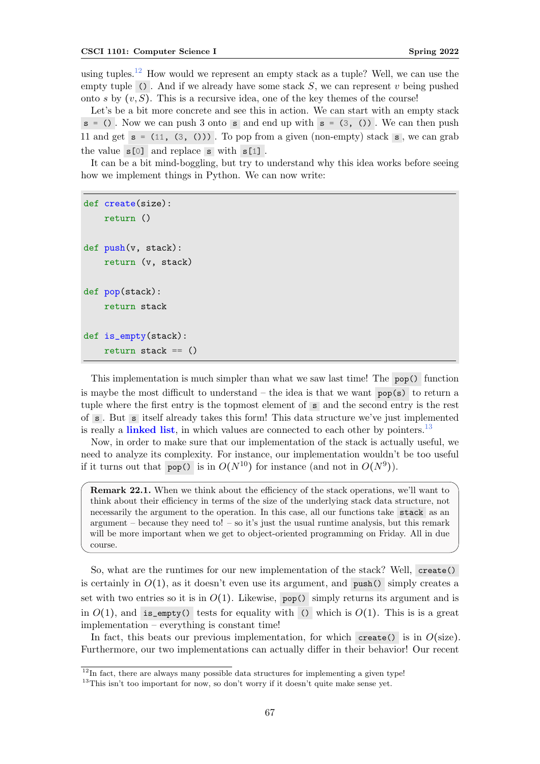using tuples.<sup>[12](#page-66-0)</sup> How would we represent an empty stack as a tuple? Well, we can use the empty tuple (). And if we already have some stack  $S$ , we can represent v being pushed onto s by  $(v, S)$ . This is a recursive idea, one of the key themes of the course!

Let's be a bit more concrete and see this in action. We can start with an empty stack  $s = ()$ . Now we can push 3 onto s and end up with  $s = (3, ())$ . We can then push 11 and get  $s = (11, (3, 0))$ . To pop from a given (non-empty) stack  $s$ , we can grab the value  $s[0]$  and replace s with  $s[1]$ .

It can be a bit mind-boggling, but try to understand why this idea works before seeing how we implement things in Python. We can now write:

```
def create(size):
    return ()
def push(v, stack):
    return (v, stack)
def pop(stack):
    return stack
def is empty(stack):
    return stack == ()
```
This implementation is much simpler than what we saw last time! The pop() function is maybe the most difficult to understand – the idea is that we want  $\log(s)$  to return a tuple where the first entry is the topmost element of s and the second entry is the rest of s . But s itself already takes this form! This data structure we've just implemented is really a **linked list**, in which values are connected to each other by pointers.<sup>[13](#page-66-1)</sup>

Now, in order to make sure that our implementation of the stack is actually useful, we need to analyze its complexity. For instance, our implementation wouldn't be too useful if it turns out that pop() is in  $O(N^{10})$  for instance (and not in  $O(N^9)$ ).

Remark 22.1. When we think about the efficiency of the stack operations, we'll want to think about their efficiency in terms of the size of the underlying stack data structure, not necessarily the argument to the operation. In this case, all our functions take stack as an argument – because they need to! – so it's just the usual runtime analysis, but this remark will be more important when we get to object-oriented programming on Friday. All in due course.

So, what are the runtimes for our new implementation of the stack? Well, create() is certainly in  $O(1)$ , as it doesn't even use its argument, and push() simply creates a set with two entries so it is in  $O(1)$ . Likewise, pop() simply returns its argument and is in  $O(1)$ , and is\_empty() tests for equality with () which is  $O(1)$ . This is a great implementation – everything is constant time!

In fact, this beats our previous implementation, for which create() is in  $O(\text{size}).$ Furthermore, our two implementations can actually differ in their behavior! Our recent

<span id="page-66-0"></span> $12$ In fact, there are always many possible data structures for implementing a given type!

<span id="page-66-1"></span><sup>&</sup>lt;sup>13</sup>This isn't too important for now, so don't worry if it doesn't quite make sense yet.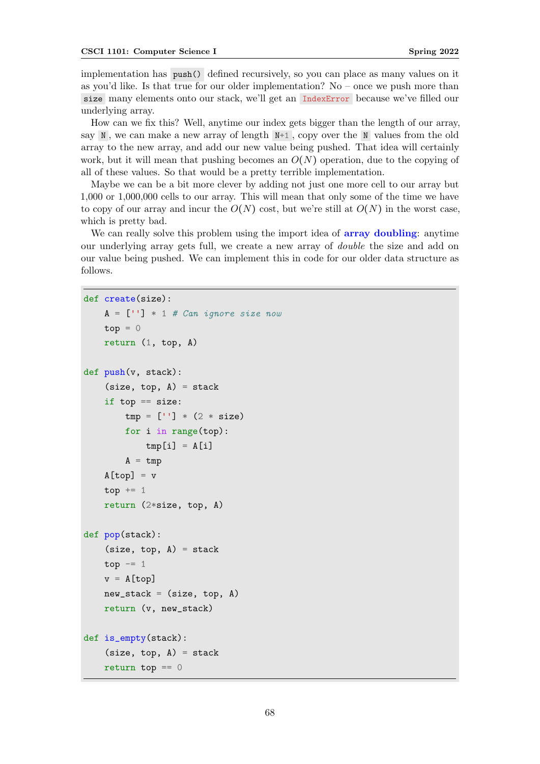implementation has push() defined recursively, so you can place as many values on it as you'd like. Is that true for our older implementation? No – once we push more than size many elements onto our stack, we'll get an IndexError because we've filled our underlying array.

How can we fix this? Well, anytime our index gets bigger than the length of our array, say  $N$ , we can make a new array of length  $N+1$ , copy over the N values from the old array to the new array, and add our new value being pushed. That idea will certainly work, but it will mean that pushing becomes an  $O(N)$  operation, due to the copying of all of these values. So that would be a pretty terrible implementation.

Maybe we can be a bit more clever by adding not just one more cell to our array but 1,000 or 1,000,000 cells to our array. This will mean that only some of the time we have to copy of our array and incur the  $O(N)$  cost, but we're still at  $O(N)$  in the worst case, which is pretty bad.

We can really solve this problem using the import idea of **array doubling**: anytime our underlying array gets full, we create a new array of double the size and add on our value being pushed. We can implement this in code for our older data structure as follows.

```
def create(size):
```

```
A = [\square] * 1 # Can ignore size nowtop = 0return (1, top, A)def push(v, stack):
    (size, top, A) = stackif top == size:
        tmp = [''] * (2 * size)for i in range(top):
            tmp[i] = A[i]A = \text{tmp}A[top] = vtop += 1return (2*size, top, A)
def pop(stack):
    (size, top, A) = stacktop - 1
    v = A[top]new\_stack = (size, top, A)return (v, new_stack)
def is_empty(stack):
    (size, top, A) = stackreturn top == 0
```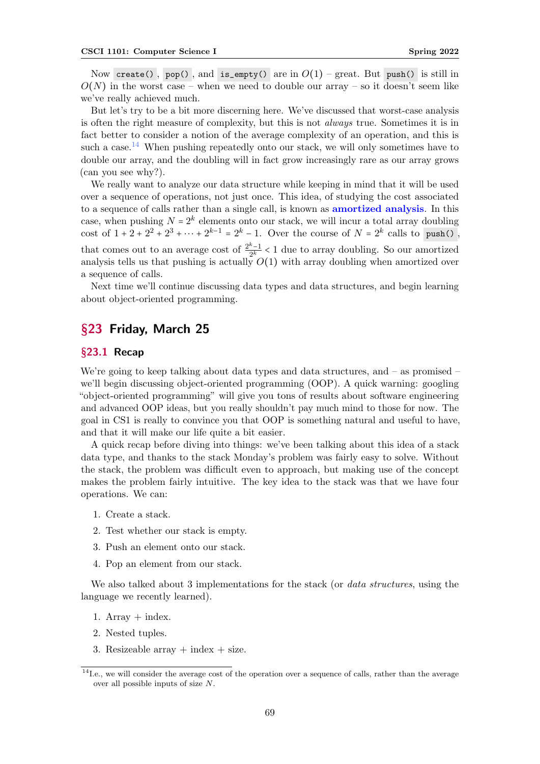Now create(), pop(), and is\_empty() are in  $O(1)$  – great. But push() is still in  $O(N)$  in the worst case – when we need to double our array – so it doesn't seem like we've really achieved much.

But let's try to be a bit more discerning here. We've discussed that worst-case analysis is often the right measure of complexity, but this is not always true. Sometimes it is in fact better to consider a notion of the average complexity of an operation, and this is such a case.<sup>[14](#page-68-0)</sup> When pushing repeatedly onto our stack, we will only sometimes have to double our array, and the doubling will in fact grow increasingly rare as our array grows (can you see why?).

We really want to analyze our data structure while keeping in mind that it will be used over a sequence of operations, not just once. This idea, of studying the cost associated to a sequence of calls rather than a single call, is known as **amortized analysis**. In this case, when pushing  $N = 2^k$  elements onto our stack, we will incur a total array doubling cost of  $1 + 2 + 2^2 + 2^3 + \cdots + 2^{k-1} = 2^k - 1$ . Over the course of  $N = 2^k$  calls to push(), that comes out to an average cost of  $\frac{2^k-1}{2^k}$  $\frac{n-1}{2^k}$  < 1 due to array doubling. So our amortized analysis tells us that pushing is actually  $O(1)$  with array doubling when amortized over a sequence of calls.

Next time we'll continue discussing data types and data structures, and begin learning about object-oriented programming.

# §23 Friday, March 25

# §23.1 Recap

We're going to keep talking about data types and data structures, and – as promised – we'll begin discussing object-oriented programming (OOP). A quick warning: googling "object-oriented programming" will give you tons of results about software engineering and advanced OOP ideas, but you really shouldn't pay much mind to those for now. The goal in CS1 is really to convince you that OOP is something natural and useful to have, and that it will make our life quite a bit easier.

A quick recap before diving into things: we've been talking about this idea of a stack data type, and thanks to the stack Monday's problem was fairly easy to solve. Without the stack, the problem was difficult even to approach, but making use of the concept makes the problem fairly intuitive. The key idea to the stack was that we have four operations. We can:

- 1. Create a stack.
- 2. Test whether our stack is empty.
- 3. Push an element onto our stack.
- 4. Pop an element from our stack.

We also talked about 3 implementations for the stack (or *data structures*, using the language we recently learned).

- 1. Array  $+$  index.
- 2. Nested tuples.
- 3. Resizeable array  $+$  index  $+$  size.

<span id="page-68-0"></span> $14$ I.e., we will consider the average cost of the operation over a sequence of calls, rather than the average over all possible inputs of size N.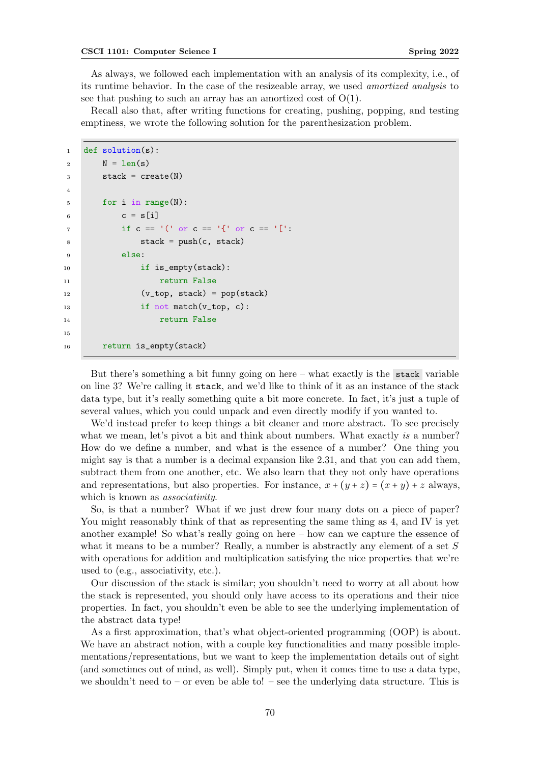As always, we followed each implementation with an analysis of its complexity, i.e., of its runtime behavior. In the case of the resizeable array, we used amortized analysis to see that pushing to such an array has an amortized cost of  $O(1)$ .

Recall also that, after writing functions for creating, pushing, popping, and testing emptiness, we wrote the following solution for the parenthesization problem.

```
1 def solution(s):
2 N = len(s)3 \quad stack = create(N)
4
5 for i in range(N):
6 c = s[i]if c == '(' or c == '{''} or c == '['8 stack = push(c, stack)
9 else:
10 if is_empty(stack):
11 11 return False
12 (v_top, stack) = pop(stack)
13 if not match(v_top, c):
14 return False
15
16 return is_empty(stack)
```
But there's something a bit funny going on here – what exactly is the stack variable on line 3? We're calling it stack, and we'd like to think of it as an instance of the stack data type, but it's really something quite a bit more concrete. In fact, it's just a tuple of several values, which you could unpack and even directly modify if you wanted to.

We'd instead prefer to keep things a bit cleaner and more abstract. To see precisely what we mean, let's pivot a bit and think about numbers. What exactly is a number? How do we define a number, and what is the essence of a number? One thing you might say is that a number is a decimal expansion like 2.31, and that you can add them, subtract them from one another, etc. We also learn that they not only have operations and representations, but also properties. For instance,  $x + (y + z) = (x + y) + z$  always, which is known as *associativity*.

So, is that a number? What if we just drew four many dots on a piece of paper? You might reasonably think of that as representing the same thing as 4, and IV is yet another example! So what's really going on here – how can we capture the essence of what it means to be a number? Really, a number is abstractly any element of a set S with operations for addition and multiplication satisfying the nice properties that we're used to (e.g., associativity, etc.).

Our discussion of the stack is similar; you shouldn't need to worry at all about how the stack is represented, you should only have access to its operations and their nice properties. In fact, you shouldn't even be able to see the underlying implementation of the abstract data type!

As a first approximation, that's what object-oriented programming (OOP) is about. We have an abstract notion, with a couple key functionalities and many possible implementations/representations, but we want to keep the implementation details out of sight (and sometimes out of mind, as well). Simply put, when it comes time to use a data type, we shouldn't need to – or even be able to! – see the underlying data structure. This is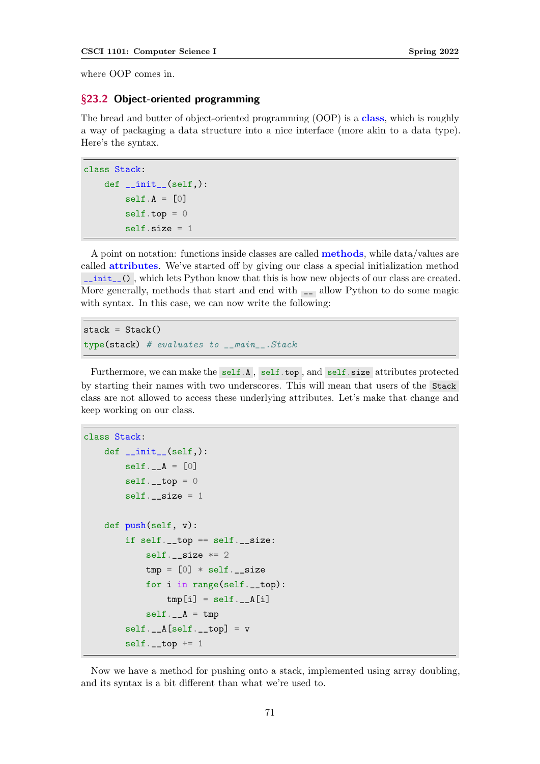where OOP comes in.

### §23.2 Object-oriented programming

The bread and butter of object-oriented programming (OOP) is a class, which is roughly a way of packaging a data structure into a nice interface (more akin to a data type). Here's the syntax.

```
class Stack:
   def __init__(self,):
       self.A = [0]self.top = 0self.size = 1
```
A point on notation: functions inside classes are called methods, while data/values are called attributes. We've started off by giving our class a special initialization method \_\_init\_\_() , which lets Python know that this is how new objects of our class are created. More generally, methods that start and end with  $\Box$  allow Python to do some magic with syntax. In this case, we can now write the following:

```
stack = Stack()type(stack) # evaluates to __main__.Stack
```
Furthermore, we can make the self.A, self.top, and self.size attributes protected by starting their names with two underscores. This will mean that users of the Stack class are not allowed to access these underlying attributes. Let's make that change and keep working on our class.

```
class Stack:
    def __init__(self,):
       self. _A = [0]self._-top = 0self._size = 1
    def push(self, v):
        if self._{\_}top = self._{\_}size:
            self._-size *= 2tmp = [0] * self.__sizefor i in range(self.__top):
                tmp[i] = self.__A[i]self. _A = tmpself. _A[self. _trop] = vself._-top += 1
```
Now we have a method for pushing onto a stack, implemented using array doubling, and its syntax is a bit different than what we're used to.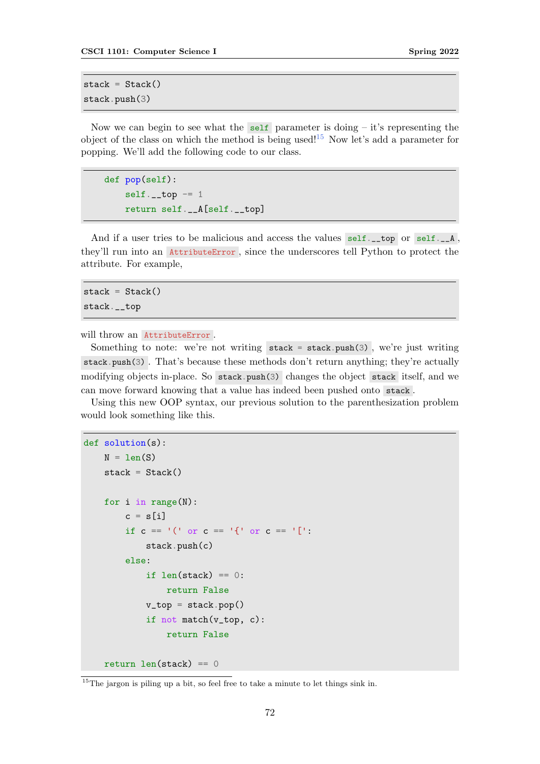```
stack = Stack()stack.push(3)
```
Now we can begin to see what the self parameter is doing  $-$  it's representing the object of the class on which the method is being used!<sup>[15](#page-71-0)</sup> Now let's add a parameter for popping. We'll add the following code to our class.

def pop(self):  $self._-top = 1$ return self.\_\_A[self.\_\_top]

And if a user tries to be malicious and access the values  $\text{self.}\_\text{top}$  or  $\text{self.}\_\text{in}$ they'll run into an AttributeError , since the underscores tell Python to protect the attribute. For example,

 $stack = Stack()$ stack.\_\_top

will throw an AttributeError.

Something to note: we're not writing  $stack = stack.push(3)$ , we're just writing stack.push(3) . That's because these methods don't return anything; they're actually modifying objects in-place. So stack.push(3) changes the object stack itself, and we can move forward knowing that a value has indeed been pushed onto stack .

Using this new OOP syntax, our previous solution to the parenthesization problem would look something like this.

```
def solution(s):
    N = len(S)stack = Stack()for i in range(N):
        c = s[i]if c == '(' or c == '{''} or c == '{}'stack.push(c)
        else:
            if len(\text{stack}) == 0:
                return False
            v_t top = stack.pop()
            if not match(v_top, c):
                return False
    return len(stack) == 0
```
<span id="page-71-0"></span> $^{15}\mathrm{The}$  jargon is piling up a bit, so feel free to take a minute to let things sink in.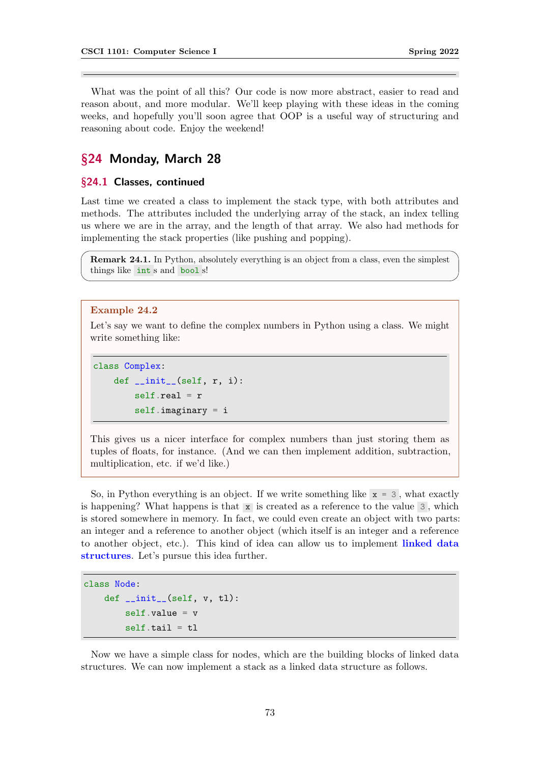<span id="page-72-0"></span>What was the point of all this? Our code is now more abstract, easier to read and reason about, and more modular. We'll keep playing with these ideas in the coming weeks, and hopefully you'll soon agree that OOP is a useful way of structuring and reasoning about code. Enjoy the weekend!

# §24 Monday, March 28

## §24.1 Classes, continued

Last time we created a class to implement the stack type, with both attributes and methods. The attributes included the underlying array of the stack, an index telling us where we are in the array, and the length of that array. We also had methods for implementing the stack properties (like pushing and popping).

Remark 24.1. In Python, absolutely everything is an object from a class, even the simplest things like int s and bool s!

#### Example 24.2

Let's say we want to define the complex numbers in Python using a class. We might write something like:

class Complex: def  $\_init\_(self, r, i)$ : self.real =  $r$  $self.inaginary = i$ 

This gives us a nicer interface for complex numbers than just storing them as tuples of floats, for instance. (And we can then implement addition, subtraction, multiplication, etc. if we'd like.)

So, in Python everything is an object. If we write something like  $x = 3$ , what exactly is happening? What happens is that  $x$  is created as a reference to the value 3, which is stored somewhere in memory. In fact, we could even create an object with two parts: an integer and a reference to another object (which itself is an integer and a reference to another object, etc.). This kind of idea can allow us to implement linked data structures. Let's pursue this idea further.

```
class Node:
    def __init__(self, v, tl):
        self.value = vself.tail = t1
```
Now we have a simple class for nodes, which are the building blocks of linked data structures. We can now implement a stack as a linked data structure as follows.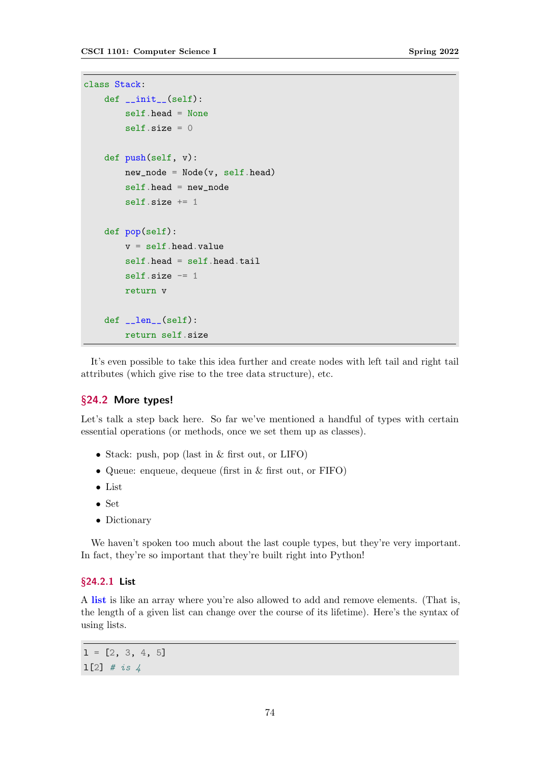```
class Stack:
    def __init__(self):
        self.head = None
        self.size = 0def push(self, v):
        new\_node = Node(v, self.head)self.head = new_node
        self.size += 1
    def pop(self):
        v = self.head.valueself.head = self.head.tail
        self.size -1return v
    def __len__(self):
        return self.size
```
It's even possible to take this idea further and create nodes with left tail and right tail attributes (which give rise to the tree data structure), etc.

#### §24.2 More types!

Let's talk a step back here. So far we've mentioned a handful of types with certain essential operations (or methods, once we set them up as classes).

- Stack: push, pop (last in & first out, or LIFO)
- Queue: enqueue, dequeue (first in & first out, or FIFO)
- List
- Set
- Dictionary

We haven't spoken too much about the last couple types, but they're very important. In fact, they're so important that they're built right into Python!

## §24.2.1 List

A list is like an array where you're also allowed to add and remove elements. (That is, the length of a given list can change over the course of its lifetime). Here's the syntax of using lists.

 $1 = [2, 3, 4, 5]$ 1[2]  $\#$  is 4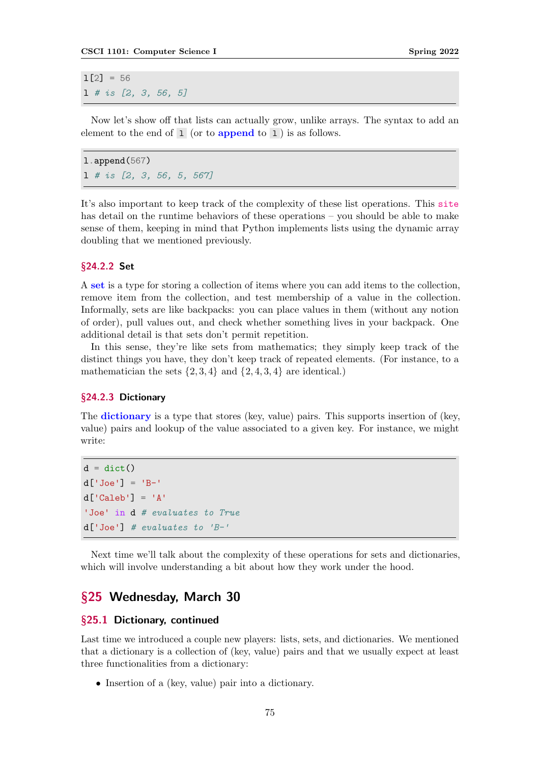<span id="page-74-0"></span> $1[2] = 56$ l # is [2, 3, 56, 5]

Now let's show off that lists can actually grow, unlike arrays. The syntax to add an element to the end of  $1$  (or to **append** to  $1$ ) is as follows.

l.append(567) l # is [2, 3, 56, 5, 567]

It's also important to keep track of the complexity of these list operations. This [site](https://peps.python.org/pep-3128/#motivation) has detail on the runtime behaviors of these operations – you should be able to make sense of them, keeping in mind that Python implements lists using the dynamic array doubling that we mentioned previously.

#### §24.2.2 Set

A set is a type for storing a collection of items where you can add items to the collection, remove item from the collection, and test membership of a value in the collection. Informally, sets are like backpacks: you can place values in them (without any notion of order), pull values out, and check whether something lives in your backpack. One additional detail is that sets don't permit repetition.

In this sense, they're like sets from mathematics; they simply keep track of the distinct things you have, they don't keep track of repeated elements. (For instance, to a mathematician the sets  $\{2,3,4\}$  and  $\{2,4,3,4\}$  are identical.)

## §24.2.3 Dictionary

The **dictionary** is a type that stores (key, value) pairs. This supports insertion of (key, value) pairs and lookup of the value associated to a given key. For instance, we might write:

```
d = \text{dict}()d['Joe'] = 'B-'d['Caleb'] = 'A''Joe' in d # evaluates to True
d['Joe'] # evaluates to 'B-'
```
Next time we'll talk about the complexity of these operations for sets and dictionaries, which will involve understanding a bit about how they work under the hood.

# §25 Wednesday, March 30

## §25.1 Dictionary, continued

Last time we introduced a couple new players: lists, sets, and dictionaries. We mentioned that a dictionary is a collection of (key, value) pairs and that we usually expect at least three functionalities from a dictionary:

• Insertion of a (key, value) pair into a dictionary.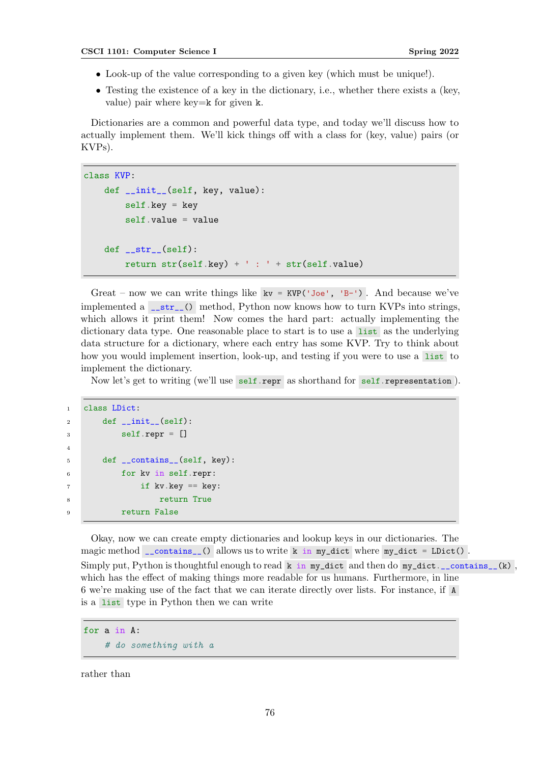- Look-up of the value corresponding to a given key (which must be unique!).
- Testing the existence of a key in the dictionary, i.e., whether there exists a (key, value) pair where key=k for given k.

Dictionaries are a common and powerful data type, and today we'll discuss how to actually implement them. We'll kick things off with a class for (key, value) pairs (or KVPs).

```
class KVP:
    def __init__(self, key, value):
        self.key = key
        self.value = value
    def __str__(self):
        return str(self.key) + ' : ' + str(self.value)
```
Great – now we can write things like  $kv = KVP('Joe', 'B-')$ . And because we've implemented a  $\text{\_strut s}$   $\text{...}$  method, Python now knows how to turn KVPs into strings, which allows it print them! Now comes the hard part: actually implementing the dictionary data type. One reasonable place to start is to use a list as the underlying data structure for a dictionary, where each entry has some KVP. Try to think about how you would implement insertion, look-up, and testing if you were to use a list to implement the dictionary.

Now let's get to writing (we'll use self.repr as shorthand for self.representation ).

```
1 class LDict:
2 \text{ def } \_init \_ (self):3 self.repr = []
4
5 def __contains__(self, key):
6 for kv in self.repr:
7 if kv.key == key:
8 8 return True
9 return False
```
Okay, now we can create empty dictionaries and lookup keys in our dictionaries. The magic method  $\Box$ contains $\Box$ () allows us to write k in my\_dict where my\_dict = LDict(). Simply put, Python is thoughtful enough to read  $k$  in my\_dict and then do my\_dict.\_\_contains\_(k), which has the effect of making things more readable for us humans. Furthermore, in line 6 we're making use of the fact that we can iterate directly over lists. For instance, if A is a list type in Python then we can write

for a in A: # do something with a

rather than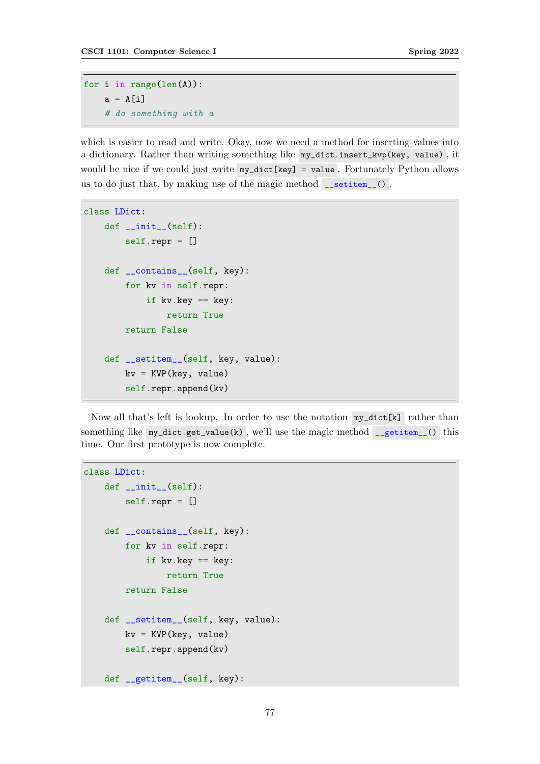```
for i in range(len(A)):
   a = A[i]# do something with a
```
which is easier to read and write. Okay, now we need a method for inserting values into a dictionary. Rather than writing something like my\_dict.insert\_kvp(key, value) , it would be nice if we could just write my\_dict[key] = value . Fortunately Python allows us to do just that, by making use of the magic method  $\Box$  setitem $\Box$ ().

```
class LDict:
    def __init__(self):
        self.repr = []
    def __contains__(self, key):
        for kv in self.repr:
            if kv.key == key:
                return True
        return False
    def __setitem__(self, key, value):
        kv = KVP(key, value)self.repr.append(kv)
```
Now all that's left is lookup. In order to use the notation my\_dict[k] rather than something like  $my\_dict.get_value(k)$ , we'll use the magic method  $getitem_()$  this time. Our first prototype is now complete.

```
class LDict:
    def __init__(self):
        self.repr = []
    def __contains__(self, key):
        for kv in self.repr:
            if kv \tkey == key:return True
        return False
    def __setitem__(self, key, value):
        kv = KVP(key, value)self.repr.append(kv)
    def __getitem__(self, key):
```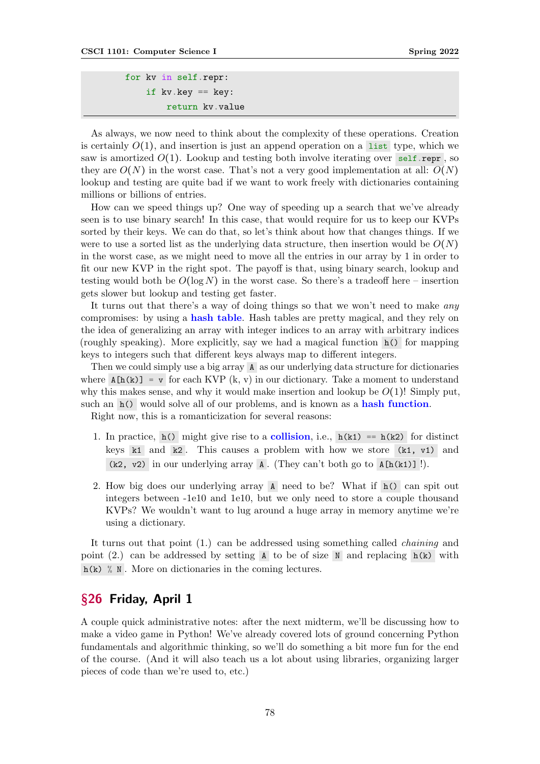```
for kv in self.repr:
    if kv.key == key:
        return kv.value
```
As always, we now need to think about the complexity of these operations. Creation is certainly  $O(1)$ , and insertion is just an append operation on a list type, which we saw is amortized  $O(1)$ . Lookup and testing both involve iterating over self.repr, so they are  $O(N)$  in the worst case. That's not a very good implementation at all:  $O(N)$ lookup and testing are quite bad if we want to work freely with dictionaries containing millions or billions of entries.

How can we speed things up? One way of speeding up a search that we've already seen is to use binary search! In this case, that would require for us to keep our KVPs sorted by their keys. We can do that, so let's think about how that changes things. If we were to use a sorted list as the underlying data structure, then insertion would be  $O(N)$ in the worst case, as we might need to move all the entries in our array by 1 in order to fit our new KVP in the right spot. The payoff is that, using binary search, lookup and testing would both be  $O(\log N)$  in the worst case. So there's a tradeoff here – insertion gets slower but lookup and testing get faster.

It turns out that there's a way of doing things so that we won't need to make *any* compromises: by using a hash table. Hash tables are pretty magical, and they rely on the idea of generalizing an array with integer indices to an array with arbitrary indices (roughly speaking). More explicitly, say we had a magical function h() for mapping keys to integers such that different keys always map to different integers.

Then we could simply use a big array A as our underlying data structure for dictionaries where  $A[h(k)] = v$  for each KVP (k, v) in our dictionary. Take a moment to understand why this makes sense, and why it would make insertion and lookup be  $O(1)!$  Simply put, such an h() would solve all of our problems, and is known as a hash function.

Right now, this is a romanticization for several reasons:

- 1. In practice,  $h()$  might give rise to a **collision**, i.e.,  $h(k1) == h(k2)$  for distinct keys  $k1$  and  $k2$ . This causes a problem with how we store (k1, v1) and  $(k2, v2)$  in our underlying array A. (They can't both go to A[h(k1)] !).
- 2. How big does our underlying array A need to be? What if h() can spit out integers between -1e10 and 1e10, but we only need to store a couple thousand KVPs? We wouldn't want to lug around a huge array in memory anytime we're using a dictionary.

It turns out that point (1.) can be addressed using something called chaining and point  $(2)$  can be addressed by setting A to be of size N and replacing h(k) with  $h(k)$  % N. More on dictionaries in the coming lectures.

# §26 Friday, April 1

A couple quick administrative notes: after the next midterm, we'll be discussing how to make a video game in Python! We've already covered lots of ground concerning Python fundamentals and algorithmic thinking, so we'll do something a bit more fun for the end of the course. (And it will also teach us a lot about using libraries, organizing larger pieces of code than we're used to, etc.)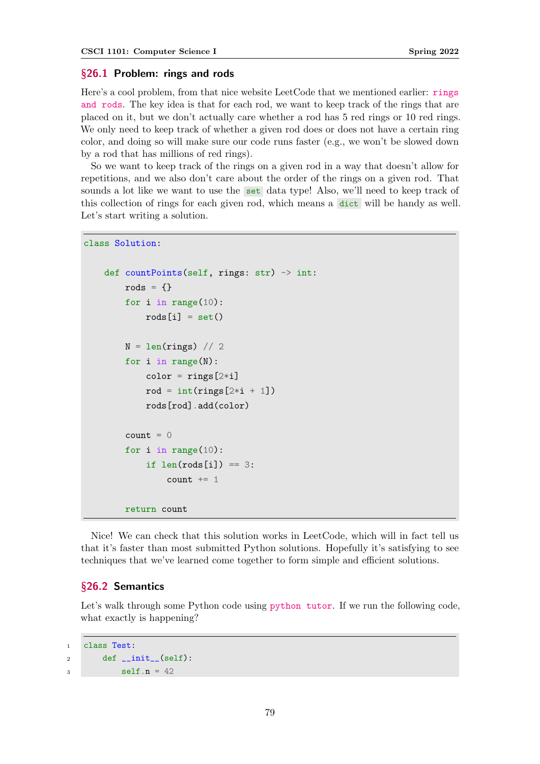#### §26.1 Problem: rings and rods

Here's a cool problem, from that nice website LeetCode that we mentioned earlier: [rings](https://leetcode.com/problems/rings-and-rods/) [and rods](https://leetcode.com/problems/rings-and-rods/). The key idea is that for each rod, we want to keep track of the rings that are placed on it, but we don't actually care whether a rod has 5 red rings or 10 red rings. We only need to keep track of whether a given rod does or does not have a certain ring color, and doing so will make sure our code runs faster (e.g., we won't be slowed down by a rod that has millions of red rings).

So we want to keep track of the rings on a given rod in a way that doesn't allow for repetitions, and we also don't care about the order of the rings on a given rod. That sounds a lot like we want to use the set data type! Also, we'll need to keep track of this collection of rings for each given rod, which means a dict will be handy as well. Let's start writing a solution.

```
class Solution:
```

```
def countPoints(self, rings: str) \rightarrow int:
    rods = \{\}for i in range(10):
        roots[i] = set()N = len(rings) // 2
    for i in range(N):
        color = rings[2*ij]rod = int(rings[2*i + 1])rods[rod].add(color)
    count = 0for i in range(10):
        if len(rods[i]) == 3:
            count += 1return count
```
Nice! We can check that this solution works in LeetCode, which will in fact tell us that it's faster than most submitted Python solutions. Hopefully it's satisfying to see techniques that we've learned come together to form simple and efficient solutions.

#### §26.2 Semantics

Let's walk through some Python code using [python tutor](https://pythontutor.com/visualize.html#mode=edit). If we run the following code, what exactly is happening?

```
1 class Test:
2 def \_init_-(self):3 self.n = 42
```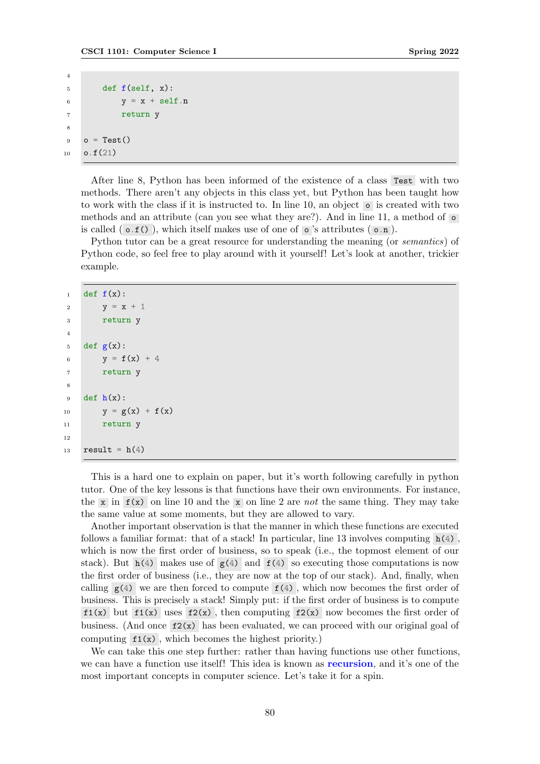```
4
5 def f(self, x):
6 y = x + self.n7 return y
8
9 o = Test()
10 o.f(21)
```
After line 8, Python has been informed of the existence of a class Test with two methods. There aren't any objects in this class yet, but Python has been taught how to work with the class if it is instructed to. In line 10, an object o is created with two methods and an attribute (can you see what they are?). And in line 11, a method of  $\circ$ is called  $( o.f() )$ , which itself makes use of one of  $o$ 's attributes  $( o.n )$ .

Python tutor can be a great resource for understanding the meaning (or semantics) of Python code, so feel free to play around with it yourself! Let's look at another, trickier example.

```
1 def f(x):
2 y = x + 13 return y
4
5 def g(x):
6 y = f(x) + 47 return y
8
9 def h(x):
10 y = g(x) + f(x)11 return y
12
13 result = h(4)
```
This is a hard one to explain on paper, but it's worth following carefully in python tutor. One of the key lessons is that functions have their own environments. For instance, the x in  $f(x)$  on line 10 and the x on line 2 are not the same thing. They may take the same value at some moments, but they are allowed to vary.

Another important observation is that the manner in which these functions are executed follows a familiar format: that of a stack! In particular, line 13 involves computing  $h(4)$ , which is now the first order of business, so to speak (i.e., the topmost element of our stack). But  $h(4)$  makes use of  $g(4)$  and  $f(4)$  so executing those computations is now the first order of business (i.e., they are now at the top of our stack). And, finally, when calling  $g(4)$  we are then forced to compute  $f(4)$ , which now becomes the first order of business. This is precisely a stack! Simply put: if the first order of business is to compute  $f1(x)$  but  $f1(x)$  uses  $f2(x)$ , then computing  $f2(x)$  now becomes the first order of business. (And once  $f_2(x)$  has been evaluated, we can proceed with our original goal of computing  $f_1(x)$ , which becomes the highest priority.)

We can take this one step further: rather than having functions use other functions, we can have a function use itself! This idea is known as recursion, and it's one of the most important concepts in computer science. Let's take it for a spin.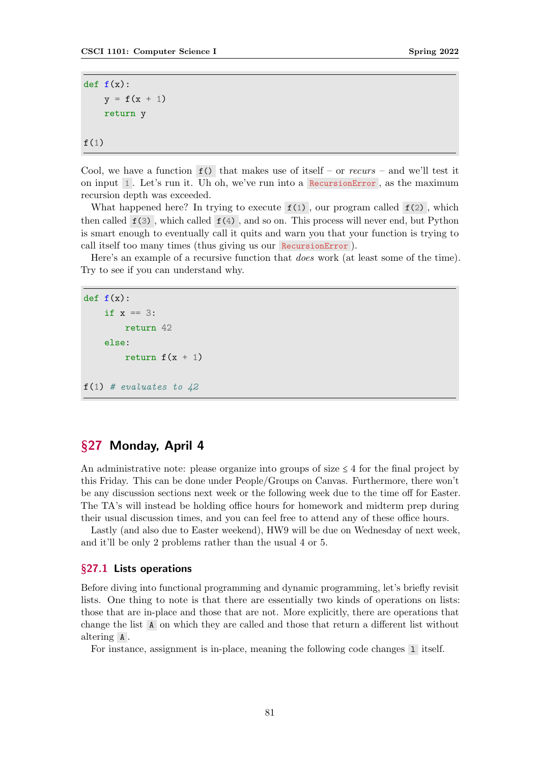```
def f(x):
    y = f(x + 1)return y
f(1)
```
Cool, we have a function  $f()$  that makes use of itself – or recurs – and we'll test it on input 1 . Let's run it. Uh oh, we've run into a RecursionError , as the maximum recursion depth was exceeded.

What happened here? In trying to execute  $f(1)$ , our program called  $f(2)$ , which then called  $f(3)$ , which called  $f(4)$ , and so on. This process will never end, but Python is smart enough to eventually call it quits and warn you that your function is trying to call itself too many times (thus giving us our RecursionError ).

Here's an example of a recursive function that does work (at least some of the time). Try to see if you can understand why.

```
def f(x):if x == 3:
        return 42
    else:
        return f(x + 1)f(1) # evaluates to 42
```
# §27 Monday, April 4

An administrative note: please organize into groups of size  $\leq 4$  for the final project by this Friday. This can be done under People/Groups on Canvas. Furthermore, there won't be any discussion sections next week or the following week due to the time off for Easter. The TA's will instead be holding office hours for homework and midterm prep during their usual discussion times, and you can feel free to attend any of these office hours.

Lastly (and also due to Easter weekend), HW9 will be due on Wednesday of next week, and it'll be only 2 problems rather than the usual 4 or 5.

#### §27.1 Lists operations

Before diving into functional programming and dynamic programming, let's briefly revisit lists. One thing to note is that there are essentially two kinds of operations on lists: those that are in-place and those that are not. More explicitly, there are operations that change the list A on which they are called and those that return a different list without altering A .

For instance, assignment is in-place, meaning the following code changes l itself.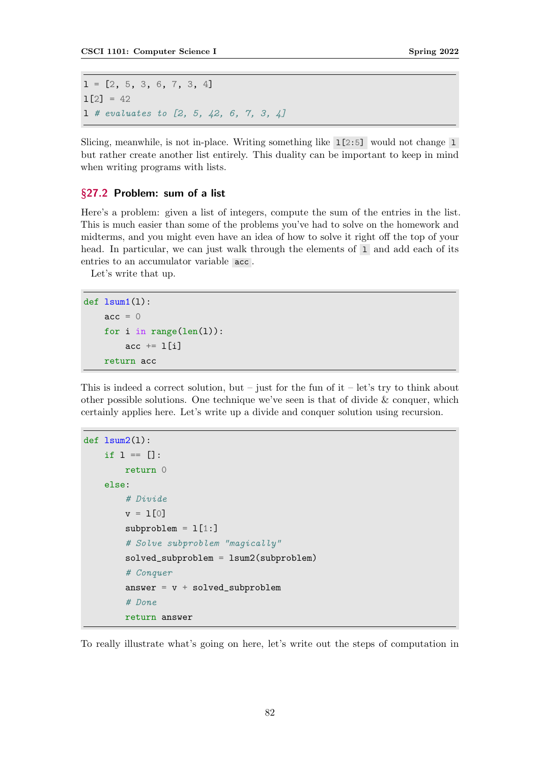$1 = [2, 5, 3, 6, 7, 3, 4]$  $1[2] = 42$  $1$  # evaluates to  $[2, 5, 42, 6, 7, 3, 4]$ 

Slicing, meanwhile, is not in-place. Writing something like  $1[2:5]$  would not change 1 but rather create another list entirely. This duality can be important to keep in mind when writing programs with lists.

## §27.2 Problem: sum of a list

Here's a problem: given a list of integers, compute the sum of the entries in the list. This is much easier than some of the problems you've had to solve on the homework and midterms, and you might even have an idea of how to solve it right off the top of your head. In particular, we can just walk through the elements of 1 and add each of its entries to an accumulator variable acc .

Let's write that up.

```
def lsum1(l):
    acc = 0for i in range(len(l)):
        acc += 1[i]return acc
```
This is indeed a correct solution, but – just for the fun of  $it$  – let's try to think about other possible solutions. One technique we've seen is that of divide  $&\&$  conquer, which certainly applies here. Let's write up a divide and conquer solution using recursion.

```
def lsum2(l):
    if 1 == []:
        return 0
    else:
        # Divide
        v = 1[0]
        subproblem = 1[1:]# Solve subproblem "magically"
        solved_subproblem = lsum2(subproblem)
        # Conquer
        answer = v + solved_subproblem
        # Done
        return answer
```
To really illustrate what's going on here, let's write out the steps of computation in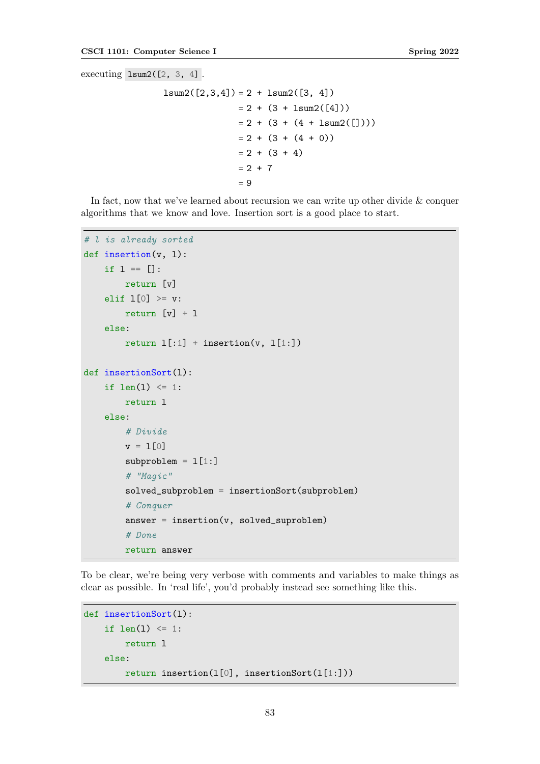executing lsum2([2, 3, 4] .

```
lsum2([2,3,4]) = 2 + lsum2([3, 4])= 2 + (3 + 1sum2([4]))= 2 + (3 + (4 + 1sum2([]))= 2 + (3 + (4 + 0))= 2 + (3 + 4)= 2 + 7= 9
```
In fact, now that we've learned about recursion we can write up other divide & conquer algorithms that we know and love. Insertion sort is a good place to start.

```
# l is already sorted
def insertion(v, l):
    if 1 == 1:
        return [v]
    elif 1[0] >= v:
        return [v] + 1else:
        return 1[:1] + insertion(v, 1[1:])
def insertionSort(l):
    if len(1) \leq 1:
        return l
    else:
        # Divide
        v = 1[0]subproblem = 1[1:]# "Magic"
        solved_subproblem = insertionSort(subproblem)
        # Conquer
        answer = insertion(v, solved_suproblem)
        # Done
        return answer
```
To be clear, we're being very verbose with comments and variables to make things as clear as possible. In 'real life', you'd probably instead see something like this.

```
def insertionSort(l):
    if len(1) \leq 1:
        return l
    else:
        return insertion(l[0], insertionSort(l[1:]))
```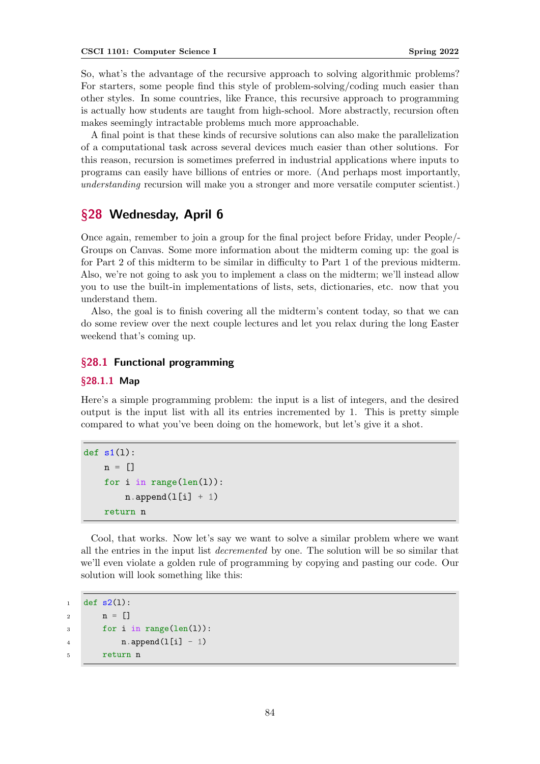So, what's the advantage of the recursive approach to solving algorithmic problems? For starters, some people find this style of problem-solving/coding much easier than other styles. In some countries, like France, this recursive approach to programming is actually how students are taught from high-school. More abstractly, recursion often makes seemingly intractable problems much more approachable.

A final point is that these kinds of recursive solutions can also make the parallelization of a computational task across several devices much easier than other solutions. For this reason, recursion is sometimes preferred in industrial applications where inputs to programs can easily have billions of entries or more. (And perhaps most importantly, understanding recursion will make you a stronger and more versatile computer scientist.)

# §28 Wednesday, April 6

Once again, remember to join a group for the final project before Friday, under People/- Groups on Canvas. Some more information about the midterm coming up: the goal is for Part 2 of this midterm to be similar in difficulty to Part 1 of the previous midterm. Also, we're not going to ask you to implement a class on the midterm; we'll instead allow you to use the built-in implementations of lists, sets, dictionaries, etc. now that you understand them.

Also, the goal is to finish covering all the midterm's content today, so that we can do some review over the next couple lectures and let you relax during the long Easter weekend that's coming up.

## §28.1 Functional programming

## §28.1.1 Map

Here's a simple programming problem: the input is a list of integers, and the desired output is the input list with all its entries incremented by 1. This is pretty simple compared to what you've been doing on the homework, but let's give it a shot.

```
def s1(1):
    n = []for i in range(len(l)):
        n.append(1[i] + 1)return n
```
Cool, that works. Now let's say we want to solve a similar problem where we want all the entries in the input list *decremented* by one. The solution will be so similar that we'll even violate a golden rule of programming by copying and pasting our code. Our solution will look something like this:

```
1 def s2(1):
2 n = []3 for i in range(len(l)):
4 \quad n.append(1[i] - 1)5 return n
```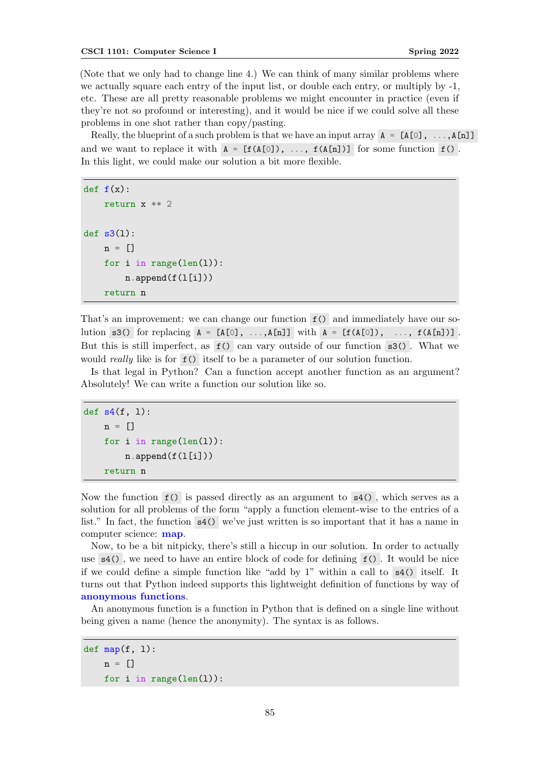<span id="page-84-0"></span>(Note that we only had to change line 4.) We can think of many similar problems where we actually square each entry of the input list, or double each entry, or multiply by -1, etc. These are all pretty reasonable problems we might encounter in practice (even if they're not so profound or interesting), and it would be nice if we could solve all these problems in one shot rather than copy/pasting.

Really, the blueprint of a such problem is that we have an input array  $A = [A[0], \ldots, A[n]]$ and we want to replace it with  $A = [f(A[0]), ..., f(A[n])]$  for some function  $f()$ . In this light, we could make our solution a bit more flexible.

```
def f(x):
    return x ** 2
def s3(1):
    n = []for i in range(len(l)):
        n.append(f(l[i]))
    return n
```
That's an improvement: we can change our function f() and immediately have our solution s3() for replacing  $A = [A[0], \ldots, A[n]]$  with  $A = [f(A[0]), \ldots, f(A[n])]$ . But this is still imperfect, as  $f()$  can vary outside of our function  $s3()$ . What we would *really* like is for  $f()$  itself to be a parameter of our solution function.

Is that legal in Python? Can a function accept another function as an argument? Absolutely! We can write a function our solution like so.

```
def s4(f, 1):
    n = \lceil]
    for i in range(len(l)):
        n.append(f(I[i]))return n
```
Now the function  $f()$  is passed directly as an argument to  $s4()$ , which serves as a solution for all problems of the form "apply a function element-wise to the entries of a list." In fact, the function s4() we've just written is so important that it has a name in computer science: map.

Now, to be a bit nitpicky, there's still a hiccup in our solution. In order to actually use s4() , we need to have an entire block of code for defining f() . It would be nice if we could define a simple function like "add by 1" within a call to s4() itself. It turns out that Python indeed supports this lightweight definition of functions by way of anonymous functions.

An anonymous function is a function in Python that is defined on a single line without being given a name (hence the anonymity). The syntax is as follows.

```
def map(f, 1):
   n = []for i in range(len(l)):
```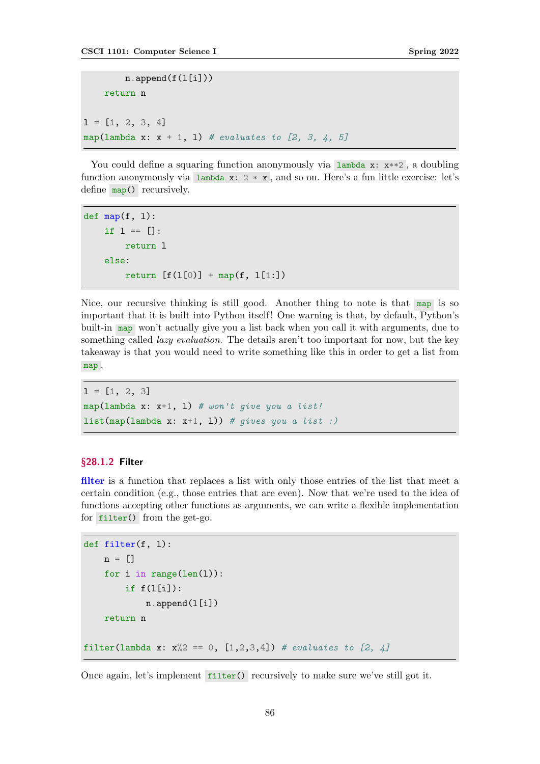```
n.append(f(I[i]))return n
1 = [1, 2, 3, 4]map(lambda x: x + 1, 1) # evaluates to [2, 3, 4, 5]
```
You could define a squaring function anonymously via  $\lambda : x**2$ , a doubling function anonymously via lambda  $x: 2 * x$ , and so on. Here's a fun little exercise: let's define map() recursively.

```
def map(f, 1):
    if 1 == []:
        return l
    else:
        return [f(1[0)] + map(f, 1[1:])
```
Nice, our recursive thinking is still good. Another thing to note is that map is so important that it is built into Python itself! One warning is that, by default, Python's built-in map won't actually give you a list back when you call it with arguments, due to something called *lazy evaluation*. The details aren't too important for now, but the key takeaway is that you would need to write something like this in order to get a list from map .

```
1 = [1, 2, 3]map(lambda x: x+1, 1) # won't give you a list!
list(map(lambda x: x+1, 1)) # gives you a list :)
```
## §28.1.2 Filter

filter is a function that replaces a list with only those entries of the list that meet a certain condition (e.g., those entries that are even). Now that we're used to the idea of functions accepting other functions as arguments, we can write a flexible implementation for filter() from the get-go.

```
def filter(f, l):
    n = \lceil]
    for i in range(len(l)):
         if f(I[i]):
             n.append(l[i])
    return n
filter(lambda x: x\frac{?}{2} = 0, [1,2,3,4]) # evaluates to [2, 4]
```
Once again, let's implement filter() recursively to make sure we've still got it.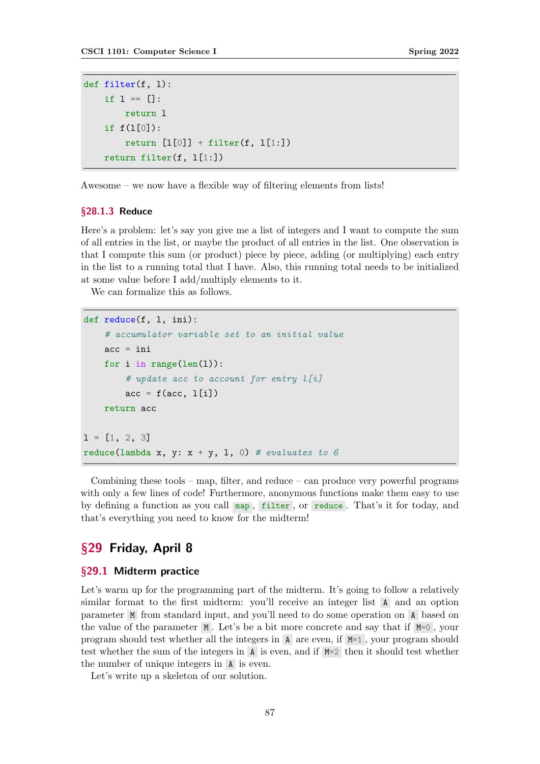```
def filter(f, l):
    if l = []:
        return l
    if f(l[0]):
        return [1[0]] + filter(f, 1[1:])return filter(f, l[1:])
```
Awesome – we now have a flexible way of filtering elements from lists!

#### §28.1.3 Reduce

Here's a problem: let's say you give me a list of integers and I want to compute the sum of all entries in the list, or maybe the product of all entries in the list. One observation is that I compute this sum (or product) piece by piece, adding (or multiplying) each entry in the list to a running total that I have. Also, this running total needs to be initialized at some value before I add/multiply elements to it.

We can formalize this as follows.

```
def reduce(f, l, ini):
    # accumulator variable set to an initial value
    acc = inifor i in range(len(1)):
        # update acc to account for entry l[i]acc = f(acc, 1[i])return acc
1 = [1, 2, 3]reduce(lambda x, y: x + y, 1, 0) # evaluates to 6
```
Combining these tools – map, filter, and reduce – can produce very powerful programs with only a few lines of code! Furthermore, anonymous functions make them easy to use by defining a function as you call map , filter , or reduce . That's it for today, and that's everything you need to know for the midterm!

# §29 Friday, April 8

## §29.1 Midterm practice

Let's warm up for the programming part of the midterm. It's going to follow a relatively similar format to the first midterm: you'll receive an integer list A and an option parameter M from standard input, and you'll need to do some operation on A based on the value of the parameter M . Let's be a bit more concrete and say that if M=0 , your program should test whether all the integers in  $A$  are even, if  $M=1$ , your program should test whether the sum of the integers in A is even, and if M=2 then it should test whether the number of unique integers in A is even.

Let's write up a skeleton of our solution.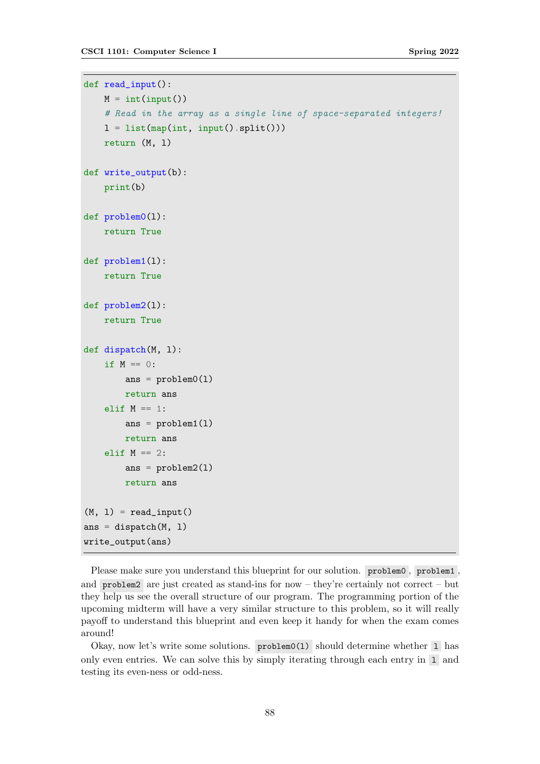```
def read_input():
   M = int(input())# Read in the array as a single line of space-separated integers!
    l = list(map(int, input().split())return (M, l)
def write_output(b):
    print(b)
def problem0(l):
    return True
def problem1(l):
    return True
def problem2(l):
    return True
def dispatch(M, l):
    if M == 0:
        ans = problem0(1)return ans
    elif M == 1:
        ans = problem1(1)return ans
    elif M == 2:
        ans = problem2(1)return ans
(M, 1) = read\_input()ans = dispatch(M, 1)write_output(ans)
```
Please make sure you understand this blueprint for our solution. problem0 , problem1 , and problem2 are just created as stand-ins for now – they're certainly not correct – but they help us see the overall structure of our program. The programming portion of the upcoming midterm will have a very similar structure to this problem, so it will really payoff to understand this blueprint and even keep it handy for when the exam comes around!

Okay, now let's write some solutions. problem0(1) should determine whether 1 has only even entries. We can solve this by simply iterating through each entry in  $\overline{1}$  and testing its even-ness or odd-ness.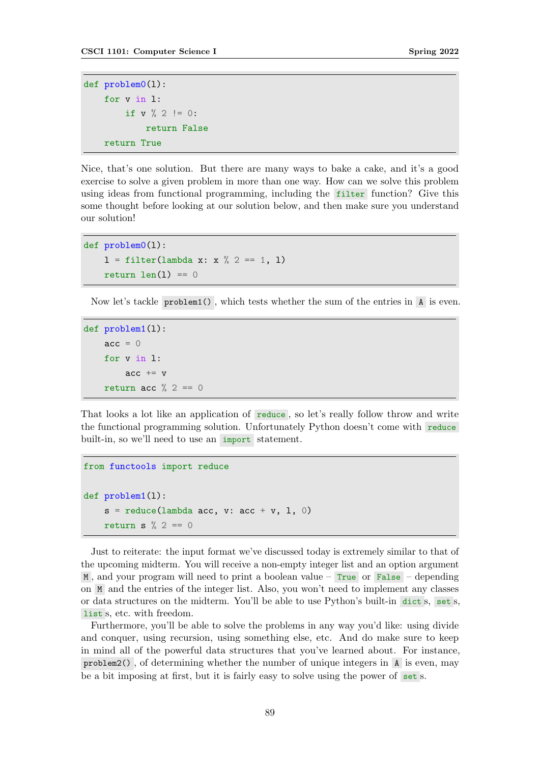```
def problem0(l):
    for v in l:
         if v \text{ % } 2 := 0:
              return False
    return True
```
Nice, that's one solution. But there are many ways to bake a cake, and it's a good exercise to solve a given problem in more than one way. How can we solve this problem using ideas from functional programming, including the filter function? Give this some thought before looking at our solution below, and then make sure you understand our solution!

```
def problem0(l):
     1 = \text{filter}(\text{lambda } x: x \text{ % } 2 == 1, 1)return len(1) == 0
```
Now let's tackle problem1() , which tests whether the sum of the entries in A is even.

```
def problem1(l):
    acc = 0for v in l:
        acc += vreturn acc \% 2 == 0
```
That looks a lot like an application of reduce, so let's really follow throw and write the functional programming solution. Unfortunately Python doesn't come with reduce built-in, so we'll need to use an import statement.

```
from functools import reduce
def problem1(l):
    s = reduce(lambda acc, v: acc + v, 1, 0)
    return s \frac{9}{2} == 0
```
Just to reiterate: the input format we've discussed today is extremely similar to that of the upcoming midterm. You will receive a non-empty integer list and an option argument M, and your program will need to print a boolean value – True or False – depending on M and the entries of the integer list. Also, you won't need to implement any classes or data structures on the midterm. You'll be able to use Python's built-in dict s, set s, list s, etc. with freedom.

Furthermore, you'll be able to solve the problems in any way you'd like: using divide and conquer, using recursion, using something else, etc. And do make sure to keep in mind all of the powerful data structures that you've learned about. For instance, problem2() , of determining whether the number of unique integers in A is even, may be a bit imposing at first, but it is fairly easy to solve using the power of set s.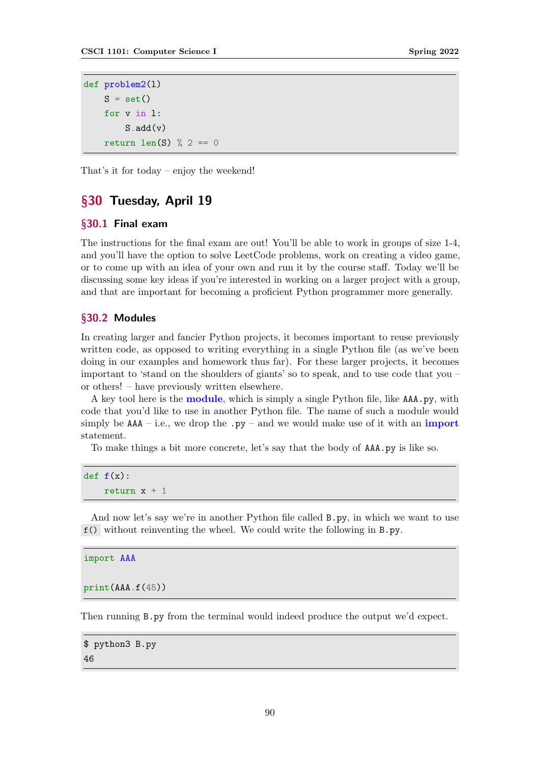```
def problem2(l)
    S = set()for v in l:
        S.add(v)return len(S) % 2 == 0
```
That's it for today – enjoy the weekend!

# §30 Tuesday, April 19

#### §30.1 Final exam

The instructions for the final exam are out! You'll be able to work in groups of size 1-4, and you'll have the option to solve LeetCode problems, work on creating a video game, or to come up with an idea of your own and run it by the course staff. Today we'll be discussing some key ideas if you're interested in working on a larger project with a group, and that are important for becoming a proficient Python programmer more generally.

#### §30.2 Modules

In creating larger and fancier Python projects, it becomes important to reuse previously written code, as opposed to writing everything in a single Python file (as we've been doing in our examples and homework thus far). For these larger projects, it becomes important to 'stand on the shoulders of giants' so to speak, and to use code that you – or others! – have previously written elsewhere.

A key tool here is the module, which is simply a single Python file, like AAA.py, with code that you'd like to use in another Python file. The name of such a module would simply be  $AAA$  – i.e., we drop the .py – and we would make use of it with an import statement.

To make things a bit more concrete, let's say that the body of AAA.py is like so.

```
def f(x):
    return x + 1
```
And now let's say we're in another Python file called B.py, in which we want to use f() without reinventing the wheel. We could write the following in B.py.

```
import AAA
```

```
print(AAA.f(45))
```
Then running B.py from the terminal would indeed produce the output we'd expect.

\$ python3 B.py 46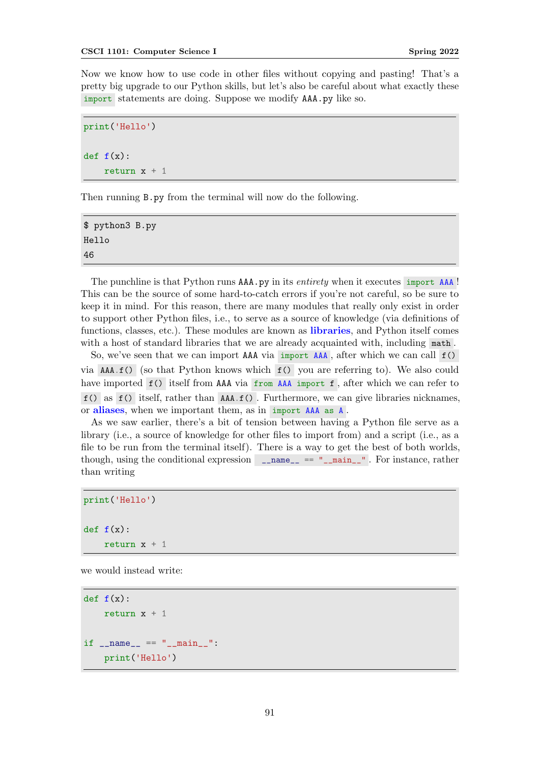<span id="page-90-0"></span>Now we know how to use code in other files without copying and pasting! That's a pretty big upgrade to our Python skills, but let's also be careful about what exactly these import statements are doing. Suppose we modify AAA.py like so.

```
print('Hello')
def f(x):return x + 1
```
Then running B.py from the terminal will now do the following.

```
$ python3 B.py
Hello
46
```
The punchline is that Python runs AAA.py in its entirety when it executes import AAA! This can be the source of some hard-to-catch errors if you're not careful, so be sure to keep it in mind. For this reason, there are many modules that really only exist in order to support other Python files, i.e., to serve as a source of knowledge (via definitions of functions, classes, etc.). These modules are known as **libraries**, and Python itself comes with a host of standard libraries that we are already acquainted with, including math.

So, we've seen that we can import AAA via import AAA , after which we can call f() via AAA.f() (so that Python knows which f() you are referring to). We also could have imported f() itself from AAA via from AAA import f, after which we can refer to  $f()$  as  $f()$  itself, rather than  $AAA.f()$ . Furthermore, we can give libraries nicknames, or aliases, when we important them, as in import AAA as A .

As we saw earlier, there's a bit of tension between having a Python file serve as a library (i.e., a source of knowledge for other files to import from) and a script (i.e., as a file to be run from the terminal itself). There is a way to get the best of both worlds, though, using the conditional expression  $\Box$ name $\Box$  == " $\Box$ main $\Box$ ". For instance, rather than writing

print('Hello')  $def f(x):$ return  $x + 1$ 

we would instead write:

```
def f(x):
    return x + 1if __name__ == "__main__":
   print('Hello')
```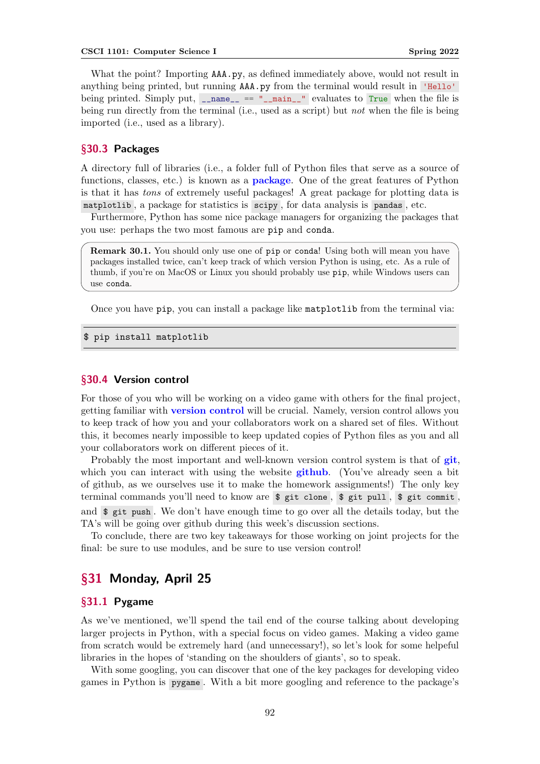<span id="page-91-0"></span>What the point? Importing AAA.py, as defined immediately above, would not result in anything being printed, but running AAA.py from the terminal would result in 'Hello' being printed. Simply put,  $_{\text{name}} =$   $_{\text{mean}} =$   $_{\text{mean}}$  evaluates to True when the file is being run directly from the terminal (i.e., used as a script) but *not* when the file is being imported (i.e., used as a library).

## §30.3 Packages

A directory full of libraries (i.e., a folder full of Python files that serve as a source of functions, classes, etc.) is known as a **package**. One of the great features of Python is that it has tons of extremely useful packages! A great package for plotting data is matplotlib , a package for statistics is scipy , for data analysis is pandas , etc.

Furthermore, Python has some nice package managers for organizing the packages that you use: perhaps the two most famous are pip and conda.

Remark 30.1. You should only use one of pip or conda! Using both will mean you have packages installed twice, can't keep track of which version Python is using, etc. As a rule of thumb, if you're on MacOS or Linux you should probably use pip, while Windows users can use conda.

Once you have pip, you can install a package like matplotlib from the terminal via:

\$ pip install matplotlib

#### §30.4 Version control

For those of you who will be working on a video game with others for the final project, getting familiar with **version control** will be crucial. Namely, version control allows you to keep track of how you and your collaborators work on a shared set of files. Without this, it becomes nearly impossible to keep updated copies of Python files as you and all your collaborators work on different pieces of it.

Probably the most important and well-known version control system is that of  $g$ it, which you can interact with using the website **github.** (You've already seen a bit of github, as we ourselves use it to make the homework assignments!) The only key terminal commands you'll need to know are \$ git clone , \$ git pull , \$ git commit , and \$ git push . We don't have enough time to go over all the details today, but the TA's will be going over github during this week's discussion sections.

To conclude, there are two key takeaways for those working on joint projects for the final: be sure to use modules, and be sure to use version control!

# §31 Monday, April 25

## §31.1 Pygame

As we've mentioned, we'll spend the tail end of the course talking about developing larger projects in Python, with a special focus on video games. Making a video game from scratch would be extremely hard (and unnecessary!), so let's look for some helpeful libraries in the hopes of 'standing on the shoulders of giants', so to speak.

With some googling, you can discover that one of the key packages for developing video games in Python is pygame . With a bit more googling and reference to the package's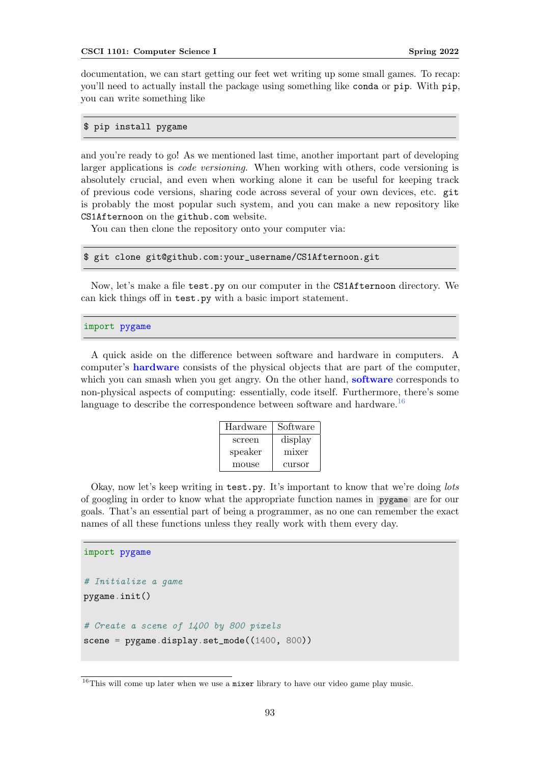<span id="page-92-1"></span>documentation, we can start getting our feet wet writing up some small games. To recap: you'll need to actually install the package using something like conda or pip. With pip, you can write something like

## \$ pip install pygame

and you're ready to go! As we mentioned last time, another important part of developing larger applications is code versioning. When working with others, code versioning is absolutely crucial, and even when working alone it can be useful for keeping track of previous code versions, sharing code across several of your own devices, etc. git is probably the most popular such system, and you can make a new repository like CS1Afternoon on the github.com website.

You can then clone the repository onto your computer via:

#### \$ git clone git@github.com:your\_username/CS1Afternoon.git

Now, let's make a file test.py on our computer in the CS1Afternoon directory. We can kick things off in test.py with a basic import statement.

#### import pygame

A quick aside on the difference between software and hardware in computers. A computer's hardware consists of the physical objects that are part of the computer, which you can smash when you get angry. On the other hand, software corresponds to non-physical aspects of computing: essentially, code itself. Furthermore, there's some language to describe the correspondence between software and hardware.<sup>[16](#page-92-0)</sup>

| Hardware | Software |
|----------|----------|
| screen   | display  |
| speaker  | mixer    |
| mouse    | cursor   |

Okay, now let's keep writing in test.py. It's important to know that we're doing lots of googling in order to know what the appropriate function names in pygame are for our goals. That's an essential part of being a programmer, as no one can remember the exact names of all these functions unless they really work with them every day.

```
import pygame
# Initialize a game
pygame.init()
# Create a scene of 1400 by 800 pixels
screen = pygame.display.set_model((1400, 800))
```
<span id="page-92-0"></span> $16$ This will come up later when we use a mixer library to have our video game play music.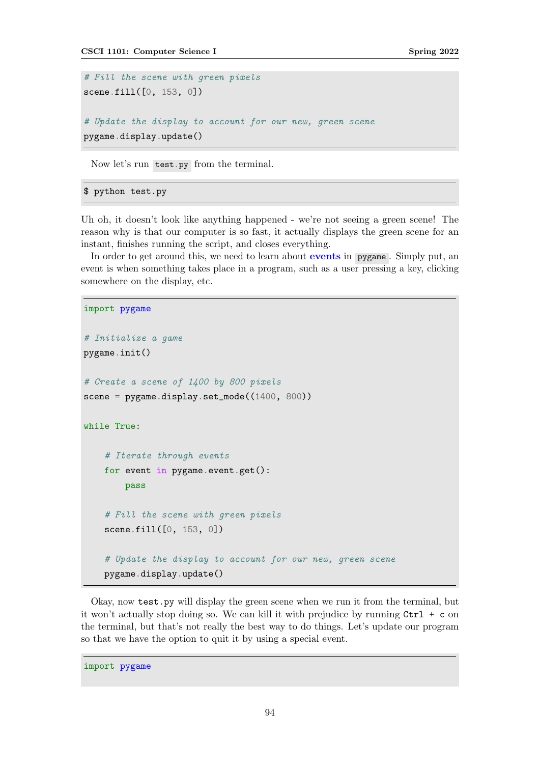```
# Fill the scene with green pixels
scene.fill([0, 153, 0])
# Update the display to account for our new, green scene
pygame.display.update()
```
Now let's run test.py from the terminal.

#### \$ python test.py

Uh oh, it doesn't look like anything happened - we're not seeing a green scene! The reason why is that our computer is so fast, it actually displays the green scene for an instant, finishes running the script, and closes everything.

In order to get around this, we need to learn about **events** in pygame. Simply put, an event is when something takes place in a program, such as a user pressing a key, clicking somewhere on the display, etc.

```
import pygame
# Initialize a game
pygame.init()
# Create a scene of 1400 by 800 pixels
scene = pygame.display.set_mode((1400, 800))
while True:
    # Iterate through events
    for event in pygame.event.get():
        pass
    # Fill the scene with green pixels
    scene.fill([0, 153, 0])
    # Update the display to account for our new, green scene
    pygame.display.update()
```
Okay, now test.py will display the green scene when we run it from the terminal, but it won't actually stop doing so. We can kill it with prejudice by running Ctrl + c on the terminal, but that's not really the best way to do things. Let's update our program so that we have the option to quit it by using a special event.

import pygame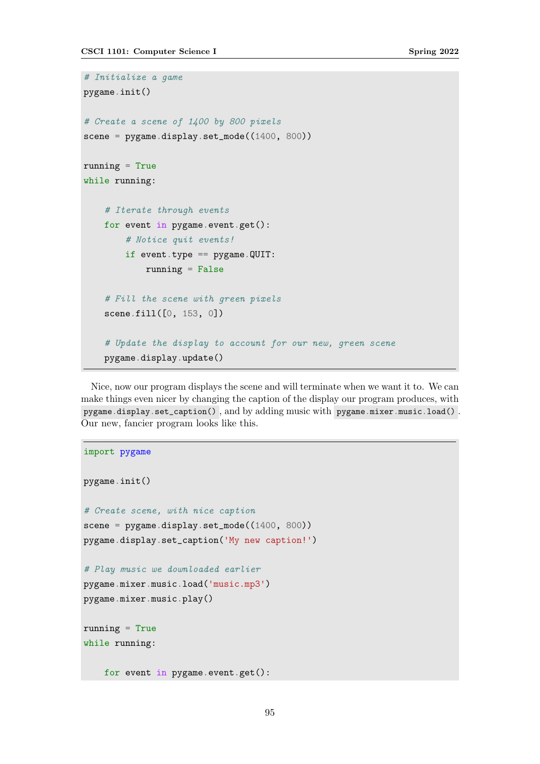```
# Initialize a game
pygame.init()
# Create a scene of 1400 by 800 pixels
screen = pygame.display.set_model((1400, 800))running = True
while running:
    # Iterate through events
   for event in pygame.event.get():
        # Notice quit events!
        if event.type == pygame.QUIT:
            running = False# Fill the scene with green pixels
    scene.fill([0, 153, 0])
    # Update the display to account for our new, green scene
   pygame.display.update()
```
Nice, now our program displays the scene and will terminate when we want it to. We can make things even nicer by changing the caption of the display our program produces, with pygame.display.set\_caption() , and by adding music with pygame.mixer.music.load() . Our new, fancier program looks like this.

```
import pygame
pygame.init()
# Create scene, with nice caption
scence = pygame.display.set_model((1400, 800))pygame.display.set_caption('My new caption!')
# Play music we downloaded earlier
pygame.mixer.music.load('music.mp3')
pygame.mixer.music.play()
running = True
while running:
   for event in pygame.event.get():
```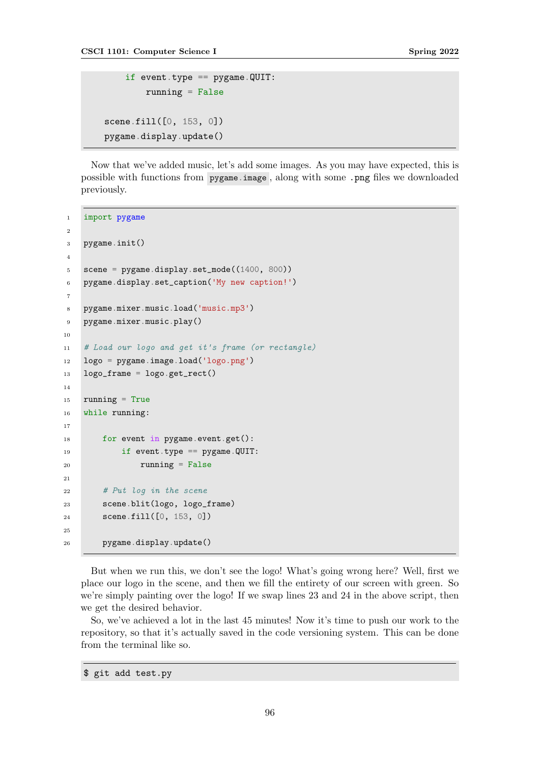```
if event.type == pygame.QUIT:
        running = Falsescene.fill([0, 153, 0])
pygame.display.update()
```
Now that we've added music, let's add some images. As you may have expected, this is possible with functions from pygame.image , along with some .png files we downloaded previously.

```
1 import pygame
\Omega3 pygame.init()
4
5 scene = pygame.display.set_mode((1400, 800))
6 pygame.display.set_caption('My new caption!')
7
8 pygame.mixer.music.load('music.mp3')
9 pygame.mixer.music.play()
10
11 # Load our logo and get it's frame (or rectangle)
12 logo = pygame.image.load('logo.png')
13 logo_frame = logo.get_rect()
14
15 running = True
16 while running:
17
18 for event in pygame.event.get():
19 if event.type == pygame.QUIT:
20 running = False
21
22 # Put log in the scene
23 scene.blit(logo, logo_frame)
24 scene.fill([0, 153, 0])
25
26 pygame.display.update()
```
But when we run this, we don't see the logo! What's going wrong here? Well, first we place our logo in the scene, and then we fill the entirety of our screen with green. So we're simply painting over the logo! If we swap lines 23 and 24 in the above script, then we get the desired behavior.

So, we've achieved a lot in the last 45 minutes! Now it's time to push our work to the repository, so that it's actually saved in the code versioning system. This can be done from the terminal like so.

\$ git add test.py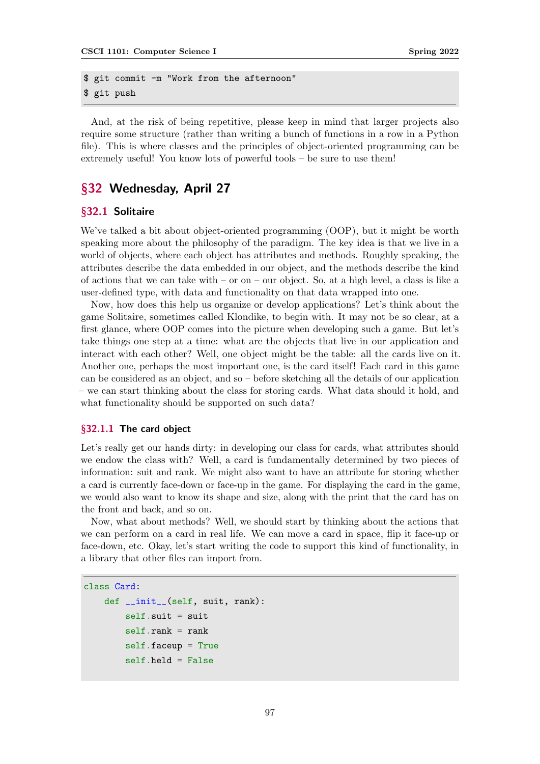```
$ git commit -m "Work from the afternoon"
$ git push
```
And, at the risk of being repetitive, please keep in mind that larger projects also require some structure (rather than writing a bunch of functions in a row in a Python file). This is where classes and the principles of object-oriented programming can be extremely useful! You know lots of powerful tools – be sure to use them!

# §32 Wednesday, April 27

### §32.1 Solitaire

We've talked a bit about object-oriented programming (OOP), but it might be worth speaking more about the philosophy of the paradigm. The key idea is that we live in a world of objects, where each object has attributes and methods. Roughly speaking, the attributes describe the data embedded in our object, and the methods describe the kind of actions that we can take with – or on – our object. So, at a high level, a class is like a user-defined type, with data and functionality on that data wrapped into one.

Now, how does this help us organize or develop applications? Let's think about the game Solitaire, sometimes called Klondike, to begin with. It may not be so clear, at a first glance, where OOP comes into the picture when developing such a game. But let's take things one step at a time: what are the objects that live in our application and interact with each other? Well, one object might be the table: all the cards live on it. Another one, perhaps the most important one, is the card itself! Each card in this game can be considered as an object, and so – before sketching all the details of our application – we can start thinking about the class for storing cards. What data should it hold, and what functionality should be supported on such data?

#### §32.1.1 The card object

Let's really get our hands dirty: in developing our class for cards, what attributes should we endow the class with? Well, a card is fundamentally determined by two pieces of information: suit and rank. We might also want to have an attribute for storing whether a card is currently face-down or face-up in the game. For displaying the card in the game, we would also want to know its shape and size, along with the print that the card has on the front and back, and so on.

Now, what about methods? Well, we should start by thinking about the actions that we can perform on a card in real life. We can move a card in space, flip it face-up or face-down, etc. Okay, let's start writing the code to support this kind of functionality, in a library that other files can import from.

```
class Card:
```

```
def __init__(self, suit, rank):
    self.suit = suitself. rank = rankself.faceup = True
    self.held = False
```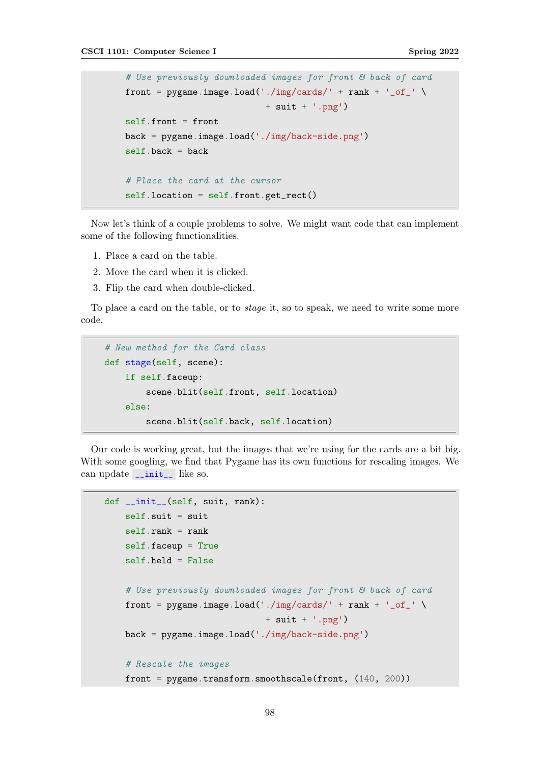```
# Use previously downloaded images for front & back of card
front = pygame.image.load('./img/cards/' + rank + '_of_' \setminus+ suit + '.png')
self.front = front
back = pygame.image.load('./img/back-side.png')
self.\nback = back# Place the card at the cursor
self.location = self.front.get_rect()
```
Now let's think of a couple problems to solve. We might want code that can implement some of the following functionalities.

- 1. Place a card on the table.
- 2. Move the card when it is clicked.
- 3. Flip the card when double-clicked.

To place a card on the table, or to stage it, so to speak, we need to write some more code.

```
# New method for the Card class
def stage(self, scene):
    if self.faceup:
        scene.blit(self.front, self.location)
    else:
        scene.blit(self.back, self.location)
```
Our code is working great, but the images that we're using for the cards are a bit big. With some googling, we find that Pygame has its own functions for rescaling images. We can update \_\_init\_\_ like so.

```
def __init__(self, suit, rank):
   self.suit = suitself. rank = rankself.faceup = True
    self.held = False
    # Use previously downloaded images for front & back of card
   front = pygame.image.load('./img/cards/' + rank + '_of_' \setminus+ suit + '.png')
   back = pygame.image.load('./img/back-side.png')
    # Rescale the images
    front = pygame.transform.smoothscale(front, (140, 200))
```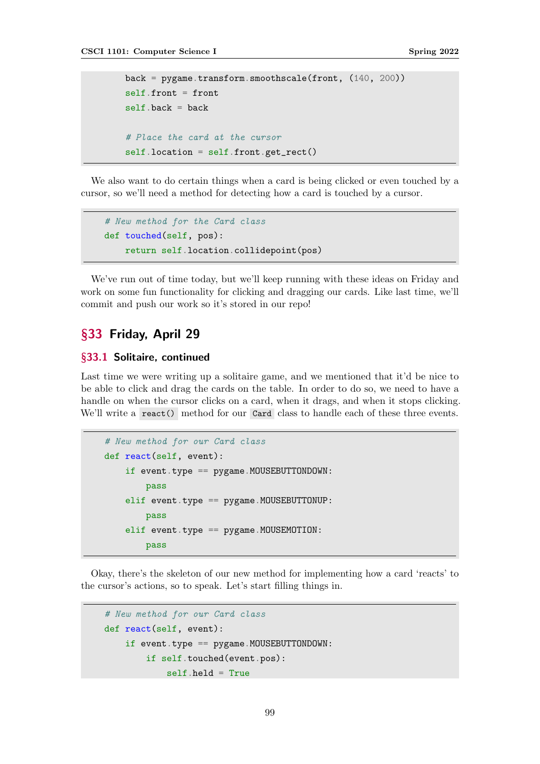```
back = pygame.transform.smoothscale(front, (140, 200))
self.front = front
self.\nback = back# Place the card at the cursor
self.location = self.front.get_rect()
```
We also want to do certain things when a card is being clicked or even touched by a cursor, so we'll need a method for detecting how a card is touched by a cursor.

```
# New method for the Card class
def touched(self, pos):
   return self.location.collidepoint(pos)
```
We've run out of time today, but we'll keep running with these ideas on Friday and work on some fun functionality for clicking and dragging our cards. Like last time, we'll commit and push our work so it's stored in our repo!

# §33 Friday, April 29

## §33.1 Solitaire, continued

Last time we were writing up a solitaire game, and we mentioned that it'd be nice to be able to click and drag the cards on the table. In order to do so, we need to have a handle on when the cursor clicks on a card, when it drags, and when it stops clicking. We'll write a react() method for our Card class to handle each of these three events.

```
# New method for our Card class
def react(self, event):
    if event.type == pygame.MOUSEBUTTONDOWN:
        pass
    elif event.type == pygame.MOUSEBUTTONUP:
        pass
    elif event.type == pygame.MOUSEMOTION:
        pass
```
Okay, there's the skeleton of our new method for implementing how a card 'reacts' to the cursor's actions, so to speak. Let's start filling things in.

```
# New method for our Card class
def react(self, event):
    if event-type == pygame.MOUS E BUTTONDOWN:if self.touched(event.pos):
            self.held = True
```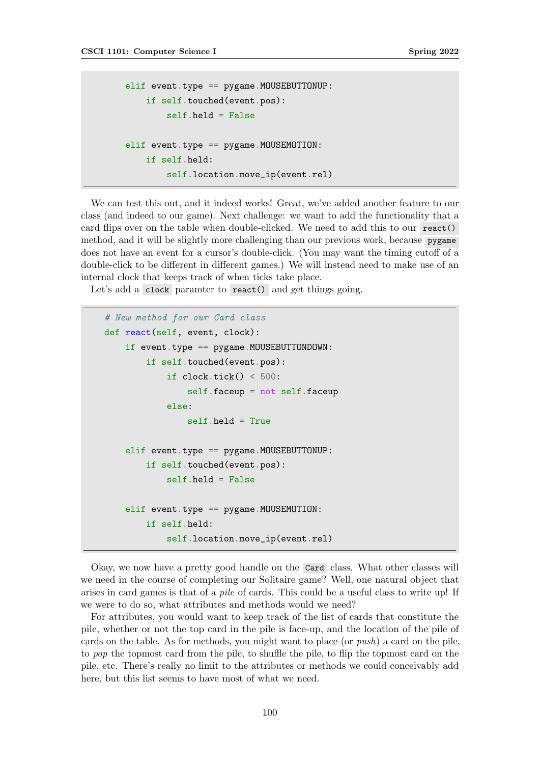```
elif event.type == pygame. MOUSEBUTTONUP:
    if self.touched(event.pos):
        self.held = False
elif event.type == pygame.MOUSEMOTION:
    if self.held:
        self.location.move_ip(event.rel)
```
We can test this out, and it indeed works! Great, we've added another feature to our class (and indeed to our game). Next challenge: we want to add the functionality that a card flips over on the table when double-clicked. We need to add this to our react() method, and it will be slightly more challenging than our previous work, because pygame does not have an event for a cursor's double-click. (You may want the timing cutoff of a double-click to be different in different games.) We will instead need to make use of an internal clock that keeps track of when ticks take place.

Let's add a clock paramter to react() and get things going.

```
# New method for our Card class
def react(self, event, clock):
    if event.type == pygame.MOUSEBUTTONDOWN:
        if self.touched(event.pos):
            if clock.title() < 500:
                self.faceup = not self.faceup
            else:
                self.held = True
    elif event.type == pygame. MOUSEBUTTONUP:
        if self.touched(event.pos):
            self.held = False
    elif event.type == pygame.MOUSEMOTION:
        if self.held:
            self.location.move_ip(event.rel)
```
Okay, we now have a pretty good handle on the Card class. What other classes will we need in the course of completing our Solitaire game? Well, one natural object that arises in card games is that of a pile of cards. This could be a useful class to write up! If we were to do so, what attributes and methods would we need?

For attributes, you would want to keep track of the list of cards that constitute the pile, whether or not the top card in the pile is face-up, and the location of the pile of cards on the table. As for methods, you might want to place (or push) a card on the pile, to pop the topmost card from the pile, to shuffle the pile, to flip the topmost card on the pile, etc. There's really no limit to the attributes or methods we could conceivably add here, but this list seems to have most of what we need.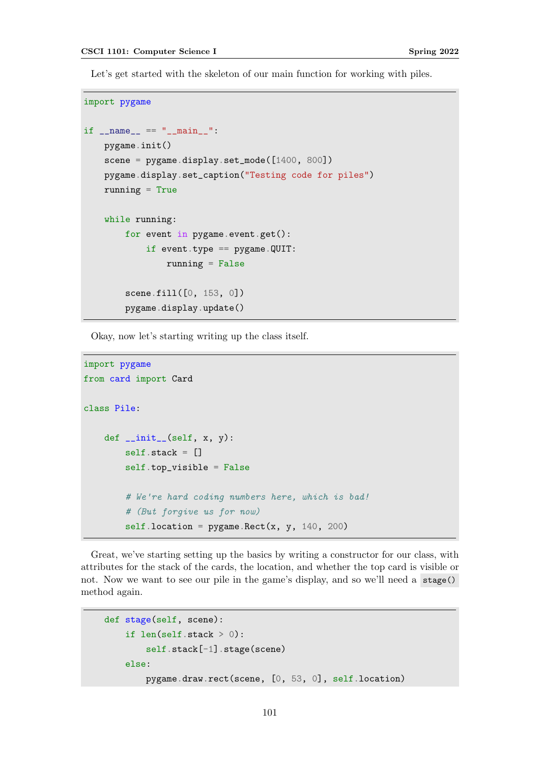Let's get started with the skeleton of our main function for working with piles.

```
import pygame
if __name__ == "__main__":
   pygame.init()
   scene = pygame.display.set_mode([1400, 800])
   pygame.display.set_caption("Testing code for piles")
   running = True
   while running:
       for event in pygame.event.get():
            if event.type == pygame. QUIT:
                running = False
        scene.fill([0, 153, 0])
       pygame.display.update()
```
Okay, now let's starting writing up the class itself.

```
import pygame
from card import Card
class Pile:
    def \_init\_(self, x, y):
        self. stack = []self.top_visible = False
        # We're hard coding numbers here, which is bad!
        # (But forgive us for now)
        self.location = pygame.Rect(x, y, 140, 200)
```
Great, we've starting setting up the basics by writing a constructor for our class, with attributes for the stack of the cards, the location, and whether the top card is visible or not. Now we want to see our pile in the game's display, and so we'll need a stage() method again.

```
def stage(self, scene):
    if len(self.stack > 0):
        self.stack[-1].stage(scene)
   else:
        pygame.draw.rect(scene, [0, 53, 0], self.location)
```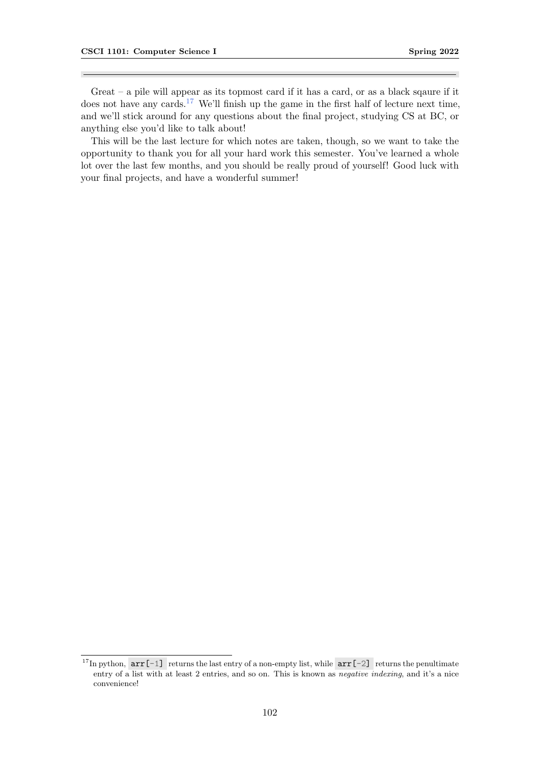Great – a pile will appear as its topmost card if it has a card, or as a black sqaure if it does not have any cards.<sup>[17](#page-101-0)</sup> We'll finish up the game in the first half of lecture next time, and we'll stick around for any questions about the final project, studying CS at BC, or anything else you'd like to talk about!

This will be the last lecture for which notes are taken, though, so we want to take the opportunity to thank you for all your hard work this semester. You've learned a whole lot over the last few months, and you should be really proud of yourself! Good luck with your final projects, and have a wonderful summer!

<span id="page-101-0"></span><sup>&</sup>lt;sup>17</sup>In python,  $arr[-1]$  returns the last entry of a non-empty list, while  $arr[-2]$  returns the penultimate entry of a list with at least 2 entries, and so on. This is known as negative indexing, and it's a nice convenience!